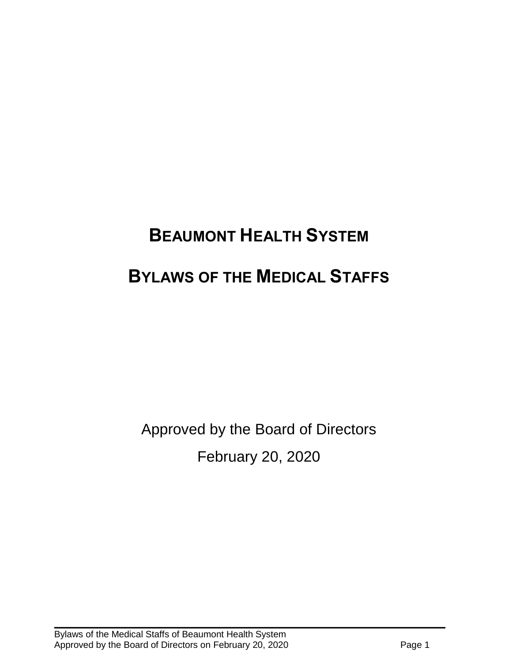# **BEAUMONT HEALTH SYSTEM BYLAWS OF THE MEDICAL STAFFS**

Approved by the Board of Directors February 20, 2020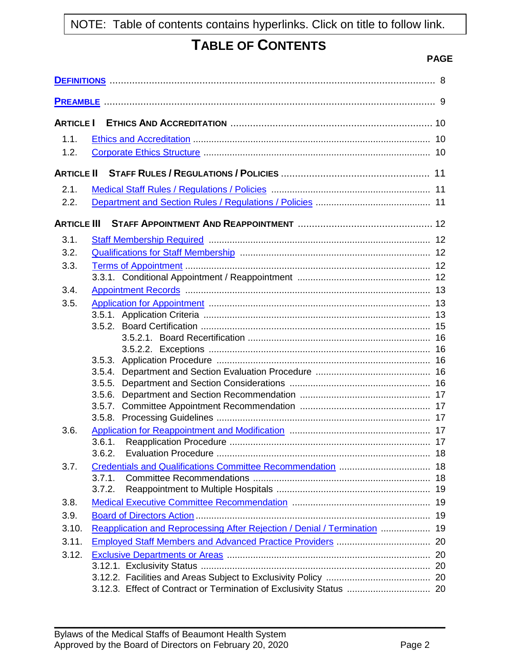# **TABLE OF CONTENTS**

# **PAGE**

| <b>ARTICLE I</b>   |                                                                           |  |
|--------------------|---------------------------------------------------------------------------|--|
| 1.1.               |                                                                           |  |
| 1.2.               |                                                                           |  |
| <b>ARTICLE II</b>  |                                                                           |  |
| 2.1.               |                                                                           |  |
| 2.2.               |                                                                           |  |
| <b>ARTICLE III</b> |                                                                           |  |
| 3.1.               |                                                                           |  |
| 3.2.               |                                                                           |  |
| 3.3.               |                                                                           |  |
|                    |                                                                           |  |
| 3.4.               |                                                                           |  |
| 3.5.               |                                                                           |  |
|                    |                                                                           |  |
|                    |                                                                           |  |
|                    |                                                                           |  |
|                    |                                                                           |  |
|                    |                                                                           |  |
|                    | 3.5.5.                                                                    |  |
|                    | 3.5.6.                                                                    |  |
|                    | 3.5.7.                                                                    |  |
|                    |                                                                           |  |
| 3.6.               |                                                                           |  |
|                    |                                                                           |  |
|                    | 3.6.2.                                                                    |  |
| 3.7.               |                                                                           |  |
|                    | 3.7.1.                                                                    |  |
|                    | 3.7.2.                                                                    |  |
| 3.8.               |                                                                           |  |
| 3.9.               |                                                                           |  |
| 3.10.              | Reapplication and Reprocessing After Rejection / Denial / Termination  19 |  |
| 3.11.              |                                                                           |  |
| 3.12.              |                                                                           |  |
|                    |                                                                           |  |
|                    |                                                                           |  |
|                    |                                                                           |  |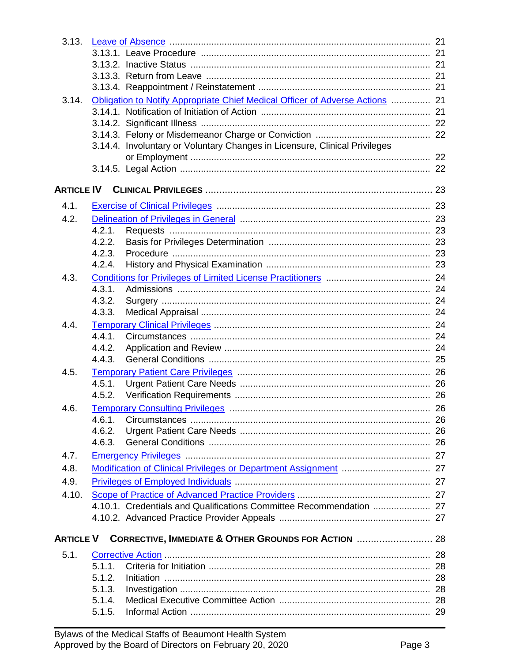| 3.13.            |        |                                                                               |    |
|------------------|--------|-------------------------------------------------------------------------------|----|
|                  |        |                                                                               |    |
|                  |        |                                                                               |    |
|                  |        |                                                                               |    |
|                  |        |                                                                               |    |
| 3.14.            |        | Obligation to Notify Appropriate Chief Medical Officer of Adverse Actions  21 |    |
|                  |        |                                                                               |    |
|                  |        |                                                                               |    |
|                  |        |                                                                               |    |
|                  |        | 3.14.4. Involuntary or Voluntary Changes in Licensure, Clinical Privileges    |    |
|                  |        |                                                                               |    |
|                  |        |                                                                               |    |
|                  |        |                                                                               |    |
| 4.1.             |        |                                                                               |    |
| 4.2.             |        |                                                                               |    |
|                  | 4.2.1. |                                                                               |    |
|                  | 4.2.2. |                                                                               |    |
|                  | 4.2.3. |                                                                               |    |
|                  | 4.2.4. |                                                                               |    |
| 4.3.             |        |                                                                               |    |
|                  | 4.3.1. |                                                                               |    |
|                  | 4.3.2. |                                                                               |    |
|                  | 4.3.3. |                                                                               |    |
| 4.4.             |        |                                                                               |    |
|                  | 4.4.1. |                                                                               |    |
|                  | 4.4.2. |                                                                               |    |
|                  | 4.4.3. |                                                                               |    |
| 4.5.             |        |                                                                               |    |
|                  | 4.5.1. |                                                                               |    |
|                  | 4.5.2. |                                                                               |    |
| 4.6.             |        |                                                                               | 26 |
|                  |        |                                                                               |    |
|                  | 4.6.2. |                                                                               |    |
|                  | 4.6.3. |                                                                               |    |
| 4.7.             |        |                                                                               |    |
| 4.8.             |        |                                                                               |    |
| 4.9.             |        |                                                                               |    |
| 4.10.            |        |                                                                               |    |
|                  |        | 4.10.1. Credentials and Qualifications Committee Recommendation  27           |    |
|                  |        |                                                                               |    |
| <b>ARTICLE V</b> |        |                                                                               |    |
| 5.1.             |        |                                                                               |    |
|                  | 5.1.1. |                                                                               |    |
|                  | 5.1.2. |                                                                               |    |
|                  | 5.1.3. |                                                                               |    |
|                  | 5.1.4. |                                                                               |    |
|                  | 5.1.5. |                                                                               |    |
|                  |        |                                                                               |    |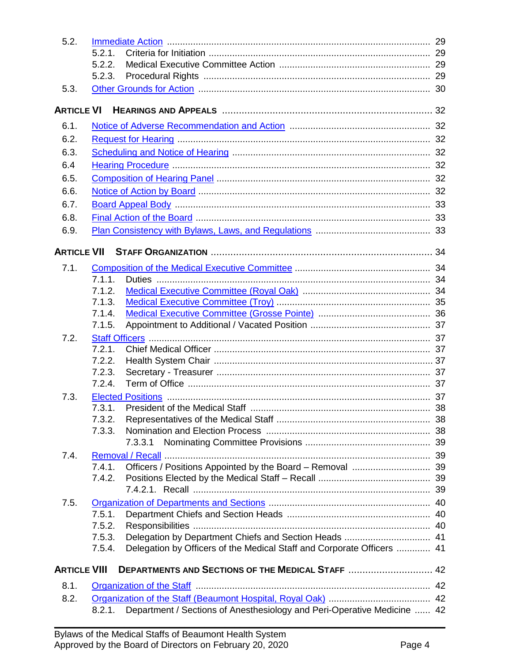| 5.2.                |                  |                                                                         |  |
|---------------------|------------------|-------------------------------------------------------------------------|--|
|                     | 5.2.1.           |                                                                         |  |
|                     | 5.2.2.           |                                                                         |  |
|                     | 5.2.3.           |                                                                         |  |
| 5.3.                |                  |                                                                         |  |
| <b>ARTICLE VI</b>   |                  |                                                                         |  |
| 6.1.                |                  |                                                                         |  |
| 6.2.                |                  |                                                                         |  |
| 6.3.                |                  |                                                                         |  |
| 6.4                 |                  |                                                                         |  |
| 6.5.                |                  |                                                                         |  |
| 6.6.                |                  |                                                                         |  |
| 6.7.                |                  |                                                                         |  |
| 6.8.                |                  |                                                                         |  |
| 6.9.                |                  |                                                                         |  |
| <b>ARTICLE VII</b>  |                  |                                                                         |  |
|                     |                  |                                                                         |  |
| 7.1.                |                  |                                                                         |  |
|                     | 7.1.1.<br>7.1.2. |                                                                         |  |
|                     | 7.1.3.           |                                                                         |  |
|                     | 7.1.4.           |                                                                         |  |
|                     | 7.1.5.           |                                                                         |  |
| 7.2.                |                  |                                                                         |  |
|                     | 7.2.1.           |                                                                         |  |
|                     | 7.2.2.           |                                                                         |  |
|                     | 7.2.3.           |                                                                         |  |
|                     | 7.2.4.           |                                                                         |  |
| 7.3.                |                  |                                                                         |  |
|                     |                  |                                                                         |  |
|                     | 7.3.2.           |                                                                         |  |
|                     | 7.3.3.           |                                                                         |  |
|                     |                  | 7.3.3.1                                                                 |  |
| 7.4.                |                  |                                                                         |  |
|                     | 7.4.1.           |                                                                         |  |
|                     | 7.4.2.           |                                                                         |  |
|                     |                  |                                                                         |  |
| 7.5.                |                  |                                                                         |  |
|                     | 7.5.1.           |                                                                         |  |
|                     | 7.5.2.           |                                                                         |  |
|                     | 7.5.3.           |                                                                         |  |
|                     | 7.5.4.           | Delegation by Officers of the Medical Staff and Corporate Officers  41  |  |
| <b>ARTICLE VIII</b> |                  | DEPARTMENTS AND SECTIONS OF THE MEDICAL STAFF  42                       |  |
| 8.1.                |                  |                                                                         |  |
| 8.2.                |                  |                                                                         |  |
|                     | 8.2.1.           | Department / Sections of Anesthesiology and Peri-Operative Medicine  42 |  |
|                     |                  |                                                                         |  |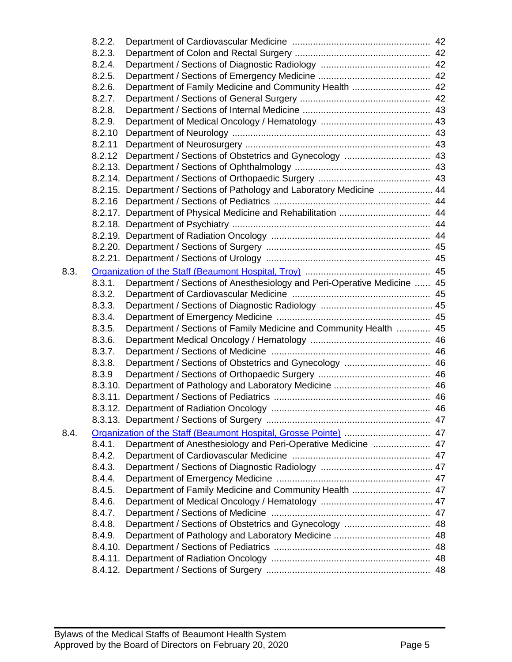|      | 8.2.2. |                                                                         |    |
|------|--------|-------------------------------------------------------------------------|----|
|      | 8.2.3. |                                                                         |    |
|      | 8.2.4. |                                                                         |    |
|      | 8.2.5. |                                                                         |    |
|      | 8.2.6. | Department of Family Medicine and Community Health  42                  |    |
|      | 8.2.7. |                                                                         |    |
|      | 8.2.8. |                                                                         |    |
|      | 8.2.9. |                                                                         |    |
|      | 8.2.10 |                                                                         |    |
|      | 8.2.11 |                                                                         |    |
|      | 8.2.12 | Department / Sections of Obstetrics and Gynecology  43                  |    |
|      |        |                                                                         |    |
|      |        |                                                                         |    |
|      |        | 8.2.15. Department / Sections of Pathology and Laboratory Medicine  44  |    |
|      | 8.2.16 |                                                                         |    |
|      |        |                                                                         |    |
|      |        |                                                                         |    |
|      |        |                                                                         |    |
|      |        |                                                                         |    |
|      |        |                                                                         |    |
| 8.3. |        |                                                                         |    |
|      | 8.3.1. | Department / Sections of Anesthesiology and Peri-Operative Medicine  45 |    |
|      | 8.3.2. |                                                                         |    |
|      | 8.3.3. |                                                                         |    |
|      | 8.3.4. |                                                                         |    |
|      | 8.3.5. | Department / Sections of Family Medicine and Community Health  45       |    |
|      | 8.3.6. |                                                                         |    |
|      | 8.3.7. |                                                                         |    |
|      | 8.3.8. | Department / Sections of Obstetrics and Gynecology  46                  |    |
|      | 8.3.9  |                                                                         |    |
|      |        |                                                                         |    |
|      |        |                                                                         |    |
|      |        |                                                                         | 46 |
|      |        |                                                                         |    |
| 8.4. |        | Organization of the Staff (Beaumont Hospital, Grosse Pointe)  47        |    |
|      | 8.4.1. | Department of Anesthesiology and Peri-Operative Medicine  47            |    |
|      | 8.4.2. |                                                                         |    |
|      | 8.4.3. |                                                                         |    |
|      | 8.4.4. |                                                                         |    |
|      | 8.4.5. | Department of Family Medicine and Community Health  47                  |    |
|      | 8.4.6. |                                                                         |    |
|      | 8.4.7. |                                                                         |    |
|      | 8.4.8. | Department / Sections of Obstetrics and Gynecology  48                  |    |
|      | 8.4.9. |                                                                         |    |
|      |        |                                                                         |    |
|      |        |                                                                         |    |
|      |        |                                                                         |    |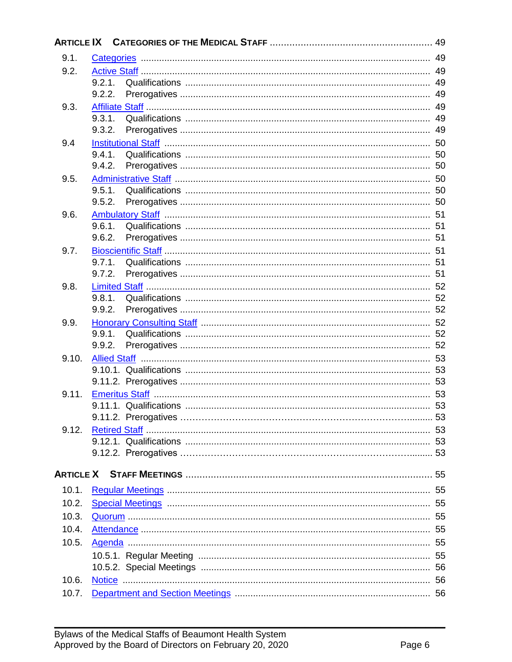| 9.1.  |                  |    |
|-------|------------------|----|
| 9.2.  |                  |    |
|       | 9.2.1.           |    |
|       | 9.2.2.           |    |
| 9.3.  |                  |    |
|       | 9.3.1.           |    |
|       | 9.3.2.           |    |
| 9.4   | 9.4.1            |    |
|       | 9.4.2.           |    |
| 9.5.  |                  |    |
|       | 9.5.1.           |    |
|       | 9.5.2.           |    |
| 9.6.  |                  |    |
|       |                  |    |
|       | 9.6.2.           |    |
| 9.7.  |                  |    |
|       | 9.7.1.           | 51 |
|       | 9.7.2.           |    |
| 9.8.  |                  |    |
|       | 9.8.1.<br>9.9.2. |    |
| 9.9.  |                  |    |
|       | 9.9.1.           |    |
|       | 9.9.2.           |    |
| 9.10. |                  |    |
|       |                  |    |
|       |                  |    |
| 9.11. |                  |    |
|       |                  |    |
|       |                  |    |
| 9.12. |                  |    |
|       |                  |    |
|       |                  |    |
|       |                  |    |
| 10.1. |                  |    |
| 10.2. |                  |    |
| 10.3. |                  |    |
| 10.4. |                  |    |
| 10.5. |                  |    |
|       |                  |    |
|       |                  |    |
| 10.6. |                  |    |
| 10.7. |                  |    |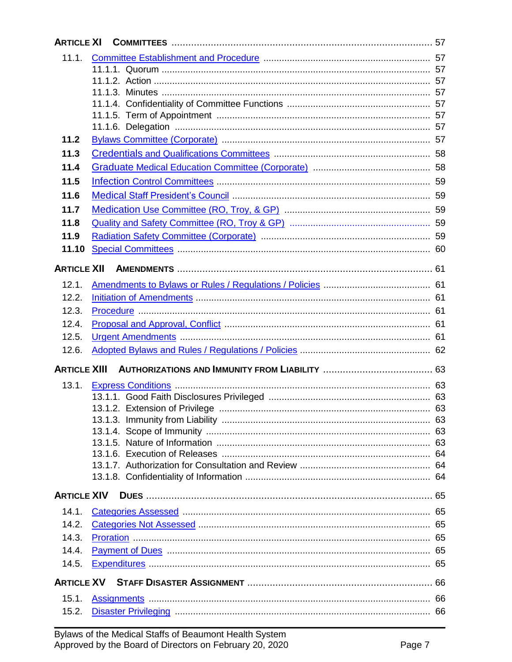| <b>ARTICLE XI</b>   |                                                              |  |
|---------------------|--------------------------------------------------------------|--|
| 11.1.               |                                                              |  |
|                     |                                                              |  |
|                     |                                                              |  |
|                     |                                                              |  |
|                     |                                                              |  |
|                     |                                                              |  |
| 11.2                |                                                              |  |
|                     |                                                              |  |
| 11.3                |                                                              |  |
| 11.4                |                                                              |  |
| 11.5                |                                                              |  |
| 11.6                |                                                              |  |
| 11.7                |                                                              |  |
| 11.8                |                                                              |  |
| 11.9                |                                                              |  |
| 11.10               |                                                              |  |
| <b>ARTICLE XII</b>  |                                                              |  |
|                     |                                                              |  |
| 12.1.               |                                                              |  |
| 12.2.               |                                                              |  |
| 12.3.               |                                                              |  |
| 12.4.               |                                                              |  |
| 12.5.               |                                                              |  |
| 12.6.               |                                                              |  |
| <b>ARTICLE XIII</b> |                                                              |  |
| 13.1.               |                                                              |  |
|                     |                                                              |  |
|                     |                                                              |  |
|                     |                                                              |  |
|                     |                                                              |  |
|                     |                                                              |  |
|                     |                                                              |  |
|                     |                                                              |  |
| <b>ARTICLE XIV</b>  |                                                              |  |
| 14.1.               | Categories Assessed <b>Manual Manual Categories</b> Assessed |  |
| 14.2.               |                                                              |  |
| 14.3.               |                                                              |  |
| 14.4.               |                                                              |  |
|                     |                                                              |  |
| 14.5.               |                                                              |  |
|                     |                                                              |  |
| 15.1.               |                                                              |  |
| 15.2.               |                                                              |  |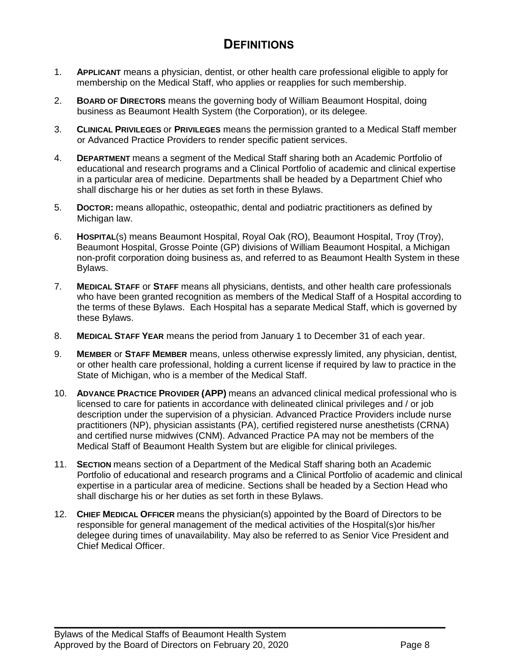# **DEFINITIONS**

- <span id="page-7-0"></span>1. **APPLICANT** means a physician, dentist, or other health care professional eligible to apply for membership on the Medical Staff, who applies or reapplies for such membership.
- 2. **BOARD OF DIRECTORS** means the governing body of William Beaumont Hospital, doing business as Beaumont Health System (the Corporation), or its delegee.
- 3. **CLINICAL PRIVILEGES** or **PRIVILEGES** means the permission granted to a Medical Staff member or Advanced Practice Providers to render specific patient services.
- 4. **DEPARTMENT** means a segment of the Medical Staff sharing both an Academic Portfolio of educational and research programs and a Clinical Portfolio of academic and clinical expertise in a particular area of medicine. Departments shall be headed by a Department Chief who shall discharge his or her duties as set forth in these Bylaws.
- 5. **DOCTOR:** means allopathic, osteopathic, dental and podiatric practitioners as defined by Michigan law.
- 6. **HOSPITAL**(s) means Beaumont Hospital, Royal Oak (RO), Beaumont Hospital, Troy (Troy), Beaumont Hospital, Grosse Pointe (GP) divisions of William Beaumont Hospital, a Michigan non-profit corporation doing business as, and referred to as Beaumont Health System in these Bylaws.
- 7. **MEDICAL STAFF** or **STAFF** means all physicians, dentists, and other health care professionals who have been granted recognition as members of the Medical Staff of a Hospital according to the terms of these Bylaws. Each Hospital has a separate Medical Staff, which is governed by these Bylaws.
- 8. **MEDICAL STAFF YEAR** means the period from January 1 to December 31 of each year.
- 9. **MEMBER** or **STAFF MEMBER** means, unless otherwise expressly limited, any physician, dentist, or other health care professional, holding a current license if required by law to practice in the State of Michigan, who is a member of the Medical Staff.
- 10. **ADVANCE PRACTICE PROVIDER (APP)** means an advanced clinical medical professional who is licensed to care for patients in accordance with delineated clinical privileges and / or job description under the supervision of a physician. Advanced Practice Providers include nurse practitioners (NP), physician assistants (PA), certified registered nurse anesthetists (CRNA) and certified nurse midwives (CNM). Advanced Practice PA may not be members of the Medical Staff of Beaumont Health System but are eligible for clinical privileges.
- 11. **SECTION** means section of a Department of the Medical Staff sharing both an Academic Portfolio of educational and research programs and a Clinical Portfolio of academic and clinical expertise in a particular area of medicine. Sections shall be headed by a Section Head who shall discharge his or her duties as set forth in these Bylaws.
- 12. **CHIEF MEDICAL OFFICER** means the physician(s) appointed by the Board of Directors to be responsible for general management of the medical activities of the Hospital(s)or his/her delegee during times of unavailability. May also be referred to as Senior Vice President and Chief Medical Officer.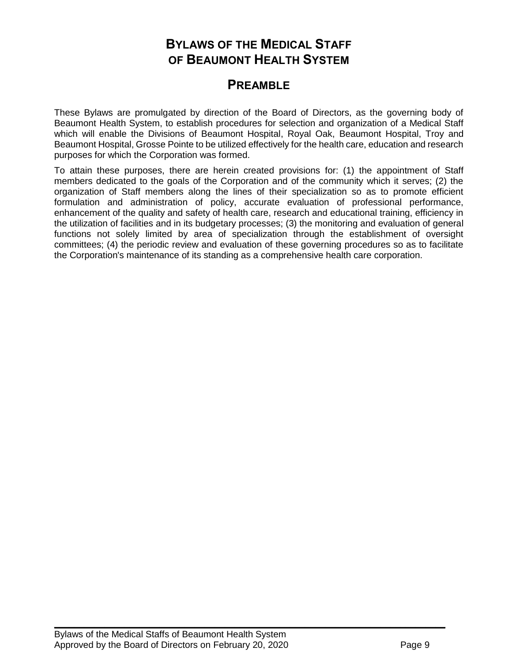# **BYLAWS OF THE MEDICAL STAFF OF BEAUMONT HEALTH SYSTEM**

# <span id="page-8-0"></span>**PREAMBLE**

These Bylaws are promulgated by direction of the Board of Directors, as the governing body of Beaumont Health System, to establish procedures for selection and organization of a Medical Staff which will enable the Divisions of Beaumont Hospital, Royal Oak, Beaumont Hospital, Troy and Beaumont Hospital, Grosse Pointe to be utilized effectively for the health care, education and research purposes for which the Corporation was formed.

To attain these purposes, there are herein created provisions for: (1) the appointment of Staff members dedicated to the goals of the Corporation and of the community which it serves; (2) the organization of Staff members along the lines of their specialization so as to promote efficient formulation and administration of policy, accurate evaluation of professional performance, enhancement of the quality and safety of health care, research and educational training, efficiency in the utilization of facilities and in its budgetary processes; (3) the monitoring and evaluation of general functions not solely limited by area of specialization through the establishment of oversight committees; (4) the periodic review and evaluation of these governing procedures so as to facilitate the Corporation's maintenance of its standing as a comprehensive health care corporation.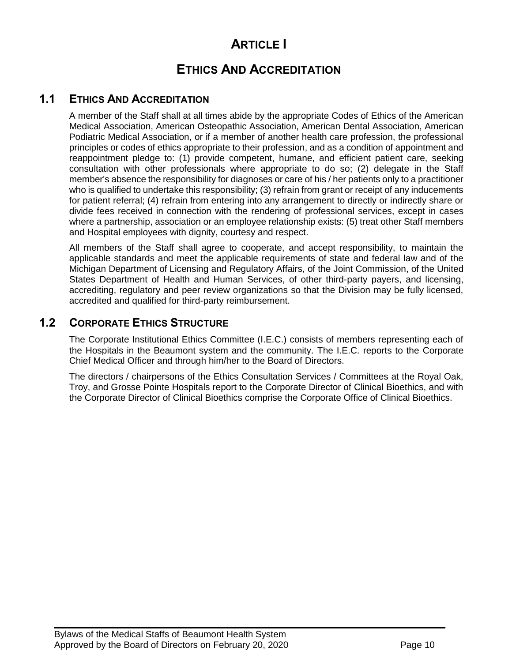# **ARTICLE I**

# **ETHICS AND ACCREDITATION**

# <span id="page-9-0"></span>**1.1 ETHICS AND ACCREDITATION**

A member of the Staff shall at all times abide by the appropriate Codes of Ethics of the American Medical Association, American Osteopathic Association, American Dental Association, American Podiatric Medical Association, or if a member of another health care profession, the professional principles or codes of ethics appropriate to their profession, and as a condition of appointment and reappointment pledge to: (1) provide competent, humane, and efficient patient care, seeking consultation with other professionals where appropriate to do so; (2) delegate in the Staff member's absence the responsibility for diagnoses or care of his / her patients only to a practitioner who is qualified to undertake this responsibility; (3) refrain from grant or receipt of any inducements for patient referral; (4) refrain from entering into any arrangement to directly or indirectly share or divide fees received in connection with the rendering of professional services, except in cases where a partnership, association or an employee relationship exists: (5) treat other Staff members and Hospital employees with dignity, courtesy and respect.

All members of the Staff shall agree to cooperate, and accept responsibility, to maintain the applicable standards and meet the applicable requirements of state and federal law and of the Michigan Department of Licensing and Regulatory Affairs, of the Joint Commission, of the United States Department of Health and Human Services, of other third-party payers, and licensing, accrediting, regulatory and peer review organizations so that the Division may be fully licensed, accredited and qualified for third-party reimbursement.

# <span id="page-9-1"></span>**1.2 CORPORATE ETHICS STRUCTURE**

The Corporate Institutional Ethics Committee (I.E.C.) consists of members representing each of the Hospitals in the Beaumont system and the community. The I.E.C. reports to the Corporate Chief Medical Officer and through him/her to the Board of Directors.

The directors / chairpersons of the Ethics Consultation Services / Committees at the Royal Oak, Troy, and Grosse Pointe Hospitals report to the Corporate Director of Clinical Bioethics, and with the Corporate Director of Clinical Bioethics comprise the Corporate Office of Clinical Bioethics.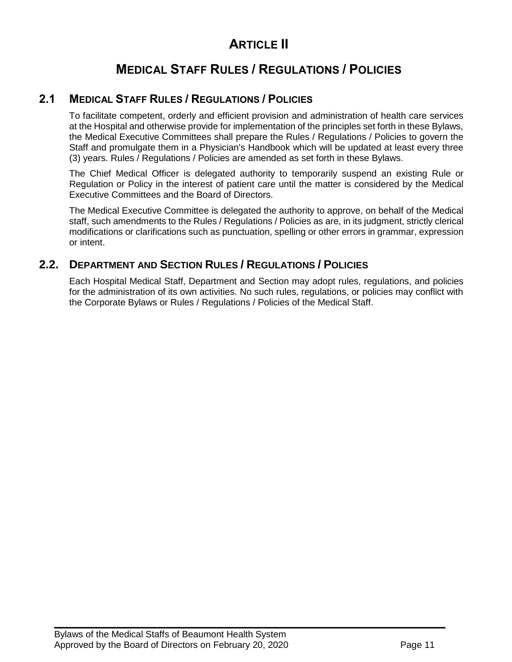# **ARTICLE II**

# **MEDICAL STAFF RULES / REGULATIONS / POLICIES**

# **2.1 MEDICAL STAFF RULES / REGULATIONS / POLICIES**

<span id="page-10-0"></span>To facilitate competent, orderly and efficient provision and administration of health care services at the Hospital and otherwise provide for implementation of the principles set forth in these Bylaws, the Medical Executive Committees shall prepare the Rules / Regulations / Policies to govern the Staff and promulgate them in a Physician's Handbook which will be updated at least every three (3) years. Rules / Regulations / Policies are amended as set forth in these Bylaws.

The Chief Medical Officer is delegated authority to temporarily suspend an existing Rule or Regulation or Policy in the interest of patient care until the matter is considered by the Medical Executive Committees and the Board of Directors.

The Medical Executive Committee is delegated the authority to approve, on behalf of the Medical staff, such amendments to the Rules / Regulations / Policies as are, in its judgment, strictly clerical modifications or clarifications such as punctuation, spelling or other errors in grammar, expression or intent.

# **2.2. DEPARTMENT AND SECTION RULES / REGULATIONS / POLICIES**

<span id="page-10-1"></span>Each Hospital Medical Staff, Department and Section may adopt rules, regulations, and policies for the administration of its own activities. No such rules, regulations, or policies may conflict with the Corporate Bylaws or Rules / Regulations / Policies of the Medical Staff.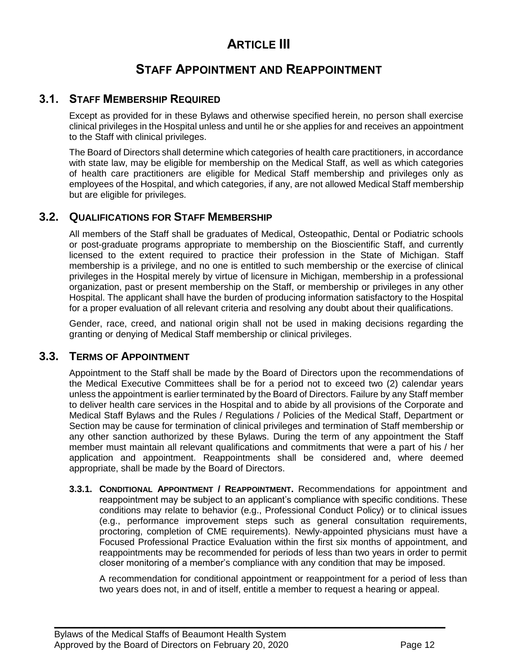# **ARTICLE III**

# **STAFF APPOINTMENT AND REAPPOINTMENT**

### **3.1. STAFF MEMBERSHIP REQUIRED**

<span id="page-11-0"></span>Except as provided for in these Bylaws and otherwise specified herein, no person shall exercise clinical privileges in the Hospital unless and until he or she applies for and receives an appointment to the Staff with clinical privileges.

The Board of Directors shall determine which categories of health care practitioners, in accordance with state law, may be eligible for membership on the Medical Staff, as well as which categories of health care practitioners are eligible for Medical Staff membership and privileges only as employees of the Hospital, and which categories, if any, are not allowed Medical Staff membership but are eligible for privileges.

# **3.2. QUALIFICATIONS FOR STAFF MEMBERSHIP**

<span id="page-11-1"></span>All members of the Staff shall be graduates of Medical, Osteopathic, Dental or Podiatric schools or post-graduate programs appropriate to membership on the Bioscientific Staff, and currently licensed to the extent required to practice their profession in the State of Michigan. Staff membership is a privilege, and no one is entitled to such membership or the exercise of clinical privileges in the Hospital merely by virtue of licensure in Michigan, membership in a professional organization, past or present membership on the Staff, or membership or privileges in any other Hospital. The applicant shall have the burden of producing information satisfactory to the Hospital for a proper evaluation of all relevant criteria and resolving any doubt about their qualifications.

Gender, race, creed, and national origin shall not be used in making decisions regarding the granting or denying of Medical Staff membership or clinical privileges.

### **3.3. TERMS OF APPOINTMENT**

<span id="page-11-2"></span>Appointment to the Staff shall be made by the Board of Directors upon the recommendations of the Medical Executive Committees shall be for a period not to exceed two (2) calendar years unless the appointment is earlier terminated by the Board of Directors. Failure by any Staff member to deliver health care services in the Hospital and to abide by all provisions of the Corporate and Medical Staff Bylaws and the Rules / Regulations / Policies of the Medical Staff, Department or Section may be cause for termination of clinical privileges and termination of Staff membership or any other sanction authorized by these Bylaws. During the term of any appointment the Staff member must maintain all relevant qualifications and commitments that were a part of his / her application and appointment. Reappointments shall be considered and, where deemed appropriate, shall be made by the Board of Directors.

**3.3.1. CONDITIONAL APPOINTMENT / REAPPOINTMENT.** Recommendations for appointment and reappointment may be subject to an applicant's compliance with specific conditions. These conditions may relate to behavior (e.g., Professional Conduct Policy) or to clinical issues (e.g., performance improvement steps such as general consultation requirements, proctoring, completion of CME requirements). Newly-appointed physicians must have a Focused Professional Practice Evaluation within the first six months of appointment, and reappointments may be recommended for periods of less than two years in order to permit closer monitoring of a member's compliance with any condition that may be imposed.

 $\mathcal{L}_\mathcal{L} = \mathcal{L}_\mathcal{L} = \mathcal{L}_\mathcal{L} = \mathcal{L}_\mathcal{L} = \mathcal{L}_\mathcal{L} = \mathcal{L}_\mathcal{L} = \mathcal{L}_\mathcal{L} = \mathcal{L}_\mathcal{L} = \mathcal{L}_\mathcal{L} = \mathcal{L}_\mathcal{L} = \mathcal{L}_\mathcal{L} = \mathcal{L}_\mathcal{L} = \mathcal{L}_\mathcal{L} = \mathcal{L}_\mathcal{L} = \mathcal{L}_\mathcal{L} = \mathcal{L}_\mathcal{L} = \mathcal{L}_\mathcal{L}$ 

A recommendation for conditional appointment or reappointment for a period of less than two years does not, in and of itself, entitle a member to request a hearing or appeal.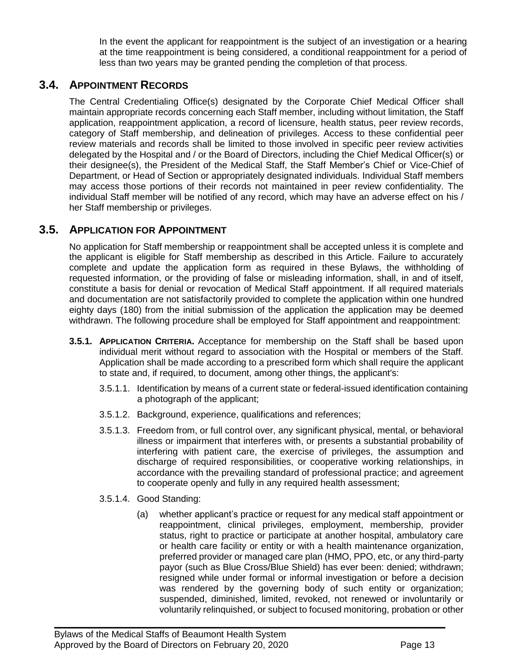In the event the applicant for reappointment is the subject of an investigation or a hearing at the time reappointment is being considered, a conditional reappointment for a period of less than two years may be granted pending the completion of that process.

# **3.4. APPOINTMENT RECORDS**

<span id="page-12-0"></span>The Central Credentialing Office(s) designated by the Corporate Chief Medical Officer shall maintain appropriate records concerning each Staff member, including without limitation, the Staff application, reappointment application, a record of licensure, health status, peer review records, category of Staff membership, and delineation of privileges. Access to these confidential peer review materials and records shall be limited to those involved in specific peer review activities delegated by the Hospital and / or the Board of Directors, including the Chief Medical Officer(s) or their designee(s), the President of the Medical Staff, the Staff Member's Chief or Vice-Chief of Department, or Head of Section or appropriately designated individuals. Individual Staff members may access those portions of their records not maintained in peer review confidentiality. The individual Staff member will be notified of any record, which may have an adverse effect on his / her Staff membership or privileges.

# **3.5. APPLICATION FOR APPOINTMENT**

<span id="page-12-1"></span>No application for Staff membership or reappointment shall be accepted unless it is complete and the applicant is eligible for Staff membership as described in this Article. Failure to accurately complete and update the application form as required in these Bylaws, the withholding of requested information, or the providing of false or misleading information, shall, in and of itself, constitute a basis for denial or revocation of Medical Staff appointment. If all required materials and documentation are not satisfactorily provided to complete the application within one hundred eighty days (180) from the initial submission of the application the application may be deemed withdrawn. The following procedure shall be employed for Staff appointment and reappointment:

- **3.5.1. APPLICATION CRITERIA.** Acceptance for membership on the Staff shall be based upon individual merit without regard to association with the Hospital or members of the Staff. Application shall be made according to a prescribed form which shall require the applicant to state and, if required, to document, among other things, the applicant's:
	- 3.5.1.1. Identification by means of a current state or federal-issued identification containing a photograph of the applicant;
	- 3.5.1.2. Background, experience, qualifications and references;

- 3.5.1.3. Freedom from, or full control over, any significant physical, mental, or behavioral illness or impairment that interferes with, or presents a substantial probability of interfering with patient care, the exercise of privileges, the assumption and discharge of required responsibilities, or cooperative working relationships, in accordance with the prevailing standard of professional practice; and agreement to cooperate openly and fully in any required health assessment;
- 3.5.1.4. Good Standing:
	- (a) whether applicant's practice or request for any medical staff appointment or reappointment, clinical privileges, employment, membership, provider status, right to practice or participate at another hospital, ambulatory care or health care facility or entity or with a health maintenance organization, preferred provider or managed care plan (HMO, PPO, etc, or any third-party payor (such as Blue Cross/Blue Shield) has ever been: denied; withdrawn; resigned while under formal or informal investigation or before a decision was rendered by the governing body of such entity or organization; suspended, diminished, limited, revoked, not renewed or involuntarily or voluntarily relinquished, or subject to focused monitoring, probation or other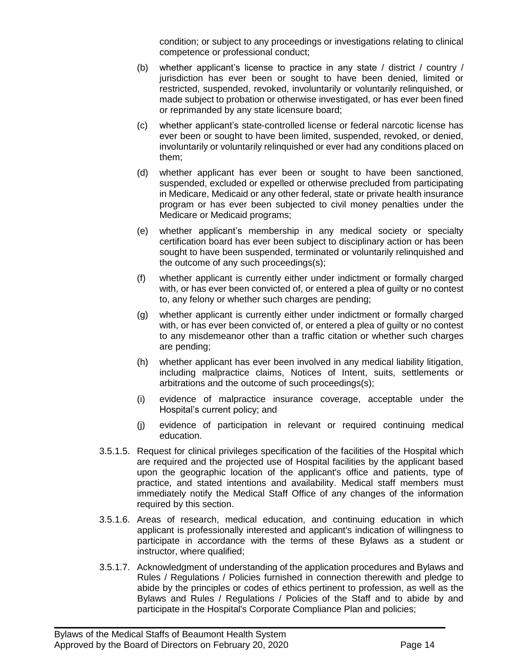condition; or subject to any proceedings or investigations relating to clinical competence or professional conduct;

- (b) whether applicant's license to practice in any state / district / country / jurisdiction has ever been or sought to have been denied, limited or restricted, suspended, revoked, involuntarily or voluntarily relinquished, or made subject to probation or otherwise investigated, or has ever been fined or reprimanded by any state licensure board;
- (c) whether applicant's state-controlled license or federal narcotic license has ever been or sought to have been limited, suspended, revoked, or denied, involuntarily or voluntarily relinquished or ever had any conditions placed on them;
- (d) whether applicant has ever been or sought to have been sanctioned, suspended, excluded or expelled or otherwise precluded from participating in Medicare, Medicaid or any other federal, state or private health insurance program or has ever been subjected to civil money penalties under the Medicare or Medicaid programs;
- (e) whether applicant's membership in any medical society or specialty certification board has ever been subject to disciplinary action or has been sought to have been suspended, terminated or voluntarily relinquished and the outcome of any such proceedings(s);
- (f) whether applicant is currently either under indictment or formally charged with, or has ever been convicted of, or entered a plea of guilty or no contest to, any felony or whether such charges are pending;
- (g) whether applicant is currently either under indictment or formally charged with, or has ever been convicted of, or entered a plea of guilty or no contest to any misdemeanor other than a traffic citation or whether such charges are pending;
- (h) whether applicant has ever been involved in any medical liability litigation, including malpractice claims, Notices of Intent, suits, settlements or arbitrations and the outcome of such proceedings(s);
- (i) evidence of malpractice insurance coverage, acceptable under the Hospital's current policy; and
- (j) evidence of participation in relevant or required continuing medical education.
- 3.5.1.5. Request for clinical privileges specification of the facilities of the Hospital which are required and the projected use of Hospital facilities by the applicant based upon the geographic location of the applicant's office and patients, type of practice, and stated intentions and availability. Medical staff members must immediately notify the Medical Staff Office of any changes of the information required by this section.
- 3.5.1.6. Areas of research, medical education, and continuing education in which applicant is professionally interested and applicant's indication of willingness to participate in accordance with the terms of these Bylaws as a student or instructor, where qualified;
- 3.5.1.7. Acknowledgment of understanding of the application procedures and Bylaws and Rules / Regulations / Policies furnished in connection therewith and pledge to abide by the principles or codes of ethics pertinent to profession, as well as the Bylaws and Rules / Regulations / Policies of the Staff and to abide by and participate in the Hospital's Corporate Compliance Plan and policies;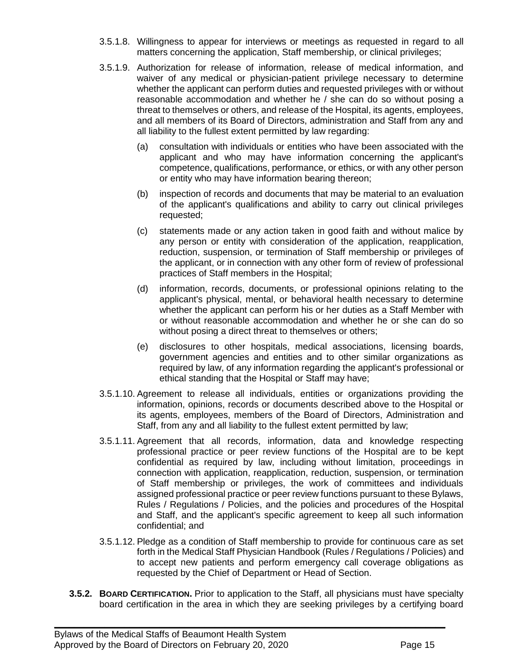- 3.5.1.8. Willingness to appear for interviews or meetings as requested in regard to all matters concerning the application, Staff membership, or clinical privileges;
- 3.5.1.9. Authorization for release of information, release of medical information, and waiver of any medical or physician-patient privilege necessary to determine whether the applicant can perform duties and requested privileges with or without reasonable accommodation and whether he / she can do so without posing a threat to themselves or others, and release of the Hospital, its agents, employees, and all members of its Board of Directors, administration and Staff from any and all liability to the fullest extent permitted by law regarding:
	- (a) consultation with individuals or entities who have been associated with the applicant and who may have information concerning the applicant's competence, qualifications, performance, or ethics, or with any other person or entity who may have information bearing thereon;
	- (b) inspection of records and documents that may be material to an evaluation of the applicant's qualifications and ability to carry out clinical privileges requested;
	- (c) statements made or any action taken in good faith and without malice by any person or entity with consideration of the application, reapplication, reduction, suspension, or termination of Staff membership or privileges of the applicant, or in connection with any other form of review of professional practices of Staff members in the Hospital;
	- (d) information, records, documents, or professional opinions relating to the applicant's physical, mental, or behavioral health necessary to determine whether the applicant can perform his or her duties as a Staff Member with or without reasonable accommodation and whether he or she can do so without posing a direct threat to themselves or others;
	- (e) disclosures to other hospitals, medical associations, licensing boards, government agencies and entities and to other similar organizations as required by law, of any information regarding the applicant's professional or ethical standing that the Hospital or Staff may have;
- 3.5.1.10. Agreement to release all individuals, entities or organizations providing the information, opinions, records or documents described above to the Hospital or its agents, employees, members of the Board of Directors, Administration and Staff, from any and all liability to the fullest extent permitted by law;
- 3.5.1.11. Agreement that all records, information, data and knowledge respecting professional practice or peer review functions of the Hospital are to be kept confidential as required by law, including without limitation, proceedings in connection with application, reapplication, reduction, suspension, or termination of Staff membership or privileges, the work of committees and individuals assigned professional practice or peer review functions pursuant to these Bylaws, Rules / Regulations / Policies, and the policies and procedures of the Hospital and Staff, and the applicant's specific agreement to keep all such information confidential; and
- 3.5.1.12. Pledge as a condition of Staff membership to provide for continuous care as set forth in the Medical Staff Physician Handbook (Rules / Regulations / Policies) and to accept new patients and perform emergency call coverage obligations as requested by the Chief of Department or Head of Section.
- **3.5.2. BOARD CERTIFICATION.** Prior to application to the Staff, all physicians must have specialty board certification in the area in which they are seeking privileges by a certifying board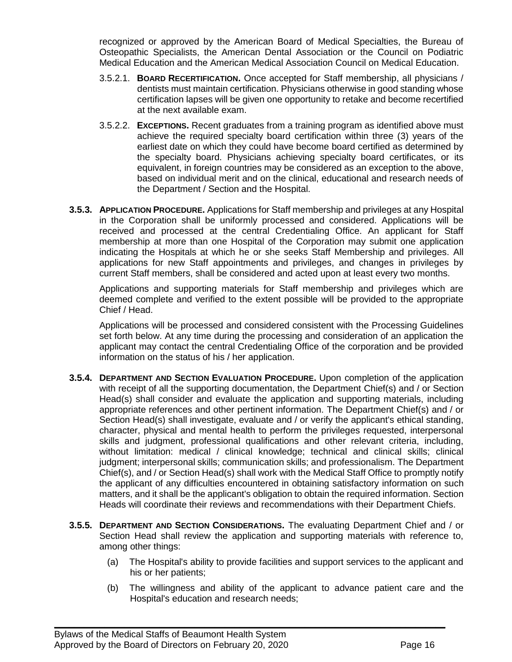recognized or approved by the American Board of Medical Specialties, the Bureau of Osteopathic Specialists, the American Dental Association or the Council on Podiatric Medical Education and the American Medical Association Council on Medical Education.

- 3.5.2.1. **BOARD RECERTIFICATION.** Once accepted for Staff membership, all physicians / dentists must maintain certification. Physicians otherwise in good standing whose certification lapses will be given one opportunity to retake and become recertified at the next available exam.
- 3.5.2.2. **EXCEPTIONS.** Recent graduates from a training program as identified above must achieve the required specialty board certification within three (3) years of the earliest date on which they could have become board certified as determined by the specialty board. Physicians achieving specialty board certificates, or its equivalent, in foreign countries may be considered as an exception to the above, based on individual merit and on the clinical, educational and research needs of the Department / Section and the Hospital.
- **3.5.3. APPLICATION PROCEDURE.** Applications for Staff membership and privileges at any Hospital in the Corporation shall be uniformly processed and considered. Applications will be received and processed at the central Credentialing Office. An applicant for Staff membership at more than one Hospital of the Corporation may submit one application indicating the Hospitals at which he or she seeks Staff Membership and privileges. All applications for new Staff appointments and privileges, and changes in privileges by current Staff members, shall be considered and acted upon at least every two months.

Applications and supporting materials for Staff membership and privileges which are deemed complete and verified to the extent possible will be provided to the appropriate Chief / Head.

Applications will be processed and considered consistent with the Processing Guidelines set forth below. At any time during the processing and consideration of an application the applicant may contact the central Credentialing Office of the corporation and be provided information on the status of his / her application.

- **3.5.4. DEPARTMENT AND SECTION EVALUATION PROCEDURE.** Upon completion of the application with receipt of all the supporting documentation, the Department Chief(s) and / or Section Head(s) shall consider and evaluate the application and supporting materials, including appropriate references and other pertinent information. The Department Chief(s) and / or Section Head(s) shall investigate, evaluate and / or verify the applicant's ethical standing, character, physical and mental health to perform the privileges requested, interpersonal skills and judgment, professional qualifications and other relevant criteria, including, without limitation: medical / clinical knowledge; technical and clinical skills; clinical judgment; interpersonal skills; communication skills; and professionalism. The Department Chief(s), and / or Section Head(s) shall work with the Medical Staff Office to promptly notify the applicant of any difficulties encountered in obtaining satisfactory information on such matters, and it shall be the applicant's obligation to obtain the required information. Section Heads will coordinate their reviews and recommendations with their Department Chiefs.
- **3.5.5. DEPARTMENT AND SECTION CONSIDERATIONS.** The evaluating Department Chief and / or Section Head shall review the application and supporting materials with reference to, among other things:

- (a) The Hospital's ability to provide facilities and support services to the applicant and his or her patients;
- (b) The willingness and ability of the applicant to advance patient care and the Hospital's education and research needs;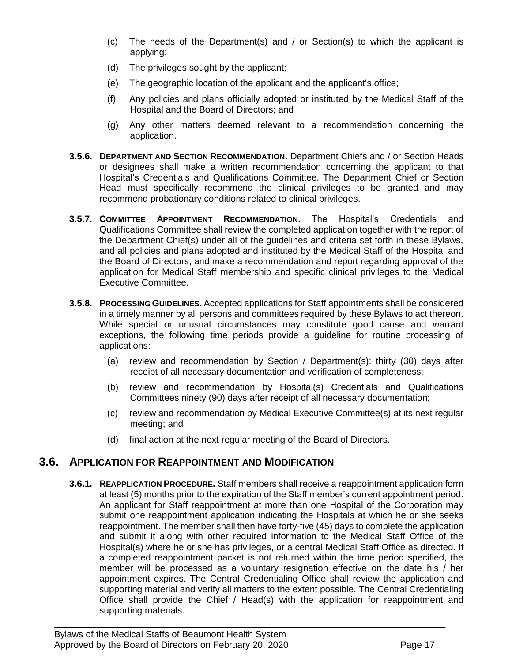- (c) The needs of the Department(s) and / or Section(s) to which the applicant is applying;
- (d) The privileges sought by the applicant;
- (e) The geographic location of the applicant and the applicant's office;
- (f) Any policies and plans officially adopted or instituted by the Medical Staff of the Hospital and the Board of Directors; and
- (g) Any other matters deemed relevant to a recommendation concerning the application.
- **3.5.6. DEPARTMENT AND SECTION RECOMMENDATION.** Department Chiefs and / or Section Heads or designees shall make a written recommendation concerning the applicant to that Hospital's Credentials and Qualifications Committee. The Department Chief or Section Head must specifically recommend the clinical privileges to be granted and may recommend probationary conditions related to clinical privileges.
- **3.5.7. COMMITTEE APPOINTMENT RECOMMENDATION.** The Hospital's Credentials and Qualifications Committee shall review the completed application together with the report of the Department Chief(s) under all of the guidelines and criteria set forth in these Bylaws, and all policies and plans adopted and instituted by the Medical Staff of the Hospital and the Board of Directors, and make a recommendation and report regarding approval of the application for Medical Staff membership and specific clinical privileges to the Medical Executive Committee.
- **3.5.8. PROCESSING GUIDELINES.** Accepted applications for Staff appointments shall be considered in a timely manner by all persons and committees required by these Bylaws to act thereon. While special or unusual circumstances may constitute good cause and warrant exceptions, the following time periods provide a guideline for routine processing of applications:
	- (a) review and recommendation by Section / Department(s): thirty (30) days after receipt of all necessary documentation and verification of completeness;
	- (b) review and recommendation by Hospital(s) Credentials and Qualifications Committees ninety (90) days after receipt of all necessary documentation;
	- (c) review and recommendation by Medical Executive Committee(s) at its next regular meeting; and
	- (d) final action at the next regular meeting of the Board of Directors.

### <span id="page-16-0"></span>**3.6. APPLICATION FOR REAPPOINTMENT AND MODIFICATION**

**3.6.1. REAPPLICATION PROCEDURE.** Staff members shall receive a reappointment application form at least (5) months prior to the expiration of the Staff member's current appointment period. An applicant for Staff reappointment at more than one Hospital of the Corporation may submit one reappointment application indicating the Hospitals at which he or she seeks reappointment. The member shall then have forty-five (45) days to complete the application and submit it along with other required information to the Medical Staff Office of the Hospital(s) where he or she has privileges, or a central Medical Staff Office as directed. If a completed reappointment packet is not returned within the time period specified, the member will be processed as a voluntary resignation effective on the date his / her appointment expires. The Central Credentialing Office shall review the application and supporting material and verify all matters to the extent possible. The Central Credentialing Office shall provide the Chief / Head(s) with the application for reappointment and supporting materials.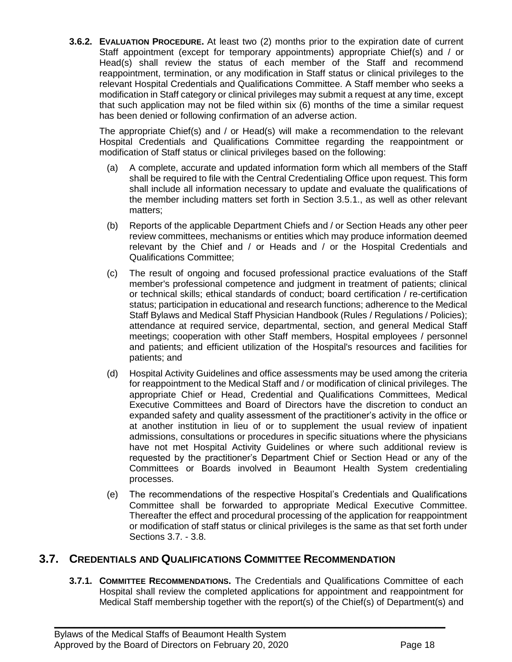**3.6.2. EVALUATION PROCEDURE.** At least two (2) months prior to the expiration date of current Staff appointment (except for temporary appointments) appropriate Chief(s) and / or Head(s) shall review the status of each member of the Staff and recommend reappointment, termination, or any modification in Staff status or clinical privileges to the relevant Hospital Credentials and Qualifications Committee. A Staff member who seeks a modification in Staff category or clinical privileges may submit a request at any time, except that such application may not be filed within six (6) months of the time a similar request has been denied or following confirmation of an adverse action.

The appropriate Chief(s) and / or Head(s) will make a recommendation to the relevant Hospital Credentials and Qualifications Committee regarding the reappointment or modification of Staff status or clinical privileges based on the following:

- (a) A complete, accurate and updated information form which all members of the Staff shall be required to file with the Central Credentialing Office upon request. This form shall include all information necessary to update and evaluate the qualifications of the member including matters set forth in Section 3.5.1., as well as other relevant matters;
- (b) Reports of the applicable Department Chiefs and / or Section Heads any other peer review committees, mechanisms or entities which may produce information deemed relevant by the Chief and / or Heads and / or the Hospital Credentials and Qualifications Committee;
- (c) The result of ongoing and focused professional practice evaluations of the Staff member's professional competence and judgment in treatment of patients; clinical or technical skills; ethical standards of conduct; board certification / re-certification status; participation in educational and research functions; adherence to the Medical Staff Bylaws and Medical Staff Physician Handbook (Rules / Regulations / Policies); attendance at required service, departmental, section, and general Medical Staff meetings; cooperation with other Staff members, Hospital employees / personnel and patients; and efficient utilization of the Hospital's resources and facilities for patients; and
- (d) Hospital Activity Guidelines and office assessments may be used among the criteria for reappointment to the Medical Staff and / or modification of clinical privileges. The appropriate Chief or Head, Credential and Qualifications Committees, Medical Executive Committees and Board of Directors have the discretion to conduct an expanded safety and quality assessment of the practitioner's activity in the office or at another institution in lieu of or to supplement the usual review of inpatient admissions, consultations or procedures in specific situations where the physicians have not met Hospital Activity Guidelines or where such additional review is requested by the practitioner's Department Chief or Section Head or any of the Committees or Boards involved in Beaumont Health System credentialing processes.
- (e) The recommendations of the respective Hospital's Credentials and Qualifications Committee shall be forwarded to appropriate Medical Executive Committee. Thereafter the effect and procedural processing of the application for reappointment or modification of staff status or clinical privileges is the same as that set forth under Sections 3.7. - 3.8.

### <span id="page-17-0"></span>**3.7. CREDENTIALS AND QUALIFICATIONS COMMITTEE RECOMMENDATION**

**3.7.1. COMMITTEE RECOMMENDATIONS.** The Credentials and Qualifications Committee of each Hospital shall review the completed applications for appointment and reappointment for Medical Staff membership together with the report(s) of the Chief(s) of Department(s) and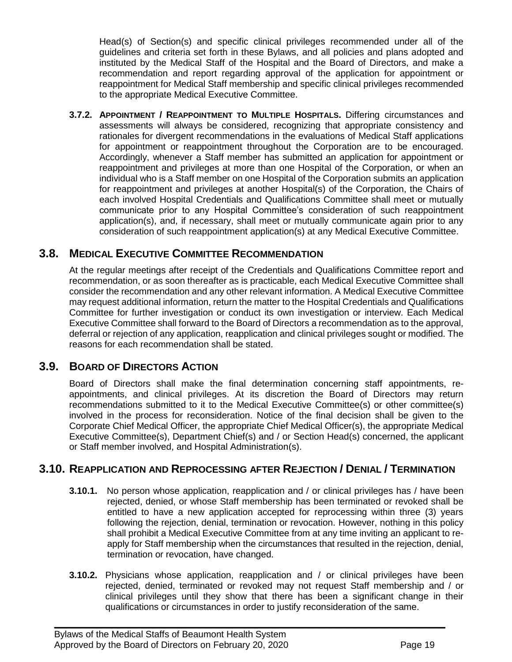Head(s) of Section(s) and specific clinical privileges recommended under all of the guidelines and criteria set forth in these Bylaws, and all policies and plans adopted and instituted by the Medical Staff of the Hospital and the Board of Directors, and make a recommendation and report regarding approval of the application for appointment or reappointment for Medical Staff membership and specific clinical privileges recommended to the appropriate Medical Executive Committee.

**3.7.2. APPOINTMENT / REAPPOINTMENT TO MULTIPLE HOSPITALS.** Differing circumstances and assessments will always be considered, recognizing that appropriate consistency and rationales for divergent recommendations in the evaluations of Medical Staff applications for appointment or reappointment throughout the Corporation are to be encouraged. Accordingly, whenever a Staff member has submitted an application for appointment or reappointment and privileges at more than one Hospital of the Corporation, or when an individual who is a Staff member on one Hospital of the Corporation submits an application for reappointment and privileges at another Hospital(s) of the Corporation, the Chairs of each involved Hospital Credentials and Qualifications Committee shall meet or mutually communicate prior to any Hospital Committee's consideration of such reappointment application(s), and, if necessary, shall meet or mutually communicate again prior to any consideration of such reappointment application(s) at any Medical Executive Committee.

# **3.8. MEDICAL EXECUTIVE COMMITTEE RECOMMENDATION**

<span id="page-18-0"></span>At the regular meetings after receipt of the Credentials and Qualifications Committee report and recommendation, or as soon thereafter as is practicable, each Medical Executive Committee shall consider the recommendation and any other relevant information. A Medical Executive Committee may request additional information, return the matter to the Hospital Credentials and Qualifications Committee for further investigation or conduct its own investigation or interview. Each Medical Executive Committee shall forward to the Board of Directors a recommendation as to the approval, deferral or rejection of any application, reapplication and clinical privileges sought or modified. The reasons for each recommendation shall be stated.

# **3.9. BOARD OF DIRECTORS ACTION**

<span id="page-18-1"></span>Board of Directors shall make the final determination concerning staff appointments, reappointments, and clinical privileges. At its discretion the Board of Directors may return recommendations submitted to it to the Medical Executive Committee(s) or other committee(s) involved in the process for reconsideration. Notice of the final decision shall be given to the Corporate Chief Medical Officer, the appropriate Chief Medical Officer(s), the appropriate Medical Executive Committee(s), Department Chief(s) and / or Section Head(s) concerned, the applicant or Staff member involved, and Hospital Administration(s).

### <span id="page-18-2"></span>**3.10. REAPPLICATION AND REPROCESSING AFTER REJECTION / DENIAL / TERMINATION**

- **3.10.1.** No person whose application, reapplication and / or clinical privileges has / have been rejected, denied, or whose Staff membership has been terminated or revoked shall be entitled to have a new application accepted for reprocessing within three (3) years following the rejection, denial, termination or revocation. However, nothing in this policy shall prohibit a Medical Executive Committee from at any time inviting an applicant to reapply for Staff membership when the circumstances that resulted in the rejection, denial, termination or revocation, have changed.
- **3.10.2.** Physicians whose application, reapplication and / or clinical privileges have been rejected, denied, terminated or revoked may not request Staff membership and / or clinical privileges until they show that there has been a significant change in their qualifications or circumstances in order to justify reconsideration of the same.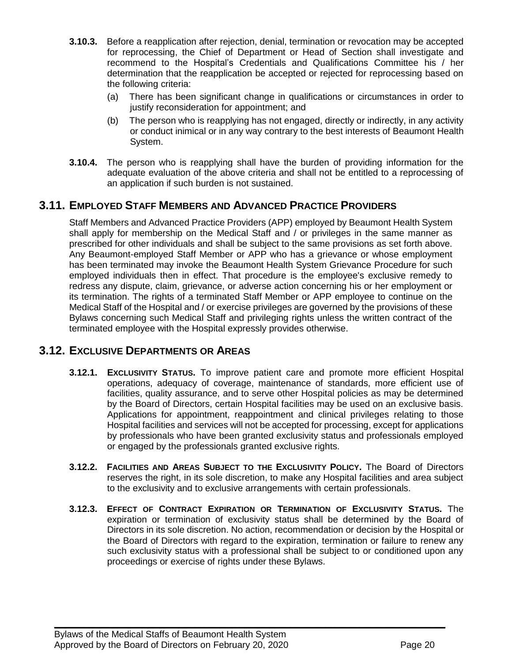- **3.10.3.** Before a reapplication after rejection, denial, termination or revocation may be accepted for reprocessing, the Chief of Department or Head of Section shall investigate and recommend to the Hospital's Credentials and Qualifications Committee his / her determination that the reapplication be accepted or rejected for reprocessing based on the following criteria:
	- (a) There has been significant change in qualifications or circumstances in order to justify reconsideration for appointment; and
	- (b) The person who is reapplying has not engaged, directly or indirectly, in any activity or conduct inimical or in any way contrary to the best interests of Beaumont Health System.
- **3.10.4.** The person who is reapplying shall have the burden of providing information for the adequate evaluation of the above criteria and shall not be entitled to a reprocessing of an application if such burden is not sustained.

# **3.11. EMPLOYED STAFF MEMBERS AND ADVANCED PRACTICE PROVIDERS**

<span id="page-19-0"></span>Staff Members and Advanced Practice Providers (APP) employed by Beaumont Health System shall apply for membership on the Medical Staff and / or privileges in the same manner as prescribed for other individuals and shall be subject to the same provisions as set forth above. Any Beaumont-employed Staff Member or APP who has a grievance or whose employment has been terminated may invoke the Beaumont Health System Grievance Procedure for such employed individuals then in effect. That procedure is the employee's exclusive remedy to redress any dispute, claim, grievance, or adverse action concerning his or her employment or its termination. The rights of a terminated Staff Member or APP employee to continue on the Medical Staff of the Hospital and / or exercise privileges are governed by the provisions of these Bylaws concerning such Medical Staff and privileging rights unless the written contract of the terminated employee with the Hospital expressly provides otherwise.

### <span id="page-19-1"></span>**3.12. EXCLUSIVE DEPARTMENTS OR AREAS**

- **3.12.1. EXCLUSIVITY STATUS.** To improve patient care and promote more efficient Hospital operations, adequacy of coverage, maintenance of standards, more efficient use of facilities, quality assurance, and to serve other Hospital policies as may be determined by the Board of Directors, certain Hospital facilities may be used on an exclusive basis. Applications for appointment, reappointment and clinical privileges relating to those Hospital facilities and services will not be accepted for processing, except for applications by professionals who have been granted exclusivity status and professionals employed or engaged by the professionals granted exclusive rights.
- **3.12.2. FACILITIES AND AREAS SUBJECT TO THE EXCLUSIVITY POLICY.** The Board of Directors reserves the right, in its sole discretion, to make any Hospital facilities and area subject to the exclusivity and to exclusive arrangements with certain professionals.
- **3.12.3. EFFECT OF CONTRACT EXPIRATION OR TERMINATION OF EXCLUSIVITY STATUS.** The expiration or termination of exclusivity status shall be determined by the Board of Directors in its sole discretion. No action, recommendation or decision by the Hospital or the Board of Directors with regard to the expiration, termination or failure to renew any such exclusivity status with a professional shall be subject to or conditioned upon any proceedings or exercise of rights under these Bylaws.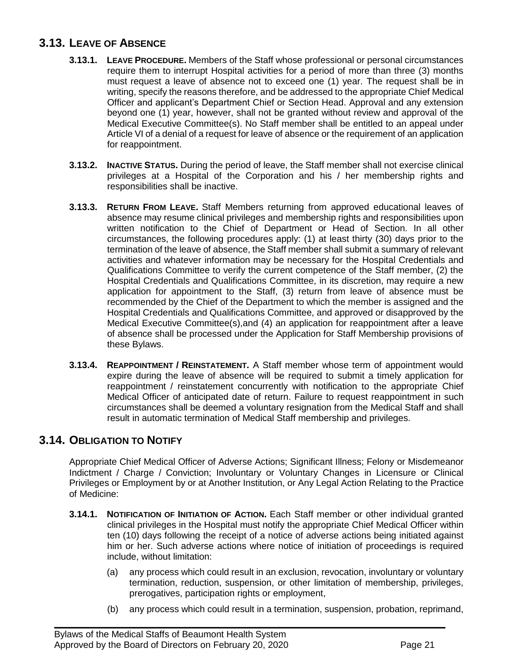# **3.13. LEAVE OF ABSENCE**

- <span id="page-20-0"></span>**3.13.1. LEAVE PROCEDURE.** Members of the Staff whose professional or personal circumstances require them to interrupt Hospital activities for a period of more than three (3) months must request a leave of absence not to exceed one (1) year. The request shall be in writing, specify the reasons therefore, and be addressed to the appropriate Chief Medical Officer and applicant's Department Chief or Section Head. Approval and any extension beyond one (1) year, however, shall not be granted without review and approval of the Medical Executive Committee(s). No Staff member shall be entitled to an appeal under Article VI of a denial of a request for leave of absence or the requirement of an application for reappointment.
- **3.13.2. INACTIVE STATUS.** During the period of leave, the Staff member shall not exercise clinical privileges at a Hospital of the Corporation and his / her membership rights and responsibilities shall be inactive.
- **3.13.3. RETURN FROM LEAVE.** Staff Members returning from approved educational leaves of absence may resume clinical privileges and membership rights and responsibilities upon written notification to the Chief of Department or Head of Section. In all other circumstances, the following procedures apply: (1) at least thirty (30) days prior to the termination of the leave of absence, the Staff member shall submit a summary of relevant activities and whatever information may be necessary for the Hospital Credentials and Qualifications Committee to verify the current competence of the Staff member, (2) the Hospital Credentials and Qualifications Committee, in its discretion, may require a new application for appointment to the Staff, (3) return from leave of absence must be recommended by the Chief of the Department to which the member is assigned and the Hospital Credentials and Qualifications Committee, and approved or disapproved by the Medical Executive Committee(s),and (4) an application for reappointment after a leave of absence shall be processed under the Application for Staff Membership provisions of these Bylaws.
- **3.13.4. REAPPOINTMENT / REINSTATEMENT.** A Staff member whose term of appointment would expire during the leave of absence will be required to submit a timely application for reappointment / reinstatement concurrently with notification to the appropriate Chief Medical Officer of anticipated date of return. Failure to request reappointment in such circumstances shall be deemed a voluntary resignation from the Medical Staff and shall result in automatic termination of Medical Staff membership and privileges.

# <span id="page-20-1"></span>**3.14. OBLIGATION TO NOTIFY**

Appropriate Chief Medical Officer of Adverse Actions; Significant Illness; Felony or Misdemeanor Indictment / Charge / Conviction; Involuntary or Voluntary Changes in Licensure or Clinical Privileges or Employment by or at Another Institution, or Any Legal Action Relating to the Practice of Medicine:

**3.14.1. NOTIFICATION OF INITIATION OF ACTION.** Each Staff member or other individual granted clinical privileges in the Hospital must notify the appropriate Chief Medical Officer within ten (10) days following the receipt of a notice of adverse actions being initiated against him or her. Such adverse actions where notice of initiation of proceedings is required include, without limitation:

- (a) any process which could result in an exclusion, revocation, involuntary or voluntary termination, reduction, suspension, or other limitation of membership, privileges, prerogatives, participation rights or employment,
- (b) any process which could result in a termination, suspension, probation, reprimand,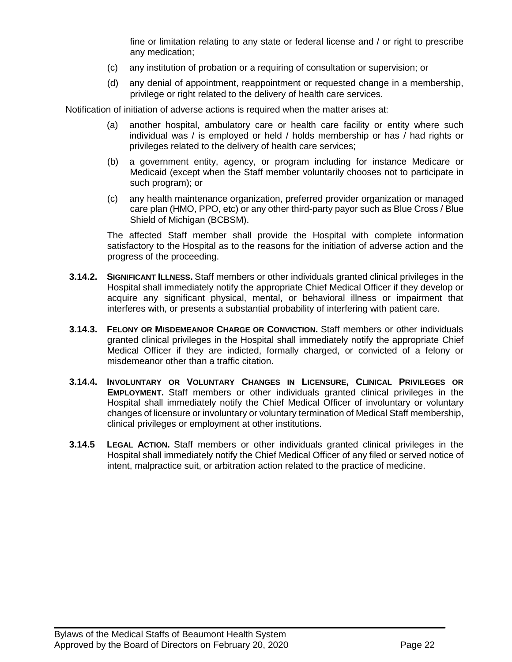fine or limitation relating to any state or federal license and / or right to prescribe any medication;

- (c) any institution of probation or a requiring of consultation or supervision; or
- (d) any denial of appointment, reappointment or requested change in a membership, privilege or right related to the delivery of health care services.

Notification of initiation of adverse actions is required when the matter arises at:

- (a) another hospital, ambulatory care or health care facility or entity where such individual was / is employed or held / holds membership or has / had rights or privileges related to the delivery of health care services;
- (b) a government entity, agency, or program including for instance Medicare or Medicaid (except when the Staff member voluntarily chooses not to participate in such program); or
- (c) any health maintenance organization, preferred provider organization or managed care plan (HMO, PPO, etc) or any other third-party payor such as Blue Cross / Blue Shield of Michigan (BCBSM).

The affected Staff member shall provide the Hospital with complete information satisfactory to the Hospital as to the reasons for the initiation of adverse action and the progress of the proceeding.

- **3.14.2. SIGNIFICANT ILLNESS.** Staff members or other individuals granted clinical privileges in the Hospital shall immediately notify the appropriate Chief Medical Officer if they develop or acquire any significant physical, mental, or behavioral illness or impairment that interferes with, or presents a substantial probability of interfering with patient care.
- **3.14.3. FELONY OR MISDEMEANOR CHARGE OR CONVICTION.** Staff members or other individuals granted clinical privileges in the Hospital shall immediately notify the appropriate Chief Medical Officer if they are indicted, formally charged, or convicted of a felony or misdemeanor other than a traffic citation.
- **3.14.4. INVOLUNTARY OR VOLUNTARY CHANGES IN LICENSURE, CLINICAL PRIVILEGES OR EMPLOYMENT.** Staff members or other individuals granted clinical privileges in the Hospital shall immediately notify the Chief Medical Officer of involuntary or voluntary changes of licensure or involuntary or voluntary termination of Medical Staff membership, clinical privileges or employment at other institutions.
- **3.14.5 LEGAL ACTION.** Staff members or other individuals granted clinical privileges in the Hospital shall immediately notify the Chief Medical Officer of any filed or served notice of intent, malpractice suit, or arbitration action related to the practice of medicine.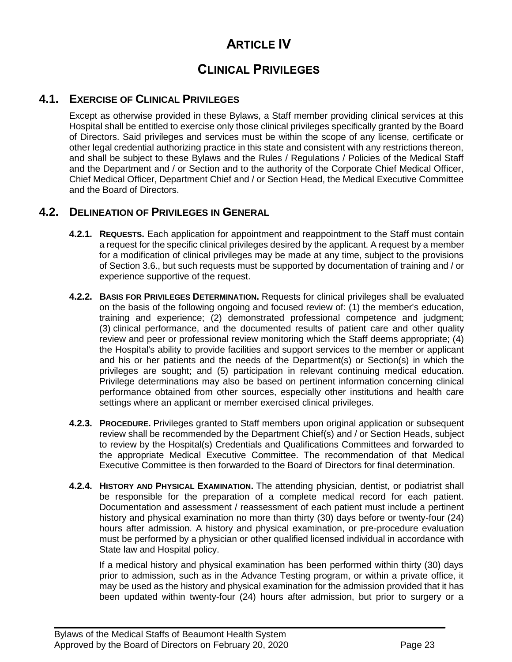# **ARTICLE IV**

# **CLINICAL PRIVILEGES**

# **4.1. EXERCISE OF CLINICAL PRIVILEGES**

<span id="page-22-0"></span>Except as otherwise provided in these Bylaws, a Staff member providing clinical services at this Hospital shall be entitled to exercise only those clinical privileges specifically granted by the Board of Directors. Said privileges and services must be within the scope of any license, certificate or other legal credential authorizing practice in this state and consistent with any restrictions thereon, and shall be subject to these Bylaws and the Rules / Regulations / Policies of the Medical Staff and the Department and / or Section and to the authority of the Corporate Chief Medical Officer, Chief Medical Officer, Department Chief and / or Section Head, the Medical Executive Committee and the Board of Directors.

# <span id="page-22-1"></span>**4.2. DELINEATION OF PRIVILEGES IN GENERAL**

- **4.2.1. REQUESTS.** Each application for appointment and reappointment to the Staff must contain a request for the specific clinical privileges desired by the applicant. A request by a member for a modification of clinical privileges may be made at any time, subject to the provisions of Section 3.6., but such requests must be supported by documentation of training and / or experience supportive of the request.
- **4.2.2. BASIS FOR PRIVILEGES DETERMINATION.** Requests for clinical privileges shall be evaluated on the basis of the following ongoing and focused review of: (1) the member's education, training and experience; (2) demonstrated professional competence and judgment; (3) clinical performance, and the documented results of patient care and other quality review and peer or professional review monitoring which the Staff deems appropriate; (4) the Hospital's ability to provide facilities and support services to the member or applicant and his or her patients and the needs of the Department(s) or Section(s) in which the privileges are sought; and (5) participation in relevant continuing medical education. Privilege determinations may also be based on pertinent information concerning clinical performance obtained from other sources, especially other institutions and health care settings where an applicant or member exercised clinical privileges.
- **4.2.3. PROCEDURE.** Privileges granted to Staff members upon original application or subsequent review shall be recommended by the Department Chief(s) and / or Section Heads, subject to review by the Hospital(s) Credentials and Qualifications Committees and forwarded to the appropriate Medical Executive Committee. The recommendation of that Medical Executive Committee is then forwarded to the Board of Directors for final determination.
- **4.2.4. HISTORY AND PHYSICAL EXAMINATION.** The attending physician, dentist, or podiatrist shall be responsible for the preparation of a complete medical record for each patient. Documentation and assessment / reassessment of each patient must include a pertinent history and physical examination no more than thirty (30) days before or twenty-four (24) hours after admission. A history and physical examination, or pre-procedure evaluation must be performed by a physician or other qualified licensed individual in accordance with State law and Hospital policy.

 $\mathcal{L}_\mathcal{L} = \mathcal{L}_\mathcal{L} = \mathcal{L}_\mathcal{L} = \mathcal{L}_\mathcal{L} = \mathcal{L}_\mathcal{L} = \mathcal{L}_\mathcal{L} = \mathcal{L}_\mathcal{L} = \mathcal{L}_\mathcal{L} = \mathcal{L}_\mathcal{L} = \mathcal{L}_\mathcal{L} = \mathcal{L}_\mathcal{L} = \mathcal{L}_\mathcal{L} = \mathcal{L}_\mathcal{L} = \mathcal{L}_\mathcal{L} = \mathcal{L}_\mathcal{L} = \mathcal{L}_\mathcal{L} = \mathcal{L}_\mathcal{L}$ 

If a medical history and physical examination has been performed within thirty (30) days prior to admission, such as in the Advance Testing program, or within a private office, it may be used as the history and physical examination for the admission provided that it has been updated within twenty-four (24) hours after admission, but prior to surgery or a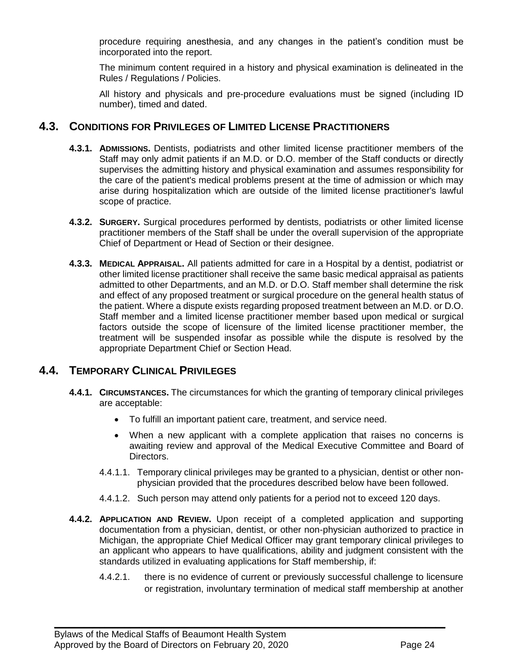procedure requiring anesthesia, and any changes in the patient's condition must be incorporated into the report.

The minimum content required in a history and physical examination is delineated in the Rules / Regulations / Policies.

All history and physicals and pre-procedure evaluations must be signed (including ID number), timed and dated.

#### <span id="page-23-0"></span>**4.3. CONDITIONS FOR PRIVILEGES OF LIMITED LICENSE PRACTITIONERS**

- **4.3.1. ADMISSIONS.** Dentists, podiatrists and other limited license practitioner members of the Staff may only admit patients if an M.D. or D.O. member of the Staff conducts or directly supervises the admitting history and physical examination and assumes responsibility for the care of the patient's medical problems present at the time of admission or which may arise during hospitalization which are outside of the limited license practitioner's lawful scope of practice.
- **4.3.2. SURGERY.** Surgical procedures performed by dentists, podiatrists or other limited license practitioner members of the Staff shall be under the overall supervision of the appropriate Chief of Department or Head of Section or their designee.
- **4.3.3. MEDICAL APPRAISAL.** All patients admitted for care in a Hospital by a dentist, podiatrist or other limited license practitioner shall receive the same basic medical appraisal as patients admitted to other Departments, and an M.D. or D.O. Staff member shall determine the risk and effect of any proposed treatment or surgical procedure on the general health status of the patient. Where a dispute exists regarding proposed treatment between an M.D. or D.O. Staff member and a limited license practitioner member based upon medical or surgical factors outside the scope of licensure of the limited license practitioner member, the treatment will be suspended insofar as possible while the dispute is resolved by the appropriate Department Chief or Section Head.

### <span id="page-23-1"></span>**4.4. TEMPORARY CLINICAL PRIVILEGES**

- **4.4.1. CIRCUMSTANCES.** The circumstances for which the granting of temporary clinical privileges are acceptable:
	- To fulfill an important patient care, treatment, and service need.
	- When a new applicant with a complete application that raises no concerns is awaiting review and approval of the Medical Executive Committee and Board of Directors.
	- 4.4.1.1. Temporary clinical privileges may be granted to a physician, dentist or other nonphysician provided that the procedures described below have been followed.
	- 4.4.1.2. Such person may attend only patients for a period not to exceed 120 days.
- **4.4.2. APPLICATION AND REVIEW.** Upon receipt of a completed application and supporting documentation from a physician, dentist, or other non-physician authorized to practice in Michigan, the appropriate Chief Medical Officer may grant temporary clinical privileges to an applicant who appears to have qualifications, ability and judgment consistent with the standards utilized in evaluating applications for Staff membership, if:

 $\mathcal{L}_\mathcal{L} = \mathcal{L}_\mathcal{L} = \mathcal{L}_\mathcal{L} = \mathcal{L}_\mathcal{L} = \mathcal{L}_\mathcal{L} = \mathcal{L}_\mathcal{L} = \mathcal{L}_\mathcal{L} = \mathcal{L}_\mathcal{L} = \mathcal{L}_\mathcal{L} = \mathcal{L}_\mathcal{L} = \mathcal{L}_\mathcal{L} = \mathcal{L}_\mathcal{L} = \mathcal{L}_\mathcal{L} = \mathcal{L}_\mathcal{L} = \mathcal{L}_\mathcal{L} = \mathcal{L}_\mathcal{L} = \mathcal{L}_\mathcal{L}$ 

4.4.2.1. there is no evidence of current or previously successful challenge to licensure or registration, involuntary termination of medical staff membership at another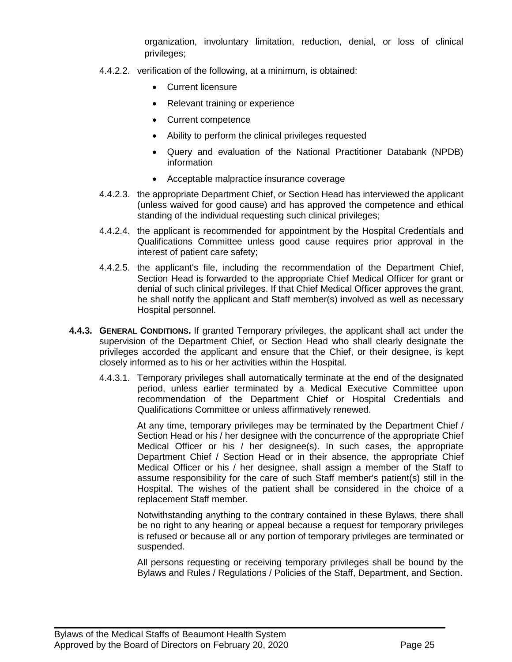organization, involuntary limitation, reduction, denial, or loss of clinical privileges;

- 4.4.2.2. verification of the following, at a minimum, is obtained:
	- Current licensure
	- Relevant training or experience
	- Current competence
	- Ability to perform the clinical privileges requested
	- Query and evaluation of the National Practitioner Databank (NPDB) information
	- Acceptable malpractice insurance coverage
- 4.4.2.3. the appropriate Department Chief, or Section Head has interviewed the applicant (unless waived for good cause) and has approved the competence and ethical standing of the individual requesting such clinical privileges;
- 4.4.2.4. the applicant is recommended for appointment by the Hospital Credentials and Qualifications Committee unless good cause requires prior approval in the interest of patient care safety;
- 4.4.2.5. the applicant's file, including the recommendation of the Department Chief, Section Head is forwarded to the appropriate Chief Medical Officer for grant or denial of such clinical privileges. If that Chief Medical Officer approves the grant, he shall notify the applicant and Staff member(s) involved as well as necessary Hospital personnel.
- **4.4.3. GENERAL CONDITIONS.** If granted Temporary privileges, the applicant shall act under the supervision of the Department Chief, or Section Head who shall clearly designate the privileges accorded the applicant and ensure that the Chief, or their designee, is kept closely informed as to his or her activities within the Hospital.
	- 4.4.3.1. Temporary privileges shall automatically terminate at the end of the designated period, unless earlier terminated by a Medical Executive Committee upon recommendation of the Department Chief or Hospital Credentials and Qualifications Committee or unless affirmatively renewed.

At any time, temporary privileges may be terminated by the Department Chief / Section Head or his / her designee with the concurrence of the appropriate Chief Medical Officer or his / her designee(s). In such cases, the appropriate Department Chief / Section Head or in their absence, the appropriate Chief Medical Officer or his / her designee, shall assign a member of the Staff to assume responsibility for the care of such Staff member's patient(s) still in the Hospital. The wishes of the patient shall be considered in the choice of a replacement Staff member.

Notwithstanding anything to the contrary contained in these Bylaws, there shall be no right to any hearing or appeal because a request for temporary privileges is refused or because all or any portion of temporary privileges are terminated or suspended.

All persons requesting or receiving temporary privileges shall be bound by the Bylaws and Rules / Regulations / Policies of the Staff, Department, and Section.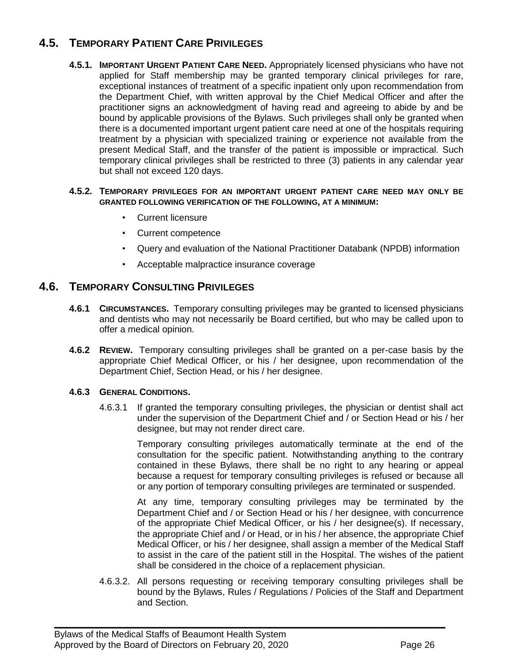# <span id="page-25-2"></span>**4.5. TEMPORARY PATIENT CARE PRIVILEGES**

<span id="page-25-0"></span>**4.5.1. IMPORTANT URGENT PATIENT CARE NEED.** Appropriately licensed physicians who have not applied for Staff membership may be granted temporary clinical privileges for rare, exceptional instances of treatment of a specific inpatient only upon recommendation from the Department Chief, with written approval by the Chief Medical Officer and after the practitioner signs an acknowledgment of having read and agreeing to abide by and be bound by applicable provisions of the Bylaws. Such privileges shall only be granted when there is a documented important urgent patient care need at one of the hospitals requiring treatment by a physician with specialized training or experience not available from the present Medical Staff, and the transfer of the patient is impossible or impractical. Such temporary clinical privileges shall be restricted to three (3) patients in any calendar year but shall not exceed 120 days.

#### **4.5.2. TEMPORARY PRIVILEGES FOR AN IMPORTANT URGENT PATIENT CARE NEED MAY ONLY BE GRANTED FOLLOWING VERIFICATION OF THE FOLLOWING, AT A MINIMUM:**

- Current licensure
- Current competence
- Query and evaluation of the National Practitioner Databank (NPDB) information
- Acceptable malpractice insurance coverage

# <span id="page-25-1"></span>**4.6. TEMPORARY CONSULTING PRIVILEGES**

- **4.6.1 CIRCUMSTANCES.** Temporary consulting privileges may be granted to licensed physicians and dentists who may not necessarily be Board certified, but who may be called upon to offer a medical opinion.
- **4.6.2 REVIEW.** Temporary consulting privileges shall be granted on a per-case basis by the appropriate Chief Medical Officer, or his / her designee, upon recommendation of the Department Chief, Section Head, or his / her designee.

#### **4.6.3 GENERAL CONDITIONS.**

4.6.3.1 If granted the temporary consulting privileges, the physician or dentist shall act under the supervision of the Department Chief and / or Section Head or his / her designee, but may not render direct care.

> Temporary consulting privileges automatically terminate at the end of the consultation for the specific patient. Notwithstanding anything to the contrary contained in these Bylaws, there shall be no right to any hearing or appeal because a request for temporary consulting privileges is refused or because all or any portion of temporary consulting privileges are terminated or suspended.

> At any time, temporary consulting privileges may be terminated by the Department Chief and / or Section Head or his / her designee, with concurrence of the appropriate Chief Medical Officer, or his / her designee(s). If necessary, the appropriate Chief and / or Head, or in his / her absence, the appropriate Chief Medical Officer, or his / her designee, shall assign a member of the Medical Staff to assist in the care of the patient still in the Hospital. The wishes of the patient shall be considered in the choice of a replacement physician.

4.6.3.2. All persons requesting or receiving temporary consulting privileges shall be bound by the Bylaws, Rules / Regulations / Policies of the Staff and Department and Section.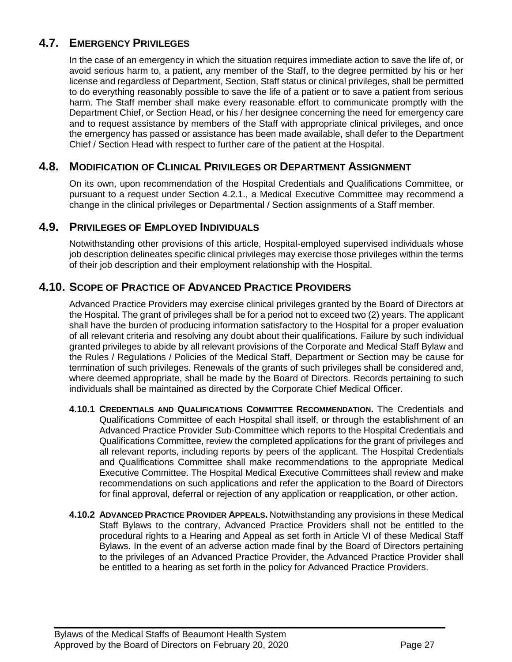# **4.7. EMERGENCY PRIVILEGES**

In the case of an emergency in which the situation requires immediate action to save the life of, or avoid serious harm to, a patient, any member of the Staff, to the degree permitted by his or her license and regardless of Department, Section, Staff status or clinical privileges, shall be permitted to do everything reasonably possible to save the life of a patient or to save a patient from serious harm. The Staff member shall make every reasonable effort to communicate promptly with the Department Chief, or Section Head, or his / her designee concerning the need for emergency care and to request assistance by members of the Staff with appropriate clinical privileges, and once the emergency has passed or assistance has been made available, shall defer to the Department Chief / Section Head with respect to further care of the patient at the Hospital.

# **4.8. MODIFICATION OF CLINICAL PRIVILEGES OR DEPARTMENT ASSIGNMENT**

<span id="page-26-0"></span>On its own, upon recommendation of the Hospital Credentials and Qualifications Committee, or pursuant to a request under Section 4.2.1., a Medical Executive Committee may recommend a change in the clinical privileges or Departmental / Section assignments of a Staff member.

# **4.9. PRIVILEGES OF EMPLOYED INDIVIDUALS**

<span id="page-26-1"></span>Notwithstanding other provisions of this article, Hospital-employed supervised individuals whose job description delineates specific clinical privileges may exercise those privileges within the terms of their job description and their employment relationship with the Hospital.

# **4.10. SCOPE OF PRACTICE OF ADVANCED PRACTICE PROVIDERS**

<span id="page-26-2"></span>Advanced Practice Providers may exercise clinical privileges granted by the Board of Directors at the Hospital. The grant of privileges shall be for a period not to exceed two (2) years. The applicant shall have the burden of producing information satisfactory to the Hospital for a proper evaluation of all relevant criteria and resolving any doubt about their qualifications. Failure by such individual granted privileges to abide by all relevant provisions of the Corporate and Medical Staff Bylaw and the Rules / Regulations / Policies of the Medical Staff, Department or Section may be cause for termination of such privileges. Renewals of the grants of such privileges shall be considered and, where deemed appropriate, shall be made by the Board of Directors. Records pertaining to such individuals shall be maintained as directed by the Corporate Chief Medical Officer.

- **4.10.1 CREDENTIALS AND QUALIFICATIONS COMMITTEE RECOMMENDATION.** The Credentials and Qualifications Committee of each Hospital shall itself, or through the establishment of an Advanced Practice Provider Sub-Committee which reports to the Hospital Credentials and Qualifications Committee, review the completed applications for the grant of privileges and all relevant reports, including reports by peers of the applicant. The Hospital Credentials and Qualifications Committee shall make recommendations to the appropriate Medical Executive Committee. The Hospital Medical Executive Committees shall review and make recommendations on such applications and refer the application to the Board of Directors for final approval, deferral or rejection of any application or reapplication, or other action.
- **4.10.2 ADVANCED PRACTICE PROVIDER APPEALS.** Notwithstanding any provisions in these Medical Staff Bylaws to the contrary, Advanced Practice Providers shall not be entitled to the procedural rights to a Hearing and Appeal as set forth in Article VI of these Medical Staff Bylaws. In the event of an adverse action made final by the Board of Directors pertaining to the privileges of an Advanced Practice Provider, the Advanced Practice Provider shall be entitled to a hearing as set forth in the policy for Advanced Practice Providers.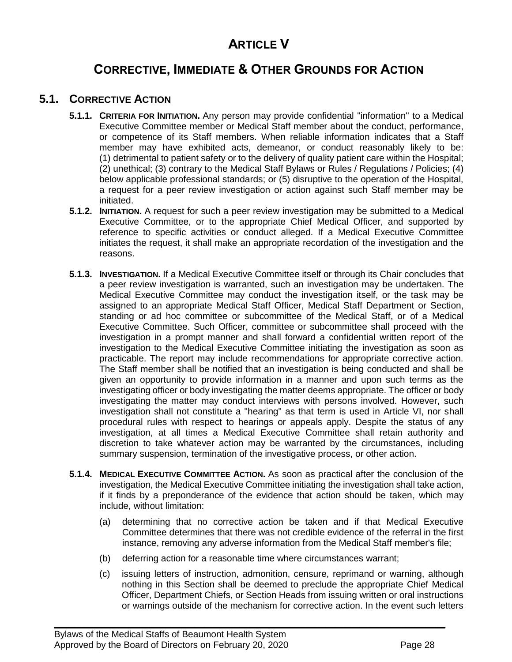# **ARTICLE V**

# **CORRECTIVE, IMMEDIATE & OTHER GROUNDS FOR ACTION**

# **5.1. CORRECTIVE ACTION**

- <span id="page-27-0"></span>**5.1.1. CRITERIA FOR INITIATION.** Any person may provide confidential "information" to a Medical Executive Committee member or Medical Staff member about the conduct, performance, or competence of its Staff members. When reliable information indicates that a Staff member may have exhibited acts, demeanor, or conduct reasonably likely to be: (1) detrimental to patient safety or to the delivery of quality patient care within the Hospital; (2) unethical; (3) contrary to the Medical Staff Bylaws or Rules / Regulations / Policies; (4) below applicable professional standards; or (5) disruptive to the operation of the Hospital, a request for a peer review investigation or action against such Staff member may be initiated.
- **5.1.2. INITIATION.** A request for such a peer review investigation may be submitted to a Medical Executive Committee, or to the appropriate Chief Medical Officer, and supported by reference to specific activities or conduct alleged. If a Medical Executive Committee initiates the request, it shall make an appropriate recordation of the investigation and the reasons.
- **5.1.3. INVESTIGATION.** If a Medical Executive Committee itself or through its Chair concludes that a peer review investigation is warranted, such an investigation may be undertaken. The Medical Executive Committee may conduct the investigation itself, or the task may be assigned to an appropriate Medical Staff Officer, Medical Staff Department or Section, standing or ad hoc committee or subcommittee of the Medical Staff, or of a Medical Executive Committee. Such Officer, committee or subcommittee shall proceed with the investigation in a prompt manner and shall forward a confidential written report of the investigation to the Medical Executive Committee initiating the investigation as soon as practicable. The report may include recommendations for appropriate corrective action. The Staff member shall be notified that an investigation is being conducted and shall be given an opportunity to provide information in a manner and upon such terms as the investigating officer or body investigating the matter deems appropriate. The officer or body investigating the matter may conduct interviews with persons involved. However, such investigation shall not constitute a "hearing" as that term is used in Article VI, nor shall procedural rules with respect to hearings or appeals apply. Despite the status of any investigation, at all times a Medical Executive Committee shall retain authority and discretion to take whatever action may be warranted by the circumstances, including summary suspension, termination of the investigative process, or other action.
- **5.1.4. MEDICAL EXECUTIVE COMMITTEE ACTION.** As soon as practical after the conclusion of the investigation, the Medical Executive Committee initiating the investigation shall take action, if it finds by a preponderance of the evidence that action should be taken, which may include, without limitation:
	- (a) determining that no corrective action be taken and if that Medical Executive Committee determines that there was not credible evidence of the referral in the first instance, removing any adverse information from the Medical Staff member's file;
	- (b) deferring action for a reasonable time where circumstances warrant;

 $\mathcal{L}_\mathcal{L} = \mathcal{L}_\mathcal{L} = \mathcal{L}_\mathcal{L} = \mathcal{L}_\mathcal{L} = \mathcal{L}_\mathcal{L} = \mathcal{L}_\mathcal{L} = \mathcal{L}_\mathcal{L} = \mathcal{L}_\mathcal{L} = \mathcal{L}_\mathcal{L} = \mathcal{L}_\mathcal{L} = \mathcal{L}_\mathcal{L} = \mathcal{L}_\mathcal{L} = \mathcal{L}_\mathcal{L} = \mathcal{L}_\mathcal{L} = \mathcal{L}_\mathcal{L} = \mathcal{L}_\mathcal{L} = \mathcal{L}_\mathcal{L}$ 

(c) issuing letters of instruction, admonition, censure, reprimand or warning, although nothing in this Section shall be deemed to preclude the appropriate Chief Medical Officer, Department Chiefs, or Section Heads from issuing written or oral instructions or warnings outside of the mechanism for corrective action. In the event such letters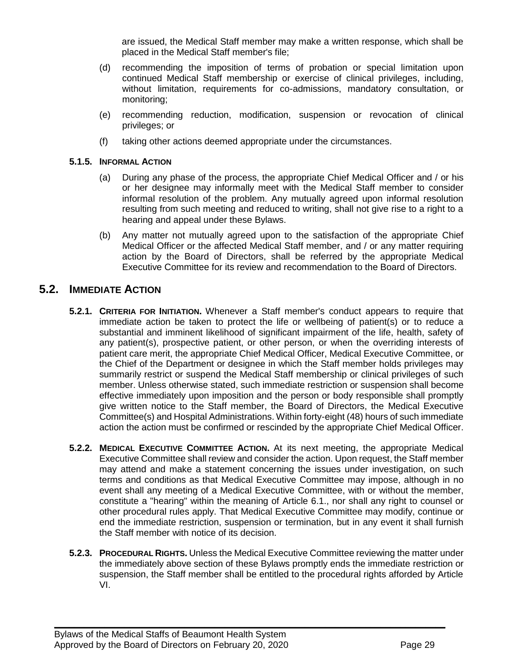are issued, the Medical Staff member may make a written response, which shall be placed in the Medical Staff member's file;

- (d) recommending the imposition of terms of probation or special limitation upon continued Medical Staff membership or exercise of clinical privileges, including, without limitation, requirements for co-admissions, mandatory consultation, or monitoring;
- (e) recommending reduction, modification, suspension or revocation of clinical privileges; or
- (f) taking other actions deemed appropriate under the circumstances.

#### **5.1.5. INFORMAL ACTION**

- (a) During any phase of the process, the appropriate Chief Medical Officer and / or his or her designee may informally meet with the Medical Staff member to consider informal resolution of the problem. Any mutually agreed upon informal resolution resulting from such meeting and reduced to writing, shall not give rise to a right to a hearing and appeal under these Bylaws.
- (b) Any matter not mutually agreed upon to the satisfaction of the appropriate Chief Medical Officer or the affected Medical Staff member, and / or any matter requiring action by the Board of Directors, shall be referred by the appropriate Medical Executive Committee for its review and recommendation to the Board of Directors.

# <span id="page-28-0"></span>**5.2. IMMEDIATE ACTION**

- **5.2.1. CRITERIA FOR INITIATION.** Whenever a Staff member's conduct appears to require that immediate action be taken to protect the life or wellbeing of patient(s) or to reduce a substantial and imminent likelihood of significant impairment of the life, health, safety of any patient(s), prospective patient, or other person, or when the overriding interests of patient care merit, the appropriate Chief Medical Officer, Medical Executive Committee, or the Chief of the Department or designee in which the Staff member holds privileges may summarily restrict or suspend the Medical Staff membership or clinical privileges of such member. Unless otherwise stated, such immediate restriction or suspension shall become effective immediately upon imposition and the person or body responsible shall promptly give written notice to the Staff member, the Board of Directors, the Medical Executive Committee(s) and Hospital Administrations. Within forty-eight (48) hours of such immediate action the action must be confirmed or rescinded by the appropriate Chief Medical Officer.
- **5.2.2. MEDICAL EXECUTIVE COMMITTEE ACTION.** At its next meeting, the appropriate Medical Executive Committee shall review and consider the action. Upon request, the Staff member may attend and make a statement concerning the issues under investigation, on such terms and conditions as that Medical Executive Committee may impose, although in no event shall any meeting of a Medical Executive Committee, with or without the member, constitute a "hearing" within the meaning of Article 6.1., nor shall any right to counsel or other procedural rules apply. That Medical Executive Committee may modify, continue or end the immediate restriction, suspension or termination, but in any event it shall furnish the Staff member with notice of its decision.
- **5.2.3. PROCEDURAL RIGHTS.** Unless the Medical Executive Committee reviewing the matter under the immediately above section of these Bylaws promptly ends the immediate restriction or suspension, the Staff member shall be entitled to the procedural rights afforded by Article VI.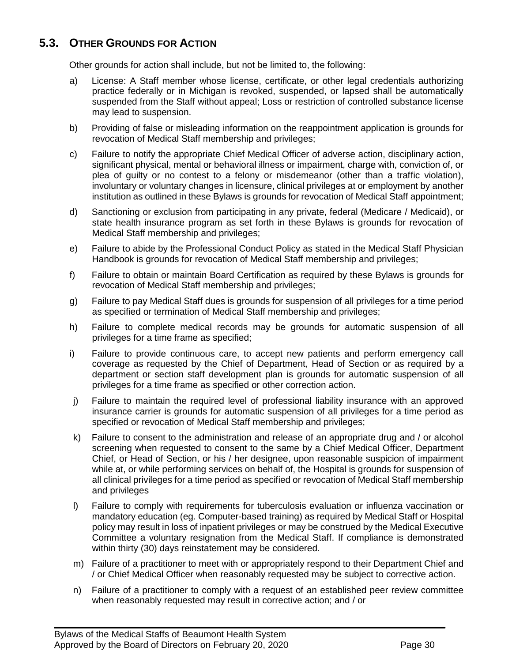# **5.3. OTHER GROUNDS FOR ACTION**

<span id="page-29-0"></span>Other grounds for action shall include, but not be limited to, the following:

- a) License: A Staff member whose license, certificate, or other legal credentials authorizing practice federally or in Michigan is revoked, suspended, or lapsed shall be automatically suspended from the Staff without appeal; Loss or restriction of controlled substance license may lead to suspension.
- b) Providing of false or misleading information on the reappointment application is grounds for revocation of Medical Staff membership and privileges;
- c) Failure to notify the appropriate Chief Medical Officer of adverse action, disciplinary action, significant physical, mental or behavioral illness or impairment, charge with, conviction of, or plea of guilty or no contest to a felony or misdemeanor (other than a traffic violation), involuntary or voluntary changes in licensure, clinical privileges at or employment by another institution as outlined in these Bylaws is grounds for revocation of Medical Staff appointment;
- d) Sanctioning or exclusion from participating in any private, federal (Medicare / Medicaid), or state health insurance program as set forth in these Bylaws is grounds for revocation of Medical Staff membership and privileges;
- e) Failure to abide by the Professional Conduct Policy as stated in the Medical Staff Physician Handbook is grounds for revocation of Medical Staff membership and privileges;
- f) Failure to obtain or maintain Board Certification as required by these Bylaws is grounds for revocation of Medical Staff membership and privileges;
- g) Failure to pay Medical Staff dues is grounds for suspension of all privileges for a time period as specified or termination of Medical Staff membership and privileges;
- h) Failure to complete medical records may be grounds for automatic suspension of all privileges for a time frame as specified;
- i) Failure to provide continuous care, to accept new patients and perform emergency call coverage as requested by the Chief of Department, Head of Section or as required by a department or section staff development plan is grounds for automatic suspension of all privileges for a time frame as specified or other correction action.
- j) Failure to maintain the required level of professional liability insurance with an approved insurance carrier is grounds for automatic suspension of all privileges for a time period as specified or revocation of Medical Staff membership and privileges;
- k) Failure to consent to the administration and release of an appropriate drug and / or alcohol screening when requested to consent to the same by a Chief Medical Officer, Department Chief, or Head of Section, or his / her designee, upon reasonable suspicion of impairment while at, or while performing services on behalf of, the Hospital is grounds for suspension of all clinical privileges for a time period as specified or revocation of Medical Staff membership and privileges
- l) Failure to comply with requirements for tuberculosis evaluation or influenza vaccination or mandatory education (eg. Computer-based training) as required by Medical Staff or Hospital policy may result in loss of inpatient privileges or may be construed by the Medical Executive Committee a voluntary resignation from the Medical Staff. If compliance is demonstrated within thirty (30) days reinstatement may be considered.
- m) Failure of a practitioner to meet with or appropriately respond to their Department Chief and / or Chief Medical Officer when reasonably requested may be subject to corrective action.
- n) Failure of a practitioner to comply with a request of an established peer review committee when reasonably requested may result in corrective action; and / or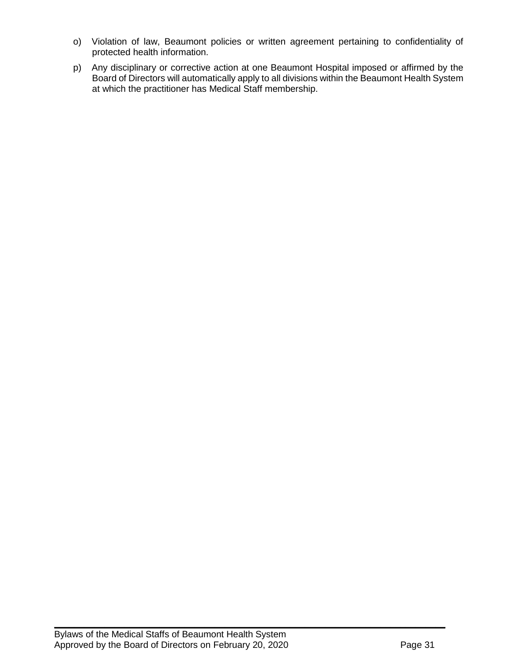- o) Violation of law, Beaumont policies or written agreement pertaining to confidentiality of protected health information.
- p) Any disciplinary or corrective action at one Beaumont Hospital imposed or affirmed by the Board of Directors will automatically apply to all divisions within the Beaumont Health System at which the practitioner has Medical Staff membership.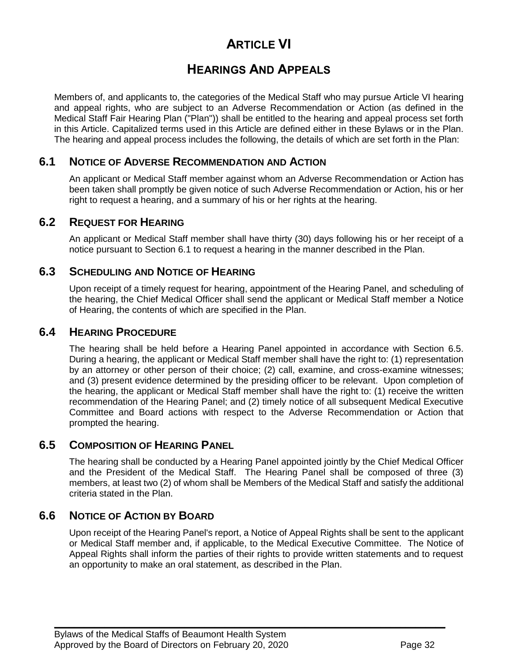# **ARTICLE VI**

# **HEARINGS AND APPEALS**

Members of, and applicants to, the categories of the Medical Staff who may pursue Article VI hearing and appeal rights, who are subject to an Adverse Recommendation or Action (as defined in the Medical Staff Fair Hearing Plan ("Plan")) shall be entitled to the hearing and appeal process set forth in this Article. Capitalized terms used in this Article are defined either in these Bylaws or in the Plan. The hearing and appeal process includes the following, the details of which are set forth in the Plan:

# **6.1 NOTICE OF ADVERSE RECOMMENDATION AND ACTION**

<span id="page-31-0"></span>An applicant or Medical Staff member against whom an Adverse Recommendation or Action has been taken shall promptly be given notice of such Adverse Recommendation or Action, his or her right to request a hearing, and a summary of his or her rights at the hearing.

# **6.2 REQUEST FOR HEARING**

<span id="page-31-2"></span><span id="page-31-1"></span>An applicant or Medical Staff member shall have thirty (30) days following his or her receipt of a notice pursuant to Section 6.1 to request a hearing in the manner described in the Plan.

# **6.3 SCHEDULING AND NOTICE OF HEARING**

Upon receipt of a timely request for hearing, appointment of the Hearing Panel, and scheduling of the hearing, the Chief Medical Officer shall send the applicant or Medical Staff member a Notice of Hearing, the contents of which are specified in the Plan.

# **6.4 HEARING PROCEDURE**

<span id="page-31-3"></span>The hearing shall be held before a Hearing Panel appointed in accordance with Section 6.5. During a hearing, the applicant or Medical Staff member shall have the right to: (1) representation by an attorney or other person of their choice; (2) call, examine, and cross-examine witnesses; and (3) present evidence determined by the presiding officer to be relevant. Upon completion of the hearing, the applicant or Medical Staff member shall have the right to: (1) receive the written recommendation of the Hearing Panel; and (2) timely notice of all subsequent Medical Executive Committee and Board actions with respect to the Adverse Recommendation or Action that prompted the hearing.

### **6.5 COMPOSITION OF HEARING PANEL**

<span id="page-31-4"></span>The hearing shall be conducted by a Hearing Panel appointed jointly by the Chief Medical Officer and the President of the Medical Staff. The Hearing Panel shall be composed of three (3) members, at least two (2) of whom shall be Members of the Medical Staff and satisfy the additional criteria stated in the Plan.

# **6.6 NOTICE OF ACTION BY BOARD**

<span id="page-31-5"></span>Upon receipt of the Hearing Panel's report, a Notice of Appeal Rights shall be sent to the applicant or Medical Staff member and, if applicable, to the Medical Executive Committee. The Notice of Appeal Rights shall inform the parties of their rights to provide written statements and to request an opportunity to make an oral statement, as described in the Plan.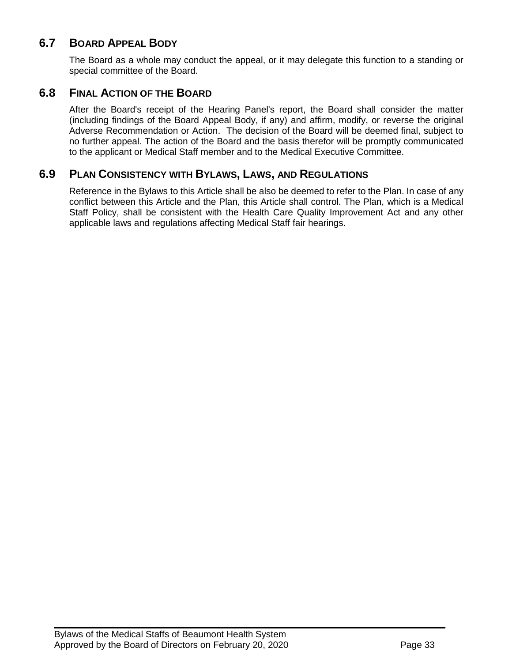# **6.7 BOARD APPEAL BODY**

<span id="page-32-1"></span><span id="page-32-0"></span>The Board as a whole may conduct the appeal, or it may delegate this function to a standing or special committee of the Board.

# **6.8 FINAL ACTION OF THE BOARD**

After the Board's receipt of the Hearing Panel's report, the Board shall consider the matter (including findings of the Board Appeal Body, if any) and affirm, modify, or reverse the original Adverse Recommendation or Action. The decision of the Board will be deemed final, subject to no further appeal. The action of the Board and the basis therefor will be promptly communicated to the applicant or Medical Staff member and to the Medical Executive Committee.

# **6.9 PLAN CONSISTENCY WITH BYLAWS, LAWS, AND REGULATIONS**

<span id="page-32-2"></span>Reference in the Bylaws to this Article shall be also be deemed to refer to the Plan. In case of any conflict between this Article and the Plan, this Article shall control. The Plan, which is a Medical Staff Policy, shall be consistent with the Health Care Quality Improvement Act and any other applicable laws and regulations affecting Medical Staff fair hearings.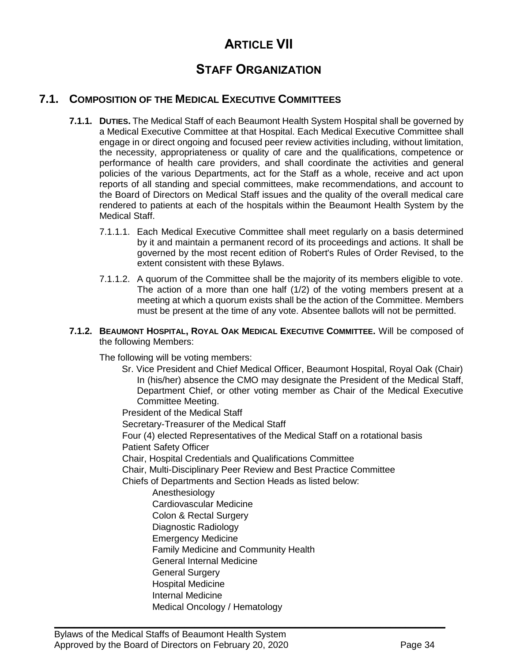# **ARTICLE VII**

# **STAFF ORGANIZATION**

# **7.1. COMPOSITION OF THE MEDICAL EXECUTIVE COMMITTEES**

- <span id="page-33-0"></span>**7.1.1. DUTIES.** The Medical Staff of each Beaumont Health System Hospital shall be governed by a Medical Executive Committee at that Hospital. Each Medical Executive Committee shall engage in or direct ongoing and focused peer review activities including, without limitation, the necessity, appropriateness or quality of care and the qualifications, competence or performance of health care providers, and shall coordinate the activities and general policies of the various Departments, act for the Staff as a whole, receive and act upon reports of all standing and special committees, make recommendations, and account to the Board of Directors on Medical Staff issues and the quality of the overall medical care rendered to patients at each of the hospitals within the Beaumont Health System by the Medical Staff.
	- 7.1.1.1. Each Medical Executive Committee shall meet regularly on a basis determined by it and maintain a permanent record of its proceedings and actions. It shall be governed by the most recent edition of Robert's Rules of Order Revised, to the extent consistent with these Bylaws.
	- 7.1.1.2. A quorum of the Committee shall be the majority of its members eligible to vote. The action of a more than one half (1/2) of the voting members present at a meeting at which a quorum exists shall be the action of the Committee. Members must be present at the time of any vote. Absentee ballots will not be permitted.

#### <span id="page-33-1"></span>**7.1.2. BEAUMONT HOSPITAL, ROYAL OAK MEDICAL EXECUTIVE COMMITTEE.** Will be composed of the following Members:

The following will be voting members:

Sr. Vice President and Chief Medical Officer, Beaumont Hospital, Royal Oak (Chair) In (his/her) absence the CMO may designate the President of the Medical Staff, Department Chief, or other voting member as Chair of the Medical Executive Committee Meeting.

President of the Medical Staff Secretary-Treasurer of the Medical Staff Four (4) elected Representatives of the Medical Staff on a rotational basis Patient Safety Officer Chair, Hospital Credentials and Qualifications Committee Chair, Multi-Disciplinary Peer Review and Best Practice Committee Chiefs of Departments and Section Heads as listed below: Anesthesiology Cardiovascular Medicine Colon & Rectal Surgery Diagnostic Radiology Emergency Medicine Family Medicine and Community Health General Internal Medicine General Surgery Hospital Medicine Internal Medicine

 $\mathcal{L}_\mathcal{L} = \mathcal{L}_\mathcal{L} = \mathcal{L}_\mathcal{L} = \mathcal{L}_\mathcal{L} = \mathcal{L}_\mathcal{L} = \mathcal{L}_\mathcal{L} = \mathcal{L}_\mathcal{L} = \mathcal{L}_\mathcal{L} = \mathcal{L}_\mathcal{L} = \mathcal{L}_\mathcal{L} = \mathcal{L}_\mathcal{L} = \mathcal{L}_\mathcal{L} = \mathcal{L}_\mathcal{L} = \mathcal{L}_\mathcal{L} = \mathcal{L}_\mathcal{L} = \mathcal{L}_\mathcal{L} = \mathcal{L}_\mathcal{L}$ 

Medical Oncology / Hematology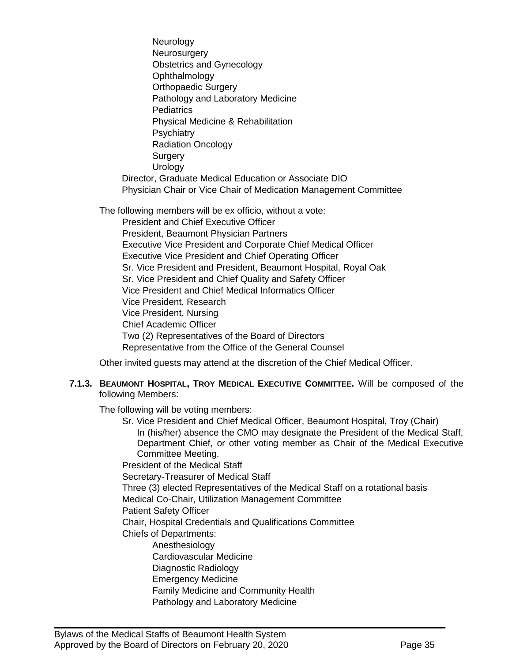Neurology **Neurosurgery** Obstetrics and Gynecology Ophthalmology Orthopaedic Surgery Pathology and Laboratory Medicine **Pediatrics** Physical Medicine & Rehabilitation **Psychiatry** Radiation Oncology **Surgery Urology** Director, Graduate Medical Education or Associate DIO Physician Chair or Vice Chair of Medication Management Committee

The following members will be ex officio, without a vote:

President and Chief Executive Officer

President, Beaumont Physician Partners

Executive Vice President and Corporate Chief Medical Officer

Executive Vice President and Chief Operating Officer

Sr. Vice President and President, Beaumont Hospital, Royal Oak

Sr. Vice President and Chief Quality and Safety Officer

Vice President and Chief Medical Informatics Officer

Vice President, Research

Vice President, Nursing

Chief Academic Officer

Two (2) Representatives of the Board of Directors

Representative from the Office of the General Counsel

Other invited guests may attend at the discretion of the Chief Medical Officer.

#### <span id="page-34-0"></span>**7.1.3. BEAUMONT HOSPITAL, TROY MEDICAL EXECUTIVE COMMITTEE.** Will be composed of the following Members:

The following will be voting members:

Sr. Vice President and Chief Medical Officer, Beaumont Hospital, Troy (Chair) In (his/her) absence the CMO may designate the President of the Medical Staff, Department Chief, or other voting member as Chair of the Medical Executive Committee Meeting.

President of the Medical Staff

Secretary-Treasurer of Medical Staff

Three (3) elected Representatives of the Medical Staff on a rotational basis

Medical Co-Chair, Utilization Management Committee

Patient Safety Officer

Chair, Hospital Credentials and Qualifications Committee

Chiefs of Departments:

Anesthesiology Cardiovascular Medicine Diagnostic Radiology

Emergency Medicine

Family Medicine and Community Health

 $\mathcal{L}_\mathcal{L} = \mathcal{L}_\mathcal{L} = \mathcal{L}_\mathcal{L} = \mathcal{L}_\mathcal{L} = \mathcal{L}_\mathcal{L} = \mathcal{L}_\mathcal{L} = \mathcal{L}_\mathcal{L} = \mathcal{L}_\mathcal{L} = \mathcal{L}_\mathcal{L} = \mathcal{L}_\mathcal{L} = \mathcal{L}_\mathcal{L} = \mathcal{L}_\mathcal{L} = \mathcal{L}_\mathcal{L} = \mathcal{L}_\mathcal{L} = \mathcal{L}_\mathcal{L} = \mathcal{L}_\mathcal{L} = \mathcal{L}_\mathcal{L}$ 

Pathology and Laboratory Medicine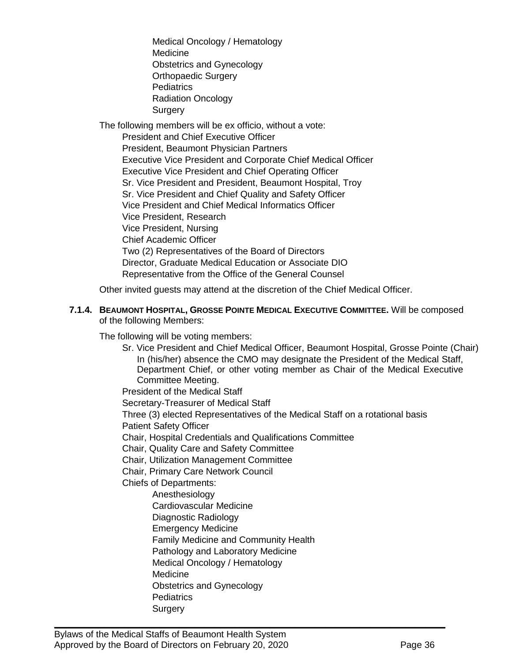Medical Oncology / Hematology Medicine Obstetrics and Gynecology Orthopaedic Surgery **Pediatrics** Radiation Oncology Surgery

The following members will be ex officio, without a vote: President and Chief Executive Officer President, Beaumont Physician Partners Executive Vice President and Corporate Chief Medical Officer Executive Vice President and Chief Operating Officer Sr. Vice President and President, Beaumont Hospital, Troy Sr. Vice President and Chief Quality and Safety Officer Vice President and Chief Medical Informatics Officer Vice President, Research Vice President, Nursing Chief Academic Officer Two (2) Representatives of the Board of Directors Director, Graduate Medical Education or Associate DIO Representative from the Office of the General Counsel

Other invited guests may attend at the discretion of the Chief Medical Officer.

#### <span id="page-35-0"></span>**7.1.4. BEAUMONT HOSPITAL, GROSSE POINTE MEDICAL EXECUTIVE COMMITTEE.** Will be composed of the following Members:

The following will be voting members:

Sr. Vice President and Chief Medical Officer, Beaumont Hospital, Grosse Pointe (Chair) In (his/her) absence the CMO may designate the President of the Medical Staff, Department Chief, or other voting member as Chair of the Medical Executive Committee Meeting. President of the Medical Staff

Secretary-Treasurer of Medical Staff

Three (3) elected Representatives of the Medical Staff on a rotational basis Patient Safety Officer

Chair, Hospital Credentials and Qualifications Committee

Chair, Quality Care and Safety Committee

Chair, Utilization Management Committee

Chair, Primary Care Network Council

Chiefs of Departments:

Anesthesiology

Cardiovascular Medicine

Diagnostic Radiology

Emergency Medicine

Family Medicine and Community Health

 $\mathcal{L}_\mathcal{L} = \mathcal{L}_\mathcal{L} = \mathcal{L}_\mathcal{L} = \mathcal{L}_\mathcal{L} = \mathcal{L}_\mathcal{L} = \mathcal{L}_\mathcal{L} = \mathcal{L}_\mathcal{L} = \mathcal{L}_\mathcal{L} = \mathcal{L}_\mathcal{L} = \mathcal{L}_\mathcal{L} = \mathcal{L}_\mathcal{L} = \mathcal{L}_\mathcal{L} = \mathcal{L}_\mathcal{L} = \mathcal{L}_\mathcal{L} = \mathcal{L}_\mathcal{L} = \mathcal{L}_\mathcal{L} = \mathcal{L}_\mathcal{L}$ 

Pathology and Laboratory Medicine

Medical Oncology / Hematology

Medicine

Obstetrics and Gynecology

- **Pediatrics**
- **Surgery**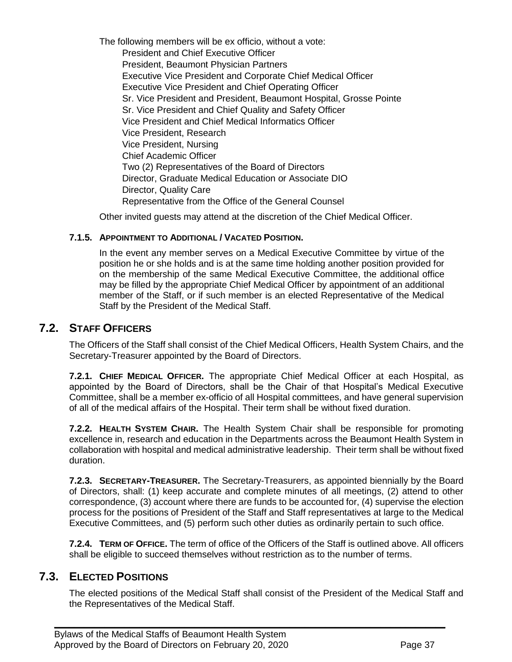The following members will be ex officio, without a vote: President and Chief Executive Officer President, Beaumont Physician Partners Executive Vice President and Corporate Chief Medical Officer Executive Vice President and Chief Operating Officer Sr. Vice President and President, Beaumont Hospital, Grosse Pointe Sr. Vice President and Chief Quality and Safety Officer Vice President and Chief Medical Informatics Officer Vice President, Research Vice President, Nursing Chief Academic Officer Two (2) Representatives of the Board of Directors Director, Graduate Medical Education or Associate DIO Director, Quality Care Representative from the Office of the General Counsel

Other invited guests may attend at the discretion of the Chief Medical Officer.

#### **7.1.5. APPOINTMENT TO ADDITIONAL / VACATED POSITION.**

In the event any member serves on a Medical Executive Committee by virtue of the position he or she holds and is at the same time holding another position provided for on the membership of the same Medical Executive Committee, the additional office may be filled by the appropriate Chief Medical Officer by appointment of an additional member of the Staff, or if such member is an elected Representative of the Medical Staff by the President of the Medical Staff.

### **7.2. STAFF OFFICERS**

<span id="page-36-0"></span>The Officers of the Staff shall consist of the Chief Medical Officers, Health System Chairs, and the Secretary-Treasurer appointed by the Board of Directors.

**7.2.1. CHIEF MEDICAL OFFICER.** The appropriate Chief Medical Officer at each Hospital, as appointed by the Board of Directors, shall be the Chair of that Hospital's Medical Executive Committee, shall be a member ex-officio of all Hospital committees, and have general supervision of all of the medical affairs of the Hospital. Their term shall be without fixed duration.

**7.2.2. HEALTH SYSTEM CHAIR.** The Health System Chair shall be responsible for promoting excellence in, research and education in the Departments across the Beaumont Health System in collaboration with hospital and medical administrative leadership. Their term shall be without fixed duration.

**7.2.3. SECRETARY-TREASURER.** The Secretary-Treasurers, as appointed biennially by the Board of Directors, shall: (1) keep accurate and complete minutes of all meetings, (2) attend to other correspondence, (3) account where there are funds to be accounted for, (4) supervise the election process for the positions of President of the Staff and Staff representatives at large to the Medical Executive Committees, and (5) perform such other duties as ordinarily pertain to such office.

<span id="page-36-1"></span>**7.2.4. TERM OF OFFICE.** The term of office of the Officers of the Staff is outlined above. All officers shall be eligible to succeed themselves without restriction as to the number of terms.

### **7.3. ELECTED POSITIONS**

The elected positions of the Medical Staff shall consist of the President of the Medical Staff and the Representatives of the Medical Staff.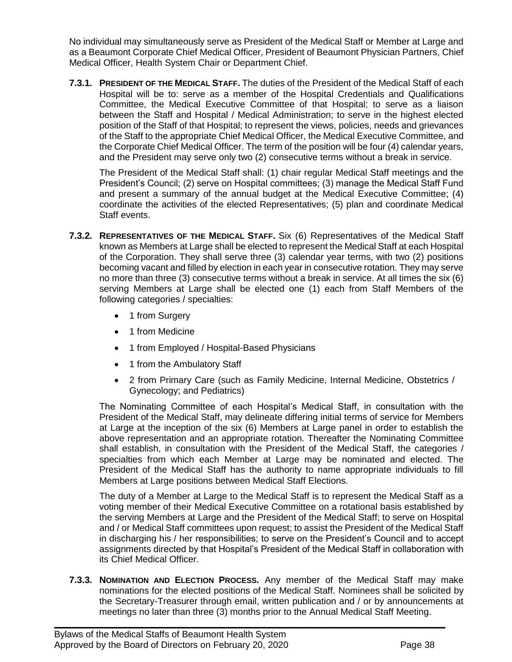No individual may simultaneously serve as President of the Medical Staff or Member at Large and as a Beaumont Corporate Chief Medical Officer, President of Beaumont Physician Partners, Chief Medical Officer, Health System Chair or Department Chief.

**7.3.1. PRESIDENT OF THE MEDICAL STAFF.** The duties of the President of the Medical Staff of each Hospital will be to: serve as a member of the Hospital Credentials and Qualifications Committee, the Medical Executive Committee of that Hospital; to serve as a liaison between the Staff and Hospital / Medical Administration; to serve in the highest elected position of the Staff of that Hospital; to represent the views, policies, needs and grievances of the Staff to the appropriate Chief Medical Officer, the Medical Executive Committee, and the Corporate Chief Medical Officer. The term of the position will be four (4) calendar years, and the President may serve only two (2) consecutive terms without a break in service.

The President of the Medical Staff shall: (1) chair regular Medical Staff meetings and the President's Council; (2) serve on Hospital committees; (3) manage the Medical Staff Fund and present a summary of the annual budget at the Medical Executive Committee; (4) coordinate the activities of the elected Representatives; (5) plan and coordinate Medical Staff events.

- **7.3.2. REPRESENTATIVES OF THE MEDICAL STAFF.** Six (6) Representatives of the Medical Staff known as Members at Large shall be elected to represent the Medical Staff at each Hospital of the Corporation. They shall serve three (3) calendar year terms, with two (2) positions becoming vacant and filled by election in each year in consecutive rotation. They may serve no more than three (3) consecutive terms without a break in service. At all times the six (6) serving Members at Large shall be elected one (1) each from Staff Members of the following categories / specialties:
	- 1 from Surgery
	- 1 from Medicine
	- 1 from Employed / Hospital-Based Physicians
	- 1 from the Ambulatory Staff
	- 2 from Primary Care (such as Family Medicine, Internal Medicine, Obstetrics / Gynecology; and Pediatrics)

The Nominating Committee of each Hospital's Medical Staff, in consultation with the President of the Medical Staff, may delineate differing initial terms of service for Members at Large at the inception of the six (6) Members at Large panel in order to establish the above representation and an appropriate rotation. Thereafter the Nominating Committee shall establish, in consultation with the President of the Medical Staff, the categories / specialties from which each Member at Large may be nominated and elected. The President of the Medical Staff has the authority to name appropriate individuals to fill Members at Large positions between Medical Staff Elections.

The duty of a Member at Large to the Medical Staff is to represent the Medical Staff as a voting member of their Medical Executive Committee on a rotational basis established by the serving Members at Large and the President of the Medical Staff; to serve on Hospital and / or Medical Staff committees upon request; to assist the President of the Medical Staff in discharging his / her responsibilities; to serve on the President's Council and to accept assignments directed by that Hospital's President of the Medical Staff in collaboration with its Chief Medical Officer.

**7.3.3. NOMINATION AND ELECTION PROCESS.** Any member of the Medical Staff may make nominations for the elected positions of the Medical Staff. Nominees shall be solicited by the Secretary-Treasurer through email, written publication and / or by announcements at meetings no later than three (3) months prior to the Annual Medical Staff Meeting.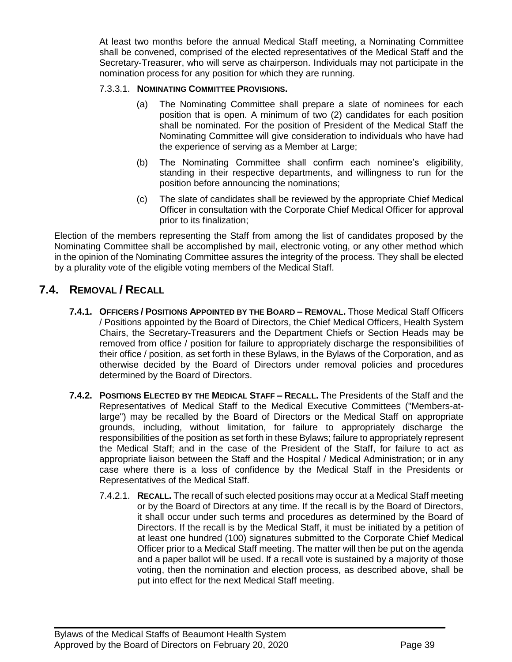At least two months before the annual Medical Staff meeting, a Nominating Committee shall be convened, comprised of the elected representatives of the Medical Staff and the Secretary-Treasurer, who will serve as chairperson. Individuals may not participate in the nomination process for any position for which they are running.

#### 7.3.3.1. **NOMINATING COMMITTEE PROVISIONS.**

- (a) The Nominating Committee shall prepare a slate of nominees for each position that is open. A minimum of two (2) candidates for each position shall be nominated. For the position of President of the Medical Staff the Nominating Committee will give consideration to individuals who have had the experience of serving as a Member at Large;
- (b) The Nominating Committee shall confirm each nominee's eligibility, standing in their respective departments, and willingness to run for the position before announcing the nominations;
- (c) The slate of candidates shall be reviewed by the appropriate Chief Medical Officer in consultation with the Corporate Chief Medical Officer for approval prior to its finalization;

Election of the members representing the Staff from among the list of candidates proposed by the Nominating Committee shall be accomplished by mail, electronic voting, or any other method which in the opinion of the Nominating Committee assures the integrity of the process. They shall be elected by a plurality vote of the eligible voting members of the Medical Staff.

# <span id="page-38-0"></span>**7.4. REMOVAL / RECALL**

- **7.4.1. OFFICERS / POSITIONS APPOINTED BY THE BOARD – REMOVAL.** Those Medical Staff Officers / Positions appointed by the Board of Directors, the Chief Medical Officers, Health System Chairs, the Secretary-Treasurers and the Department Chiefs or Section Heads may be removed from office / position for failure to appropriately discharge the responsibilities of their office / position, as set forth in these Bylaws, in the Bylaws of the Corporation, and as otherwise decided by the Board of Directors under removal policies and procedures determined by the Board of Directors.
- **7.4.2. POSITIONS ELECTED BY THE MEDICAL STAFF – RECALL.** The Presidents of the Staff and the Representatives of Medical Staff to the Medical Executive Committees ("Members-atlarge") may be recalled by the Board of Directors or the Medical Staff on appropriate grounds, including, without limitation, for failure to appropriately discharge the responsibilities of the position as set forth in these Bylaws; failure to appropriately represent the Medical Staff; and in the case of the President of the Staff, for failure to act as appropriate liaison between the Staff and the Hospital / Medical Administration; or in any case where there is a loss of confidence by the Medical Staff in the Presidents or Representatives of the Medical Staff.
	- 7.4.2.1. **RECALL.** The recall of such elected positions may occur at a Medical Staff meeting or by the Board of Directors at any time. If the recall is by the Board of Directors, it shall occur under such terms and procedures as determined by the Board of Directors. If the recall is by the Medical Staff, it must be initiated by a petition of at least one hundred (100) signatures submitted to the Corporate Chief Medical Officer prior to a Medical Staff meeting. The matter will then be put on the agenda and a paper ballot will be used. If a recall vote is sustained by a majority of those voting, then the nomination and election process, as described above, shall be put into effect for the next Medical Staff meeting.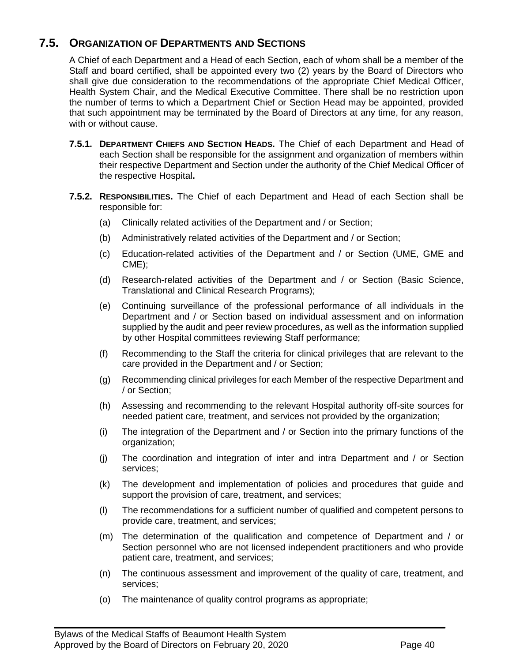# **7.5. ORGANIZATION OF DEPARTMENTS AND SECTIONS**

<span id="page-39-0"></span>A Chief of each Department and a Head of each Section, each of whom shall be a member of the Staff and board certified, shall be appointed every two (2) years by the Board of Directors who shall give due consideration to the recommendations of the appropriate Chief Medical Officer, Health System Chair, and the Medical Executive Committee. There shall be no restriction upon the number of terms to which a Department Chief or Section Head may be appointed, provided that such appointment may be terminated by the Board of Directors at any time, for any reason, with or without cause.

- **7.5.1. DEPARTMENT CHIEFS AND SECTION HEADS.** The Chief of each Department and Head of each Section shall be responsible for the assignment and organization of members within their respective Department and Section under the authority of the Chief Medical Officer of the respective Hospital**.**
- **7.5.2. RESPONSIBILITIES.** The Chief of each Department and Head of each Section shall be responsible for:
	- (a) Clinically related activities of the Department and / or Section;
	- (b) Administratively related activities of the Department and / or Section;
	- (c) Education-related activities of the Department and / or Section (UME, GME and CME);
	- (d) Research-related activities of the Department and / or Section (Basic Science, Translational and Clinical Research Programs);
	- (e) Continuing surveillance of the professional performance of all individuals in the Department and / or Section based on individual assessment and on information supplied by the audit and peer review procedures, as well as the information supplied by other Hospital committees reviewing Staff performance;
	- (f) Recommending to the Staff the criteria for clinical privileges that are relevant to the care provided in the Department and / or Section;
	- (g) Recommending clinical privileges for each Member of the respective Department and / or Section;
	- (h) Assessing and recommending to the relevant Hospital authority off-site sources for needed patient care, treatment, and services not provided by the organization;
	- (i) The integration of the Department and / or Section into the primary functions of the organization;
	- (j) The coordination and integration of inter and intra Department and / or Section services;
	- (k) The development and implementation of policies and procedures that guide and support the provision of care, treatment, and services;
	- (l) The recommendations for a sufficient number of qualified and competent persons to provide care, treatment, and services;
	- (m) The determination of the qualification and competence of Department and / or Section personnel who are not licensed independent practitioners and who provide patient care, treatment, and services;
	- (n) The continuous assessment and improvement of the quality of care, treatment, and services;
	- (o) The maintenance of quality control programs as appropriate;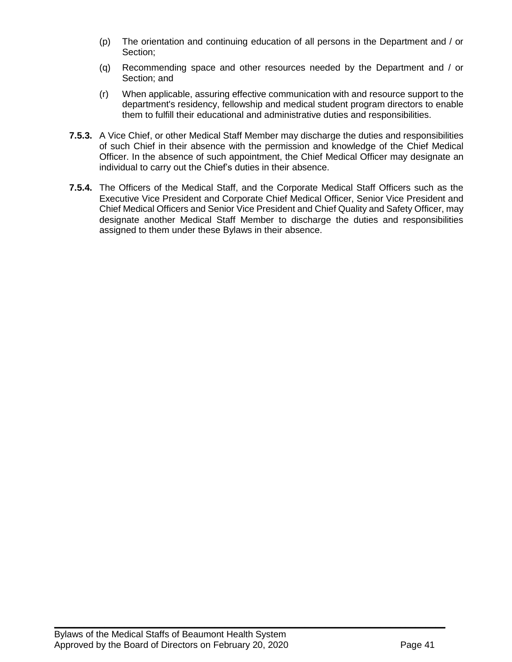- (p) The orientation and continuing education of all persons in the Department and / or Section;
- (q) Recommending space and other resources needed by the Department and / or Section; and
- (r) When applicable, assuring effective communication with and resource support to the department's residency, fellowship and medical student program directors to enable them to fulfill their educational and administrative duties and responsibilities.
- **7.5.3.** A Vice Chief, or other Medical Staff Member may discharge the duties and responsibilities of such Chief in their absence with the permission and knowledge of the Chief Medical Officer. In the absence of such appointment, the Chief Medical Officer may designate an individual to carry out the Chief's duties in their absence.
- **7.5.4.** The Officers of the Medical Staff, and the Corporate Medical Staff Officers such as the Executive Vice President and Corporate Chief Medical Officer, Senior Vice President and Chief Medical Officers and Senior Vice President and Chief Quality and Safety Officer, may designate another Medical Staff Member to discharge the duties and responsibilities assigned to them under these Bylaws in their absence.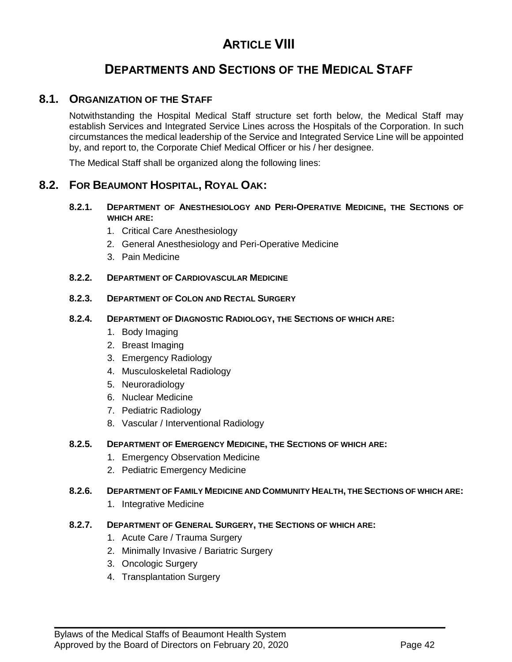# **ARTICLE VIII**

# **DEPARTMENTS AND SECTIONS OF THE MEDICAL STAFF**

### **8.1. ORGANIZATION OF THE STAFF**

<span id="page-41-0"></span>Notwithstanding the Hospital Medical Staff structure set forth below, the Medical Staff may establish Services and Integrated Service Lines across the Hospitals of the Corporation. In such circumstances the medical leadership of the Service and Integrated Service Line will be appointed by, and report to, the Corporate Chief Medical Officer or his / her designee.

<span id="page-41-1"></span>The Medical Staff shall be organized along the following lines:

### **8.2. FOR BEAUMONT HOSPITAL, ROYAL OAK:**

- **8.2.1. DEPARTMENT OF ANESTHESIOLOGY AND PERI-OPERATIVE MEDICINE, THE SECTIONS OF WHICH ARE:**
	- 1. Critical Care Anesthesiology
	- 2. General Anesthesiology and Peri-Operative Medicine
	- 3. Pain Medicine

#### **8.2.2. DEPARTMENT OF CARDIOVASCULAR MEDICINE**

#### **8.2.3. DEPARTMENT OF COLON AND RECTAL SURGERY**

#### **8.2.4. DEPARTMENT OF DIAGNOSTIC RADIOLOGY, THE SECTIONS OF WHICH ARE:**

- 1. Body Imaging
- 2. Breast Imaging
- 3. Emergency Radiology
- 4. Musculoskeletal Radiology
- 5. Neuroradiology
- 6. Nuclear Medicine
- 7. Pediatric Radiology
- 8. Vascular / Interventional Radiology

#### **8.2.5. DEPARTMENT OF EMERGENCY MEDICINE, THE SECTIONS OF WHICH ARE:**

- 1. Emergency Observation Medicine
- 2. Pediatric Emergency Medicine

#### **8.2.6. DEPARTMENT OF FAMILY MEDICINE AND COMMUNITY HEALTH, THE SECTIONS OF WHICH ARE:**

 $\mathcal{L}_\mathcal{L} = \mathcal{L}_\mathcal{L} = \mathcal{L}_\mathcal{L} = \mathcal{L}_\mathcal{L} = \mathcal{L}_\mathcal{L} = \mathcal{L}_\mathcal{L} = \mathcal{L}_\mathcal{L} = \mathcal{L}_\mathcal{L} = \mathcal{L}_\mathcal{L} = \mathcal{L}_\mathcal{L} = \mathcal{L}_\mathcal{L} = \mathcal{L}_\mathcal{L} = \mathcal{L}_\mathcal{L} = \mathcal{L}_\mathcal{L} = \mathcal{L}_\mathcal{L} = \mathcal{L}_\mathcal{L} = \mathcal{L}_\mathcal{L}$ 

1. Integrative Medicine

#### **8.2.7. DEPARTMENT OF GENERAL SURGERY, THE SECTIONS OF WHICH ARE:**

- 1. Acute Care / Trauma Surgery
- 2. Minimally Invasive / Bariatric Surgery
- 3. Oncologic Surgery
- 4. Transplantation Surgery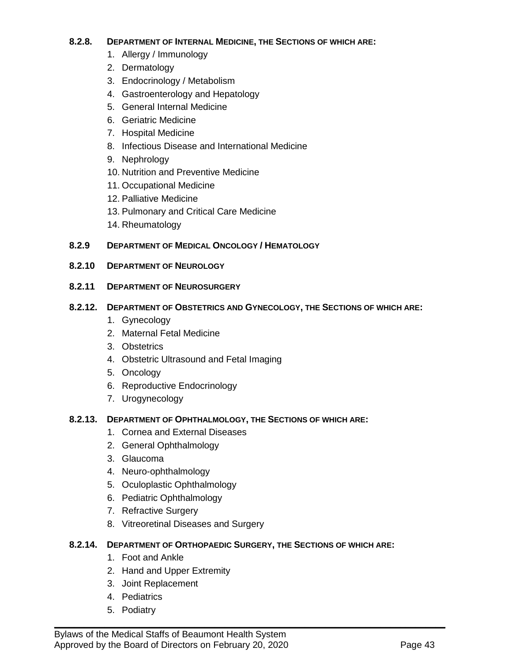#### **8.2.8. DEPARTMENT OF INTERNAL MEDICINE, THE SECTIONS OF WHICH ARE:**

- 1. Allergy / Immunology
- 2. Dermatology
- 3. Endocrinology / Metabolism
- 4. Gastroenterology and Hepatology
- 5. General Internal Medicine
- 6. Geriatric Medicine
- 7. Hospital Medicine
- 8. Infectious Disease and International Medicine
- 9. Nephrology
- 10. Nutrition and Preventive Medicine
- 11. Occupational Medicine
- 12. Palliative Medicine
- 13. Pulmonary and Critical Care Medicine
- 14. Rheumatology

#### **8.2.9 DEPARTMENT OF MEDICAL ONCOLOGY / HEMATOLOGY**

#### **8.2.10 DEPARTMENT OF NEUROLOGY**

#### **8.2.11 DEPARTMENT OF NEUROSURGERY**

#### **8.2.12. DEPARTMENT OF OBSTETRICS AND GYNECOLOGY, THE SECTIONS OF WHICH ARE:**

- 1. Gynecology
- 2. Maternal Fetal Medicine
- 3. Obstetrics
- 4. Obstetric Ultrasound and Fetal Imaging
- 5. Oncology
- 6. Reproductive Endocrinology
- 7. Urogynecology

#### **8.2.13. DEPARTMENT OF OPHTHALMOLOGY, THE SECTIONS OF WHICH ARE:**

- 1. Cornea and External Diseases
- 2. General Ophthalmology
- 3. Glaucoma
- 4. Neuro-ophthalmology
- 5. Oculoplastic Ophthalmology
- 6. Pediatric Ophthalmology
- 7. Refractive Surgery
- 8. Vitreoretinal Diseases and Surgery

#### **8.2.14. DEPARTMENT OF ORTHOPAEDIC SURGERY, THE SECTIONS OF WHICH ARE:**

- 1. Foot and Ankle
- 2. Hand and Upper Extremity
- 3. Joint Replacement
- 4. Pediatrics
- 5. Podiatry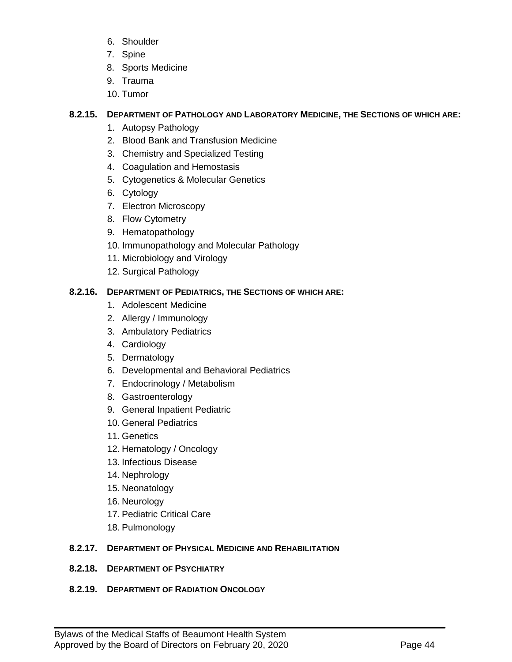- 6. Shoulder
- 7. Spine
- 8. Sports Medicine
- 9. Trauma
- 10. Tumor

#### **8.2.15. DEPARTMENT OF PATHOLOGY AND LABORATORY MEDICINE, THE SECTIONS OF WHICH ARE:**

- 1. Autopsy Pathology
- 2. Blood Bank and Transfusion Medicine
- 3. Chemistry and Specialized Testing
- 4. Coagulation and Hemostasis
- 5. Cytogenetics & Molecular Genetics
- 6. Cytology
- 7. Electron Microscopy
- 8. Flow Cytometry
- 9. Hematopathology
- 10. Immunopathology and Molecular Pathology
- 11. Microbiology and Virology
- 12. Surgical Pathology

#### **8.2.16. DEPARTMENT OF PEDIATRICS, THE SECTIONS OF WHICH ARE:**

- 1. Adolescent Medicine
- 2. Allergy / Immunology
- 3. Ambulatory Pediatrics
- 4. Cardiology
- 5. Dermatology
- 6. Developmental and Behavioral Pediatrics
- 7. Endocrinology / Metabolism
- 8. Gastroenterology
- 9. General Inpatient Pediatric
- 10. General Pediatrics
- 11. Genetics
- 12. Hematology / Oncology
- 13. Infectious Disease
- 14. Nephrology
- 15. Neonatology
- 16. Neurology
- 17. Pediatric Critical Care
- 18. Pulmonology

#### **8.2.17. DEPARTMENT OF PHYSICAL MEDICINE AND REHABILITATION**

 $\mathcal{L}_\mathcal{L} = \mathcal{L}_\mathcal{L} = \mathcal{L}_\mathcal{L} = \mathcal{L}_\mathcal{L} = \mathcal{L}_\mathcal{L} = \mathcal{L}_\mathcal{L} = \mathcal{L}_\mathcal{L} = \mathcal{L}_\mathcal{L} = \mathcal{L}_\mathcal{L} = \mathcal{L}_\mathcal{L} = \mathcal{L}_\mathcal{L} = \mathcal{L}_\mathcal{L} = \mathcal{L}_\mathcal{L} = \mathcal{L}_\mathcal{L} = \mathcal{L}_\mathcal{L} = \mathcal{L}_\mathcal{L} = \mathcal{L}_\mathcal{L}$ 

**8.2.18. DEPARTMENT OF PSYCHIATRY**

#### **8.2.19. DEPARTMENT OF RADIATION ONCOLOGY**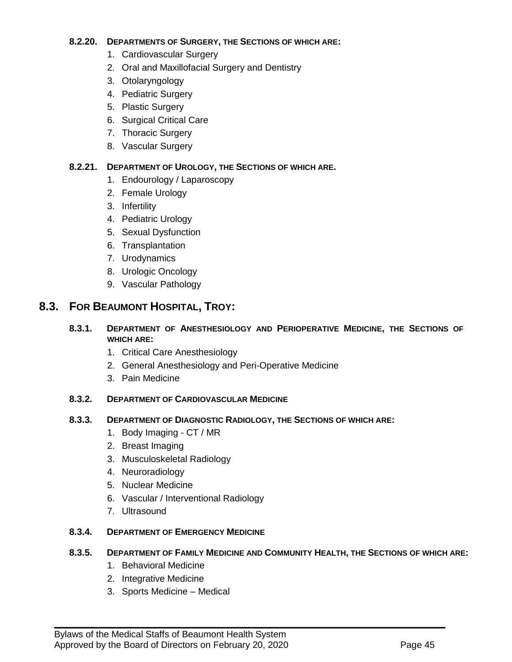#### **8.2.20. DEPARTMENTS OF SURGERY, THE SECTIONS OF WHICH ARE:**

- 1. Cardiovascular Surgery
- 2. Oral and Maxillofacial Surgery and Dentistry
- 3. Otolaryngology
- 4. Pediatric Surgery
- 5. Plastic Surgery
- 6. Surgical Critical Care
- 7. Thoracic Surgery
- 8. Vascular Surgery

#### **8.2.21. DEPARTMENT OF UROLOGY, THE SECTIONS OF WHICH ARE.**

- 1. Endourology / Laparoscopy
- 2. Female Urology
- 3. Infertility
- 4. Pediatric Urology
- 5. Sexual Dysfunction
- 6. Transplantation
- 7. Urodynamics
- 8. Urologic Oncology
- 9. Vascular Pathology

# <span id="page-44-0"></span>**8.3. FOR BEAUMONT HOSPITAL, TROY:**

#### **8.3.1. DEPARTMENT OF ANESTHESIOLOGY AND PERIOPERATIVE MEDICINE, THE SECTIONS OF WHICH ARE:**

- 1. Critical Care Anesthesiology
- 2. General Anesthesiology and Peri-Operative Medicine
- 3. Pain Medicine

#### **8.3.2. DEPARTMENT OF CARDIOVASCULAR MEDICINE**

#### **8.3.3. DEPARTMENT OF DIAGNOSTIC RADIOLOGY, THE SECTIONS OF WHICH ARE:**

- 1. Body Imaging CT / MR
- 2. Breast Imaging
- 3. Musculoskeletal Radiology
- 4. Neuroradiology
- 5. Nuclear Medicine
- 6. Vascular / Interventional Radiology
- 7. Ultrasound

#### **8.3.4. DEPARTMENT OF EMERGENCY MEDICINE**

#### **8.3.5. DEPARTMENT OF FAMILY MEDICINE AND COMMUNITY HEALTH, THE SECTIONS OF WHICH ARE:**

- 1. Behavioral Medicine
- 2. Integrative Medicine
- 3. Sports Medicine Medical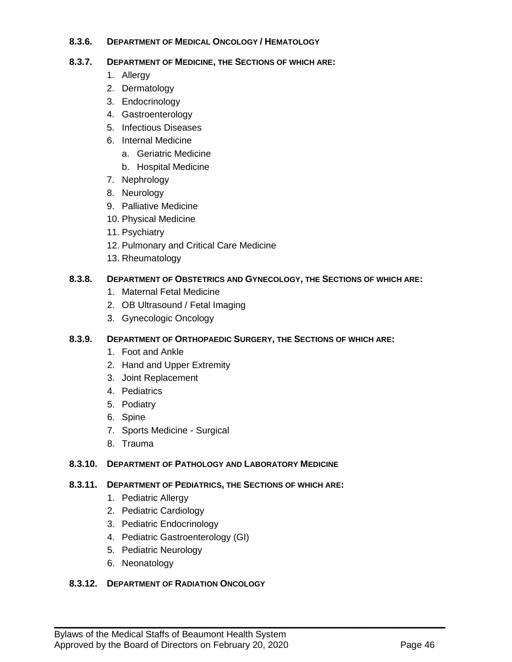#### **8.3.6. DEPARTMENT OF MEDICAL ONCOLOGY / HEMATOLOGY**

#### **8.3.7. DEPARTMENT OF MEDICINE, THE SECTIONS OF WHICH ARE:**

- 1. Allergy
- 2. Dermatology
- 3. Endocrinology
- 4. Gastroenterology
- 5. Infectious Diseases
- 6. Internal Medicine
	- a. Geriatric Medicine
	- b. Hospital Medicine
- 7. Nephrology
- 8. Neurology
- 9. Palliative Medicine
- 10. Physical Medicine
- 11. Psychiatry
- 12. Pulmonary and Critical Care Medicine
- 13. Rheumatology

#### **8.3.8. DEPARTMENT OF OBSTETRICS AND GYNECOLOGY, THE SECTIONS OF WHICH ARE:**

- 1. Maternal Fetal Medicine
- 2. OB Ultrasound / Fetal Imaging
- 3. Gynecologic Oncology

#### **8.3.9. DEPARTMENT OF ORTHOPAEDIC SURGERY, THE SECTIONS OF WHICH ARE:**

- 1. Foot and Ankle
- 2. Hand and Upper Extremity
- 3. Joint Replacement
- 4. Pediatrics
- 5. Podiatry
- 6. Spine
- 7. Sports Medicine Surgical
- 8. Trauma

#### **8.3.10. DEPARTMENT OF PATHOLOGY AND LABORATORY MEDICINE**

#### **8.3.11. DEPARTMENT OF PEDIATRICS, THE SECTIONS OF WHICH ARE:**

 $\mathcal{L}_\mathcal{L} = \mathcal{L}_\mathcal{L} = \mathcal{L}_\mathcal{L} = \mathcal{L}_\mathcal{L} = \mathcal{L}_\mathcal{L} = \mathcal{L}_\mathcal{L} = \mathcal{L}_\mathcal{L} = \mathcal{L}_\mathcal{L} = \mathcal{L}_\mathcal{L} = \mathcal{L}_\mathcal{L} = \mathcal{L}_\mathcal{L} = \mathcal{L}_\mathcal{L} = \mathcal{L}_\mathcal{L} = \mathcal{L}_\mathcal{L} = \mathcal{L}_\mathcal{L} = \mathcal{L}_\mathcal{L} = \mathcal{L}_\mathcal{L}$ 

- 1. Pediatric Allergy
- 2. Pediatric Cardiology
- 3. Pediatric Endocrinology
- 4. Pediatric Gastroenterology (GI)
- 5. Pediatric Neurology
- 6. Neonatology

#### **8.3.12. DEPARTMENT OF RADIATION ONCOLOGY**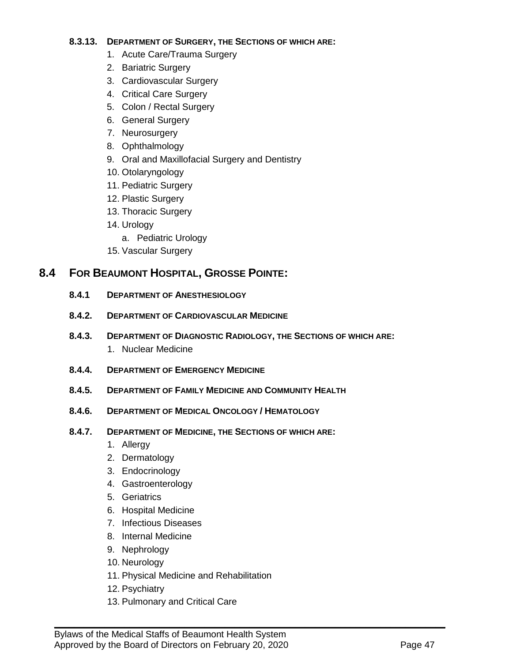#### **8.3.13. DEPARTMENT OF SURGERY, THE SECTIONS OF WHICH ARE:**

- 1. Acute Care/Trauma Surgery
- 2. Bariatric Surgery
- 3. Cardiovascular Surgery
- 4. Critical Care Surgery
- 5. Colon / Rectal Surgery
- 6. General Surgery
- 7. Neurosurgery
- 8. Ophthalmology
- 9. Oral and Maxillofacial Surgery and Dentistry
- 10. Otolaryngology
- 11. Pediatric Surgery
- 12. Plastic Surgery
- 13. Thoracic Surgery
- 14. Urology
	- a. Pediatric Urology
- 15. Vascular Surgery

# <span id="page-46-0"></span>**8.4 FOR BEAUMONT HOSPITAL, GROSSE POINTE:**

- **8.4.1 DEPARTMENT OF ANESTHESIOLOGY**
- **8.4.2. DEPARTMENT OF CARDIOVASCULAR MEDICINE**
- **8.4.3. DEPARTMENT OF DIAGNOSTIC RADIOLOGY, THE SECTIONS OF WHICH ARE:** 1. Nuclear Medicine
- **8.4.4. DEPARTMENT OF EMERGENCY MEDICINE**
- **8.4.5. DEPARTMENT OF FAMILY MEDICINE AND COMMUNITY HEALTH**
- **8.4.6. DEPARTMENT OF MEDICAL ONCOLOGY / HEMATOLOGY**
- **8.4.7. DEPARTMENT OF MEDICINE, THE SECTIONS OF WHICH ARE:**
	- 1. Allergy
	- 2. Dermatology
	- 3. Endocrinology
	- 4. Gastroenterology
	- 5. Geriatrics
	- 6. Hospital Medicine
	- 7. Infectious Diseases
	- 8. Internal Medicine
	- 9. Nephrology
	- 10. Neurology
	- 11. Physical Medicine and Rehabilitation

- 12. Psychiatry
- 13. Pulmonary and Critical Care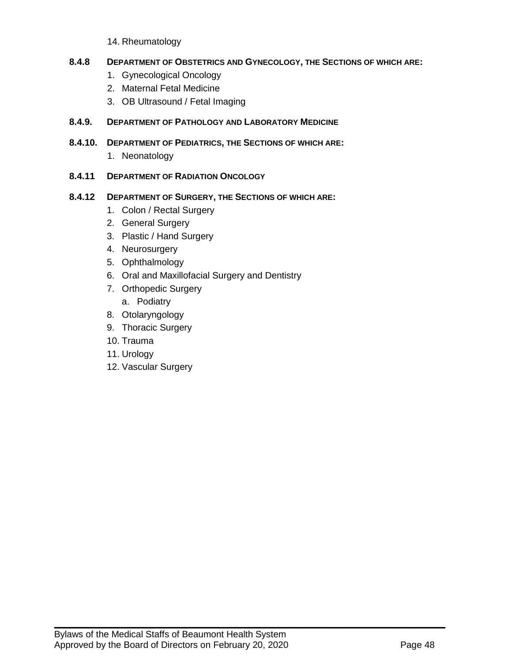14. Rheumatology

#### **8.4.8 DEPARTMENT OF OBSTETRICS AND GYNECOLOGY, THE SECTIONS OF WHICH ARE:**

- 1. Gynecological Oncology
- 2. Maternal Fetal Medicine
- 3. OB Ultrasound / Fetal Imaging

#### **8.4.9. DEPARTMENT OF PATHOLOGY AND LABORATORY MEDICINE**

- **8.4.10. DEPARTMENT OF PEDIATRICS, THE SECTIONS OF WHICH ARE:**
	- 1. Neonatology

#### **8.4.11 DEPARTMENT OF RADIATION ONCOLOGY**

#### **8.4.12 DEPARTMENT OF SURGERY, THE SECTIONS OF WHICH ARE:**

- 1. Colon / Rectal Surgery
- 2. General Surgery
- 3. Plastic / Hand Surgery
- 4. Neurosurgery
- 5. Ophthalmology
- 6. Oral and Maxillofacial Surgery and Dentistry
- 7. Orthopedic Surgery
	- a. Podiatry
- 8. Otolaryngology
- 9. Thoracic Surgery
- 10. Trauma
- 11. Urology
- 12. Vascular Surgery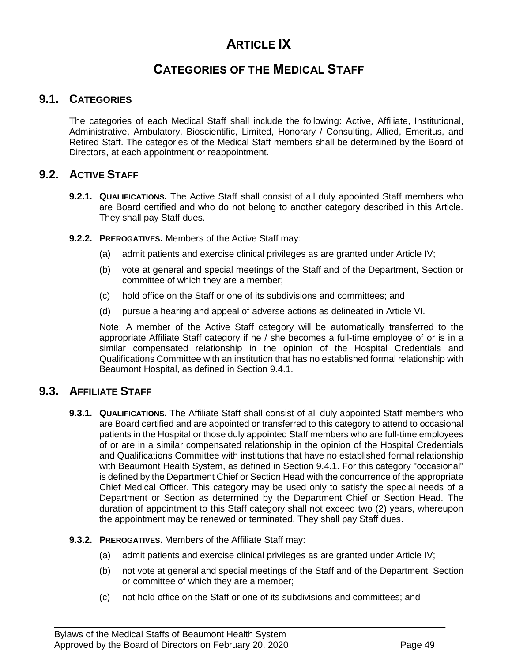# **ARTICLE IX**

# **CATEGORIES OF THE MEDICAL STAFF**

# <span id="page-48-3"></span>**9.1. CATEGORIES**

<span id="page-48-0"></span>The categories of each Medical Staff shall include the following: Active, Affiliate, Institutional, Administrative, Ambulatory, Bioscientific, Limited, Honorary / Consulting, Allied, Emeritus, and Retired Staff. The categories of the Medical Staff members shall be determined by the Board of Directors, at each appointment or reappointment.

# <span id="page-48-1"></span>**9.2. ACTIVE STAFF**

- **9.2.1. QUALIFICATIONS.** The Active Staff shall consist of all duly appointed Staff members who are Board certified and who do not belong to another category described in this Article. They shall pay Staff dues.
- **9.2.2. PREROGATIVES.** Members of the Active Staff may:
	- (a) admit patients and exercise clinical privileges as are granted under Article IV;
	- (b) vote at general and special meetings of the Staff and of the Department, Section or committee of which they are a member;
	- (c) hold office on the Staff or one of its subdivisions and committees; and
	- (d) pursue a hearing and appeal of adverse actions as delineated in Article VI.

Note: A member of the Active Staff category will be automatically transferred to the appropriate Affiliate Staff category if he / she becomes a full-time employee of or is in a similar compensated relationship in the opinion of the Hospital Credentials and Qualifications Committee with an institution that has no established formal relationship with Beaumont Hospital, as defined in Section 9.4.1.

### <span id="page-48-2"></span>**9.3. AFFILIATE STAFF**

- **9.3.1. QUALIFICATIONS.** The Affiliate Staff shall consist of all duly appointed Staff members who are Board certified and are appointed or transferred to this category to attend to occasional patients in the Hospital or those duly appointed Staff members who are full-time employees of or are in a similar compensated relationship in the opinion of the Hospital Credentials and Qualifications Committee with institutions that have no established formal relationship with Beaumont Health System, as defined in Section 9.4.1. For this category "occasional" is defined by the Department Chief or Section Head with the concurrence of the appropriate Chief Medical Officer. This category may be used only to satisfy the special needs of a Department or Section as determined by the Department Chief or Section Head. The duration of appointment to this Staff category shall not exceed two (2) years, whereupon the appointment may be renewed or terminated. They shall pay Staff dues.
- **9.3.2. PREROGATIVES.** Members of the Affiliate Staff may:
	- (a) admit patients and exercise clinical privileges as are granted under Article IV;
	- (b) not vote at general and special meetings of the Staff and of the Department, Section or committee of which they are a member;
	- (c) not hold office on the Staff or one of its subdivisions and committees; and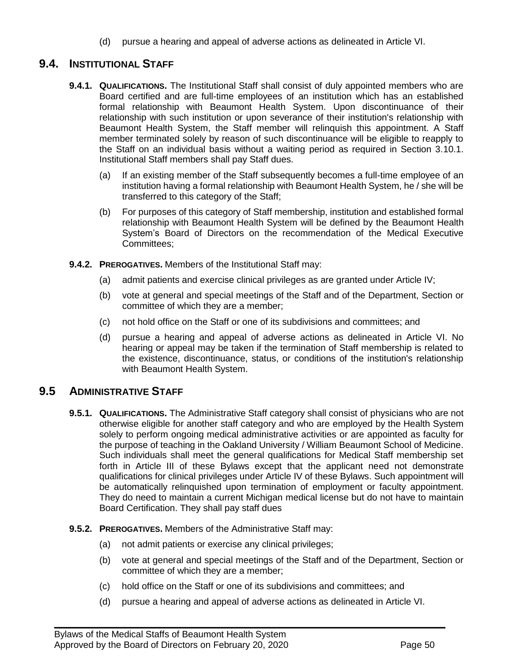(d) pursue a hearing and appeal of adverse actions as delineated in Article VI.

# <span id="page-49-1"></span>**9.4. INSTITUTIONAL STAFF**

- **9.4.1. QUALIFICATIONS.** The Institutional Staff shall consist of duly appointed members who are Board certified and are full-time employees of an institution which has an established formal relationship with Beaumont Health System. Upon discontinuance of their relationship with such institution or upon severance of their institution's relationship with Beaumont Health System, the Staff member will relinquish this appointment. A Staff member terminated solely by reason of such discontinuance will be eligible to reapply to the Staff on an individual basis without a waiting period as required in Section 3.10.1. Institutional Staff members shall pay Staff dues.
	- (a) If an existing member of the Staff subsequently becomes a full-time employee of an institution having a formal relationship with Beaumont Health System, he / she will be transferred to this category of the Staff;
	- (b) For purposes of this category of Staff membership, institution and established formal relationship with Beaumont Health System will be defined by the Beaumont Health System's Board of Directors on the recommendation of the Medical Executive Committees;
- **9.4.2. PREROGATIVES.** Members of the Institutional Staff may:
	- (a) admit patients and exercise clinical privileges as are granted under Article IV;
	- (b) vote at general and special meetings of the Staff and of the Department, Section or committee of which they are a member;
	- (c) not hold office on the Staff or one of its subdivisions and committees; and
	- (d) pursue a hearing and appeal of adverse actions as delineated in Article VI. No hearing or appeal may be taken if the termination of Staff membership is related to the existence, discontinuance, status, or conditions of the institution's relationship with Beaumont Health System.

### <span id="page-49-0"></span>**9.5 ADMINISTRATIVE STAFF**

- **9.5.1. QUALIFICATIONS.** The Administrative Staff category shall consist of physicians who are not otherwise eligible for another staff category and who are employed by the Health System solely to perform ongoing medical administrative activities or are appointed as faculty for the purpose of teaching in the Oakland University / William Beaumont School of Medicine. Such individuals shall meet the general qualifications for Medical Staff membership set forth in Article III of these Bylaws except that the applicant need not demonstrate qualifications for clinical privileges under Article IV of these Bylaws. Such appointment will be automatically relinquished upon termination of employment or faculty appointment. They do need to maintain a current Michigan medical license but do not have to maintain Board Certification. They shall pay staff dues
- **9.5.2. PREROGATIVES.** Members of the Administrative Staff may:
	- (a) not admit patients or exercise any clinical privileges;
	- (b) vote at general and special meetings of the Staff and of the Department, Section or committee of which they are a member;
	- (c) hold office on the Staff or one of its subdivisions and committees; and

 $\mathcal{L}_\mathcal{L} = \mathcal{L}_\mathcal{L} = \mathcal{L}_\mathcal{L} = \mathcal{L}_\mathcal{L} = \mathcal{L}_\mathcal{L} = \mathcal{L}_\mathcal{L} = \mathcal{L}_\mathcal{L} = \mathcal{L}_\mathcal{L} = \mathcal{L}_\mathcal{L} = \mathcal{L}_\mathcal{L} = \mathcal{L}_\mathcal{L} = \mathcal{L}_\mathcal{L} = \mathcal{L}_\mathcal{L} = \mathcal{L}_\mathcal{L} = \mathcal{L}_\mathcal{L} = \mathcal{L}_\mathcal{L} = \mathcal{L}_\mathcal{L}$ 

(d) pursue a hearing and appeal of adverse actions as delineated in Article VI.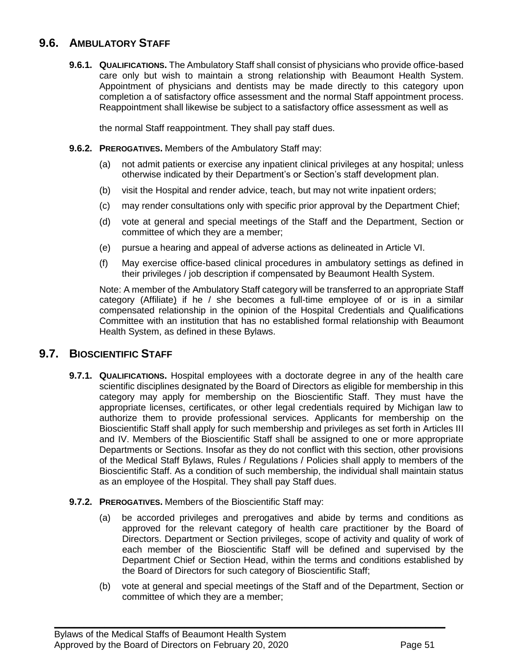# **9.6. AMBULATORY STAFF**

**9.6.1. QUALIFICATIONS.** The Ambulatory Staff shall consist of physicians who provide office-based care only but wish to maintain a strong relationship with Beaumont Health System. Appointment of physicians and dentists may be made directly to this category upon completion a of satisfactory office assessment and the normal Staff appointment process. Reappointment shall likewise be subject to a satisfactory office assessment as well as

the normal Staff reappointment. They shall pay staff dues.

- **9.6.2. PREROGATIVES.** Members of the Ambulatory Staff may:
	- (a) not admit patients or exercise any inpatient clinical privileges at any hospital; unless otherwise indicated by their Department's or Section's staff development plan.
	- (b) visit the Hospital and render advice, teach, but may not write inpatient orders;
	- (c) may render consultations only with specific prior approval by the Department Chief;
	- (d) vote at general and special meetings of the Staff and the Department, Section or committee of which they are a member;
	- (e) pursue a hearing and appeal of adverse actions as delineated in Article VI.
	- (f) May exercise office-based clinical procedures in ambulatory settings as defined in their privileges / job description if compensated by Beaumont Health System.

Note: A member of the Ambulatory Staff category will be transferred to an appropriate Staff category (Affiliate) if he / she becomes a full-time employee of or is in a similar compensated relationship in the opinion of the Hospital Credentials and Qualifications Committee with an institution that has no established formal relationship with Beaumont Health System, as defined in these Bylaws.

### <span id="page-50-0"></span>**9.7. BIOSCIENTIFIC STAFF**

**9.7.1. QUALIFICATIONS.** Hospital employees with a doctorate degree in any of the health care scientific disciplines designated by the Board of Directors as eligible for membership in this category may apply for membership on the Bioscientific Staff. They must have the appropriate licenses, certificates, or other legal credentials required by Michigan law to authorize them to provide professional services. Applicants for membership on the Bioscientific Staff shall apply for such membership and privileges as set forth in Articles III and IV. Members of the Bioscientific Staff shall be assigned to one or more appropriate Departments or Sections. Insofar as they do not conflict with this section, other provisions of the Medical Staff Bylaws, Rules / Regulations / Policies shall apply to members of the Bioscientific Staff. As a condition of such membership, the individual shall maintain status as an employee of the Hospital. They shall pay Staff dues.

#### **9.7.2. PREROGATIVES.** Members of the Bioscientific Staff may:

- (a) be accorded privileges and prerogatives and abide by terms and conditions as approved for the relevant category of health care practitioner by the Board of Directors. Department or Section privileges, scope of activity and quality of work of each member of the Bioscientific Staff will be defined and supervised by the Department Chief or Section Head, within the terms and conditions established by the Board of Directors for such category of Bioscientific Staff;
- (b) vote at general and special meetings of the Staff and of the Department, Section or committee of which they are a member;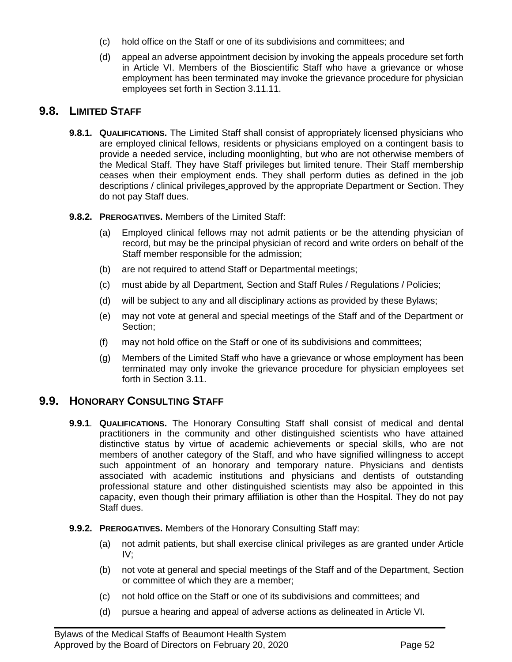- <span id="page-51-2"></span>(c) hold office on the Staff or one of its subdivisions and committees; and
- (d) appeal an adverse appointment decision by invoking the appeals procedure set forth in Article VI. Members of the Bioscientific Staff who have a grievance or whose employment has been terminated may invoke the grievance procedure for physician employees set forth in Section 3.11.11.

# <span id="page-51-0"></span>**9.8. LIMITED STAFF**

- **9.8.1. QUALIFICATIONS.** The Limited Staff shall consist of appropriately licensed physicians who are employed clinical fellows, residents or physicians employed on a contingent basis to provide a needed service, including moonlighting, but who are not otherwise members of the Medical Staff. They have Staff privileges but limited tenure. Their Staff membership ceases when their employment ends. They shall perform duties as defined in the job descriptions / clinical privileges approved by the appropriate Department or Section. They do not pay Staff dues.
- **9.8.2. PREROGATIVES.** Members of the Limited Staff:
	- (a) Employed clinical fellows may not admit patients or be the attending physician of record, but may be the principal physician of record and write orders on behalf of the Staff member responsible for the admission;
	- (b) are not required to attend Staff or Departmental meetings;
	- (c) must abide by all Department, Section and Staff Rules / Regulations / Policies;
	- (d) will be subject to any and all disciplinary actions as provided by these Bylaws;
	- (e) may not vote at general and special meetings of the Staff and of the Department or Section;
	- (f) may not hold office on the Staff or one of its subdivisions and committees;
	- (g) Members of the Limited Staff who have a grievance or whose employment has been terminated may only invoke the grievance procedure for physician employees set forth in Section 3.11.

# <span id="page-51-1"></span>**9.9. HONORARY CONSULTING STAFF**

- **9.9.1**. **QUALIFICATIONS.** The Honorary Consulting Staff shall consist of medical and dental practitioners in the community and other distinguished scientists who have attained distinctive status by virtue of academic achievements or special skills, who are not members of another category of the Staff, and who have signified willingness to accept such appointment of an honorary and temporary nature. Physicians and dentists associated with academic institutions and physicians and dentists of outstanding professional stature and other distinguished scientists may also be appointed in this capacity, even though their primary affiliation is other than the Hospital. They do not pay Staff dues.
- **9.9.2. PREROGATIVES.** Members of the Honorary Consulting Staff may:
	- (a) not admit patients, but shall exercise clinical privileges as are granted under Article IV;
	- (b) not vote at general and special meetings of the Staff and of the Department, Section or committee of which they are a member;
	- (c) not hold office on the Staff or one of its subdivisions and committees; and
	- (d) pursue a hearing and appeal of adverse actions as delineated in Article VI.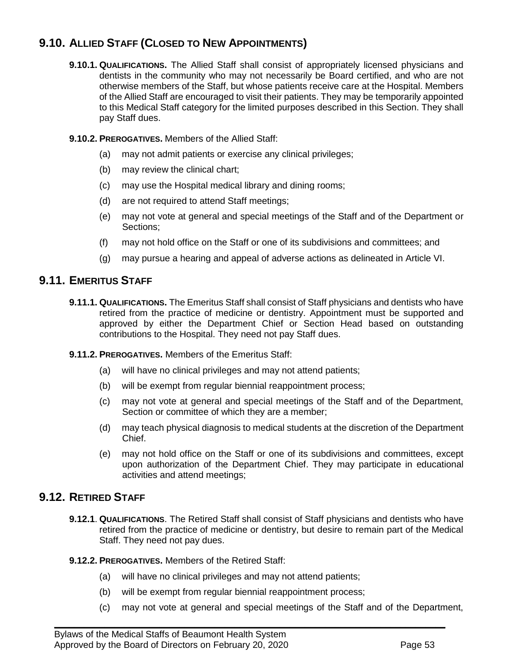# **9.10. ALLIED STAFF (CLOSED TO NEW APPOINTMENTS)**

**9.10.1. QUALIFICATIONS.** The Allied Staff shall consist of appropriately licensed physicians and dentists in the community who may not necessarily be Board certified, and who are not otherwise members of the Staff, but whose patients receive care at the Hospital. Members of the Allied Staff are encouraged to visit their patients. They may be temporarily appointed to this Medical Staff category for the limited purposes described in this Section. They shall pay Staff dues.

#### **9.10.2. PREROGATIVES.** Members of the Allied Staff:

- (a) may not admit patients or exercise any clinical privileges;
- (b) may review the clinical chart;
- (c) may use the Hospital medical library and dining rooms;
- (d) are not required to attend Staff meetings;
- (e) may not vote at general and special meetings of the Staff and of the Department or Sections;
- (f) may not hold office on the Staff or one of its subdivisions and committees; and
- (g) may pursue a hearing and appeal of adverse actions as delineated in Article VI.

#### <span id="page-52-0"></span>**9.11. EMERITUS STAFF**

- **9.11.1. QUALIFICATIONS.** The Emeritus Staff shall consist of Staff physicians and dentists who have retired from the practice of medicine or dentistry. Appointment must be supported and approved by either the Department Chief or Section Head based on outstanding contributions to the Hospital. They need not pay Staff dues.
- **9.11.2. PREROGATIVES.** Members of the Emeritus Staff:
	- (a) will have no clinical privileges and may not attend patients;
	- (b) will be exempt from regular biennial reappointment process;
	- (c) may not vote at general and special meetings of the Staff and of the Department, Section or committee of which they are a member;
	- (d) may teach physical diagnosis to medical students at the discretion of the Department Chief.
	- (e) may not hold office on the Staff or one of its subdivisions and committees, except upon authorization of the Department Chief. They may participate in educational activities and attend meetings;

# <span id="page-52-1"></span>**9.12. RETIRED STAFF**

- **9.12.1**. **QUALIFICATIONS**. The Retired Staff shall consist of Staff physicians and dentists who have retired from the practice of medicine or dentistry, but desire to remain part of the Medical Staff. They need not pay dues.
- **9.12.2. PREROGATIVES.** Members of the Retired Staff:
	- (a) will have no clinical privileges and may not attend patients;
	- (b) will be exempt from regular biennial reappointment process;

 $\mathcal{L}_\mathcal{L} = \mathcal{L}_\mathcal{L} = \mathcal{L}_\mathcal{L} = \mathcal{L}_\mathcal{L} = \mathcal{L}_\mathcal{L} = \mathcal{L}_\mathcal{L} = \mathcal{L}_\mathcal{L} = \mathcal{L}_\mathcal{L} = \mathcal{L}_\mathcal{L} = \mathcal{L}_\mathcal{L} = \mathcal{L}_\mathcal{L} = \mathcal{L}_\mathcal{L} = \mathcal{L}_\mathcal{L} = \mathcal{L}_\mathcal{L} = \mathcal{L}_\mathcal{L} = \mathcal{L}_\mathcal{L} = \mathcal{L}_\mathcal{L}$ 

(c) may not vote at general and special meetings of the Staff and of the Department,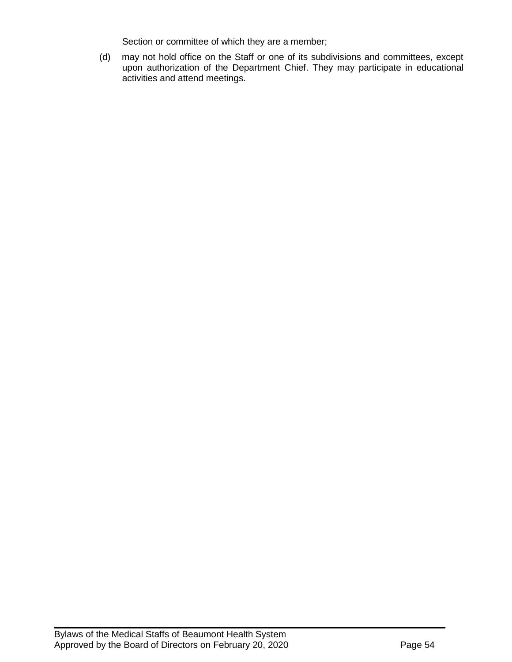Section or committee of which they are a member;

(d) may not hold office on the Staff or one of its subdivisions and committees, except upon authorization of the Department Chief. They may participate in educational activities and attend meetings.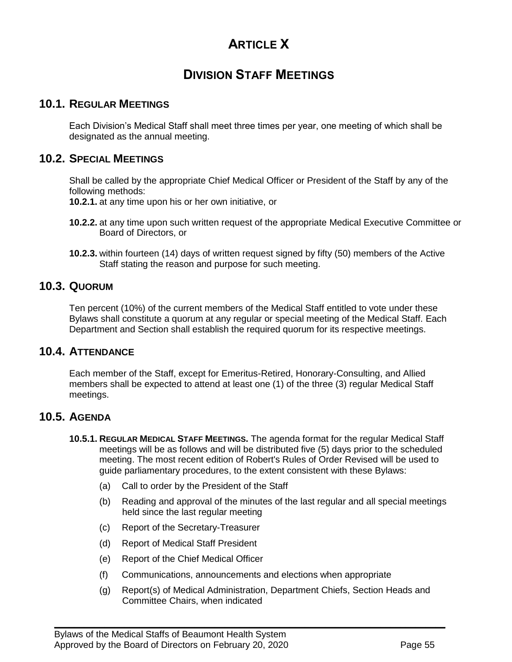# **ARTICLE X**

# **DIVISION STAFF MEETINGS**

### <span id="page-54-0"></span>**10.1. REGULAR MEETINGS**

<span id="page-54-1"></span>Each Division's Medical Staff shall meet three times per year, one meeting of which shall be designated as the annual meeting.

### **10.2. SPECIAL MEETINGS**

Shall be called by the appropriate Chief Medical Officer or President of the Staff by any of the following methods:

**10.2.1.** at any time upon his or her own initiative, or

- **10.2.2.** at any time upon such written request of the appropriate Medical Executive Committee or Board of Directors, or
- <span id="page-54-2"></span>**10.2.3.** within fourteen (14) days of written request signed by fifty (50) members of the Active Staff stating the reason and purpose for such meeting.

### **10.3. QUORUM**

Ten percent (10%) of the current members of the Medical Staff entitled to vote under these Bylaws shall constitute a quorum at any regular or special meeting of the Medical Staff. Each Department and Section shall establish the required quorum for its respective meetings.

# <span id="page-54-3"></span>**10.4. ATTENDANCE**

Each member of the Staff, except for Emeritus-Retired, Honorary-Consulting, and Allied members shall be expected to attend at least one (1) of the three (3) regular Medical Staff meetings.

#### <span id="page-54-4"></span>**10.5. AGENDA**

- **10.5.1. REGULAR MEDICAL STAFF MEETINGS.** The agenda format for the regular Medical Staff meetings will be as follows and will be distributed five (5) days prior to the scheduled meeting. The most recent edition of Robert's Rules of Order Revised will be used to guide parliamentary procedures, to the extent consistent with these Bylaws:
	- (a) Call to order by the President of the Staff
	- (b) Reading and approval of the minutes of the last regular and all special meetings held since the last regular meeting
	- (c) Report of the Secretary-Treasurer
	- (d) Report of Medical Staff President
	- (e) Report of the Chief Medical Officer
	- (f) Communications, announcements and elections when appropriate

 $\mathcal{L}_\mathcal{L} = \mathcal{L}_\mathcal{L} = \mathcal{L}_\mathcal{L} = \mathcal{L}_\mathcal{L} = \mathcal{L}_\mathcal{L} = \mathcal{L}_\mathcal{L} = \mathcal{L}_\mathcal{L} = \mathcal{L}_\mathcal{L} = \mathcal{L}_\mathcal{L} = \mathcal{L}_\mathcal{L} = \mathcal{L}_\mathcal{L} = \mathcal{L}_\mathcal{L} = \mathcal{L}_\mathcal{L} = \mathcal{L}_\mathcal{L} = \mathcal{L}_\mathcal{L} = \mathcal{L}_\mathcal{L} = \mathcal{L}_\mathcal{L}$ 

(g) Report(s) of Medical Administration, Department Chiefs, Section Heads and Committee Chairs, when indicated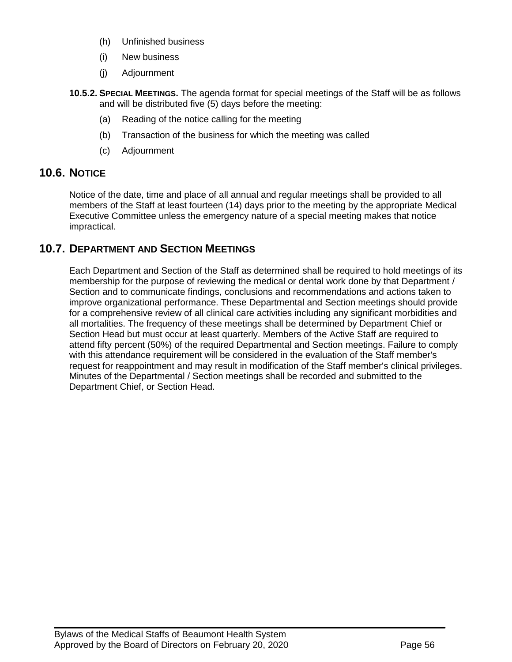- (h) Unfinished business
- (i) New business
- (j) Adjournment
- **10.5.2. SPECIAL MEETINGS.** The agenda format for special meetings of the Staff will be as follows and will be distributed five (5) days before the meeting:
	- (a) Reading of the notice calling for the meeting
	- (b) Transaction of the business for which the meeting was called
	- (c) Adjournment

# <span id="page-55-0"></span>**10.6. NOTICE**

Notice of the date, time and place of all annual and regular meetings shall be provided to all members of the Staff at least fourteen (14) days prior to the meeting by the appropriate Medical Executive Committee unless the emergency nature of a special meeting makes that notice impractical.

# <span id="page-55-1"></span>**10.7. DEPARTMENT AND SECTION MEETINGS**

Each Department and Section of the Staff as determined shall be required to hold meetings of its membership for the purpose of reviewing the medical or dental work done by that Department / Section and to communicate findings, conclusions and recommendations and actions taken to improve organizational performance. These Departmental and Section meetings should provide for a comprehensive review of all clinical care activities including any significant morbidities and all mortalities. The frequency of these meetings shall be determined by Department Chief or Section Head but must occur at least quarterly. Members of the Active Staff are required to attend fifty percent (50%) of the required Departmental and Section meetings. Failure to comply with this attendance requirement will be considered in the evaluation of the Staff member's request for reappointment and may result in modification of the Staff member's clinical privileges. Minutes of the Departmental / Section meetings shall be recorded and submitted to the Department Chief, or Section Head.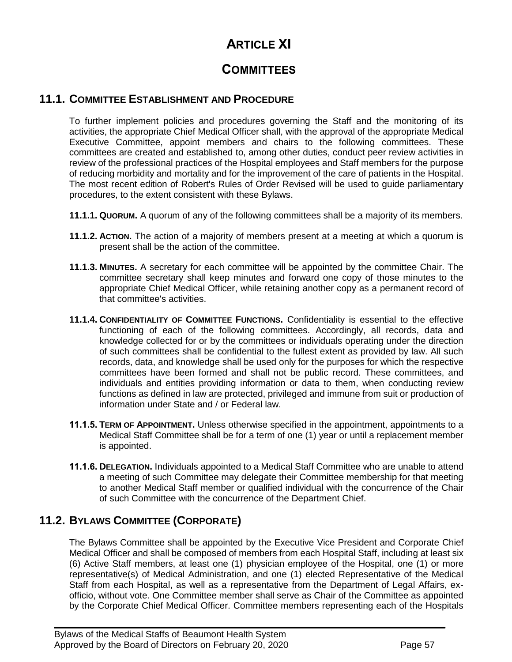# **ARTICLE XI**

# **COMMITTEES**

# **11.1. COMMITTEE ESTABLISHMENT AND PROCEDURE**

<span id="page-56-0"></span>To further implement policies and procedures governing the Staff and the monitoring of its activities, the appropriate Chief Medical Officer shall, with the approval of the appropriate Medical Executive Committee, appoint members and chairs to the following committees. These committees are created and established to, among other duties, conduct peer review activities in review of the professional practices of the Hospital employees and Staff members for the purpose of reducing morbidity and mortality and for the improvement of the care of patients in the Hospital. The most recent edition of Robert's Rules of Order Revised will be used to guide parliamentary procedures, to the extent consistent with these Bylaws.

- **11.1.1. QUORUM.** A quorum of any of the following committees shall be a majority of its members.
- **11.1.2. ACTION.** The action of a majority of members present at a meeting at which a quorum is present shall be the action of the committee.
- **11.1.3. MINUTES.** A secretary for each committee will be appointed by the committee Chair. The committee secretary shall keep minutes and forward one copy of those minutes to the appropriate Chief Medical Officer, while retaining another copy as a permanent record of that committee's activities.
- **11.1.4. CONFIDENTIALITY OF COMMITTEE FUNCTIONS.** Confidentiality is essential to the effective functioning of each of the following committees. Accordingly, all records, data and knowledge collected for or by the committees or individuals operating under the direction of such committees shall be confidential to the fullest extent as provided by law. All such records, data, and knowledge shall be used only for the purposes for which the respective committees have been formed and shall not be public record. These committees, and individuals and entities providing information or data to them, when conducting review functions as defined in law are protected, privileged and immune from suit or production of information under State and / or Federal law.
- **11.1.5. TERM OF APPOINTMENT.** Unless otherwise specified in the appointment, appointments to a Medical Staff Committee shall be for a term of one (1) year or until a replacement member is appointed.
- **11.1.6. DELEGATION.** Individuals appointed to a Medical Staff Committee who are unable to attend a meeting of such Committee may delegate their Committee membership for that meeting to another Medical Staff member or qualified individual with the concurrence of the Chair of such Committee with the concurrence of the Department Chief.

# <span id="page-56-1"></span>**11.2. BYLAWS COMMITTEE (CORPORATE)**

The Bylaws Committee shall be appointed by the Executive Vice President and Corporate Chief Medical Officer and shall be composed of members from each Hospital Staff, including at least six (6) Active Staff members, at least one (1) physician employee of the Hospital, one (1) or more representative(s) of Medical Administration, and one (1) elected Representative of the Medical Staff from each Hospital, as well as a representative from the Department of Legal Affairs, exofficio, without vote. One Committee member shall serve as Chair of the Committee as appointed by the Corporate Chief Medical Officer. Committee members representing each of the Hospitals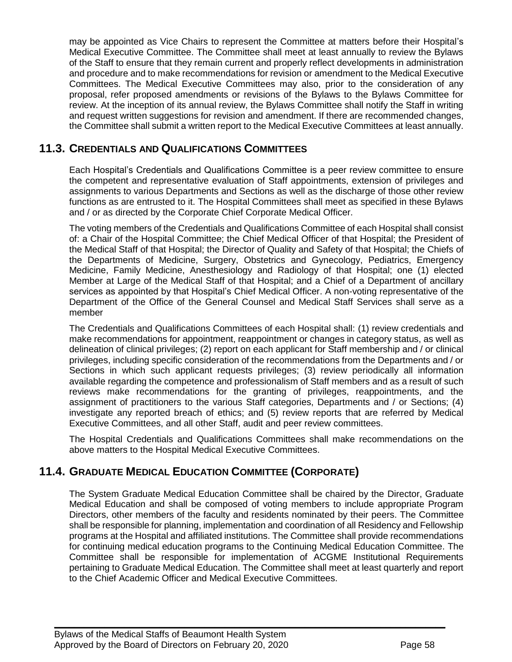may be appointed as Vice Chairs to represent the Committee at matters before their Hospital's Medical Executive Committee. The Committee shall meet at least annually to review the Bylaws of the Staff to ensure that they remain current and properly reflect developments in administration and procedure and to make recommendations for revision or amendment to the Medical Executive Committees. The Medical Executive Committees may also, prior to the consideration of any proposal, refer proposed amendments or revisions of the Bylaws to the Bylaws Committee for review. At the inception of its annual review, the Bylaws Committee shall notify the Staff in writing and request written suggestions for revision and amendment. If there are recommended changes, the Committee shall submit a written report to the Medical Executive Committees at least annually.

# <span id="page-57-0"></span>**11.3. CREDENTIALS AND QUALIFICATIONS COMMITTEES**

Each Hospital's Credentials and Qualifications Committee is a peer review committee to ensure the competent and representative evaluation of Staff appointments, extension of privileges and assignments to various Departments and Sections as well as the discharge of those other review functions as are entrusted to it. The Hospital Committees shall meet as specified in these Bylaws and / or as directed by the Corporate Chief Corporate Medical Officer.

The voting members of the Credentials and Qualifications Committee of each Hospital shall consist of: a Chair of the Hospital Committee; the Chief Medical Officer of that Hospital; the President of the Medical Staff of that Hospital; the Director of Quality and Safety of that Hospital; the Chiefs of the Departments of Medicine, Surgery, Obstetrics and Gynecology, Pediatrics, Emergency Medicine, Family Medicine, Anesthesiology and Radiology of that Hospital; one (1) elected Member at Large of the Medical Staff of that Hospital; and a Chief of a Department of ancillary services as appointed by that Hospital's Chief Medical Officer. A non-voting representative of the Department of the Office of the General Counsel and Medical Staff Services shall serve as a member

The Credentials and Qualifications Committees of each Hospital shall: (1) review credentials and make recommendations for appointment, reappointment or changes in category status, as well as delineation of clinical privileges; (2) report on each applicant for Staff membership and / or clinical privileges, including specific consideration of the recommendations from the Departments and / or Sections in which such applicant requests privileges; (3) review periodically all information available regarding the competence and professionalism of Staff members and as a result of such reviews make recommendations for the granting of privileges, reappointments, and the assignment of practitioners to the various Staff categories, Departments and / or Sections; (4) investigate any reported breach of ethics; and (5) review reports that are referred by Medical Executive Committees, and all other Staff, audit and peer review committees.

<span id="page-57-1"></span>The Hospital Credentials and Qualifications Committees shall make recommendations on the above matters to the Hospital Medical Executive Committees.

# **11.4. GRADUATE MEDICAL EDUCATION COMMITTEE (CORPORATE)**

The System Graduate Medical Education Committee shall be chaired by the Director, Graduate Medical Education and shall be composed of voting members to include appropriate Program Directors, other members of the faculty and residents nominated by their peers. The Committee shall be responsible for planning, implementation and coordination of all Residency and Fellowship programs at the Hospital and affiliated institutions. The Committee shall provide recommendations for continuing medical education programs to the Continuing Medical Education Committee. The Committee shall be responsible for implementation of ACGME Institutional Requirements pertaining to Graduate Medical Education. The Committee shall meet at least quarterly and report to the Chief Academic Officer and Medical Executive Committees.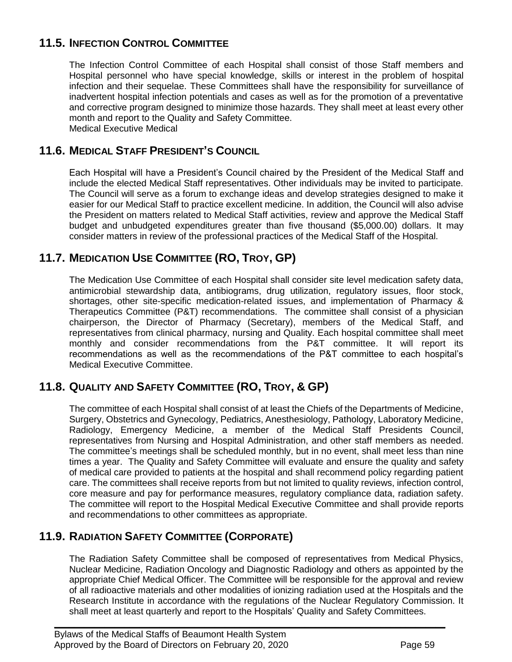# <span id="page-58-5"></span>**11.5. INFECTION CONTROL COMMITTEE**

<span id="page-58-0"></span>The Infection Control Committee of each Hospital shall consist of those Staff members and Hospital personnel who have special knowledge, skills or interest in the problem of hospital infection and their sequelae. These Committees shall have the responsibility for surveillance of inadvertent hospital infection potentials and cases as well as for the promotion of a preventative and corrective program designed to minimize those hazards. They shall meet at least every other month and report to the Quality and Safety Committee. Medical Executive Medical

# <span id="page-58-1"></span>**11.6. MEDICAL STAFF PRESIDENT'S COUNCIL**

Each Hospital will have a President's Council chaired by the President of the Medical Staff and include the elected Medical Staff representatives. Other individuals may be invited to participate. The Council will serve as a forum to exchange ideas and develop strategies designed to make it easier for our Medical Staff to practice excellent medicine. In addition, the Council will also advise the President on matters related to Medical Staff activities, review and approve the Medical Staff budget and unbudgeted expenditures greater than five thousand (\$5,000.00) dollars. It may consider matters in review of the professional practices of the Medical Staff of the Hospital.

# <span id="page-58-2"></span>**11.7. MEDICATION USE COMMITTEE (RO, TROY, GP)**

The Medication Use Committee of each Hospital shall consider site level medication safety data, antimicrobial stewardship data, antibiograms, drug utilization, regulatory issues, floor stock, shortages, other site-specific medication-related issues, and implementation of Pharmacy & Therapeutics Committee (P&T) recommendations. The committee shall consist of a physician chairperson, the Director of Pharmacy (Secretary), members of the Medical Staff, and representatives from clinical pharmacy, nursing and Quality. Each hospital committee shall meet monthly and consider recommendations from the P&T committee. It will report its recommendations as well as the recommendations of the P&T committee to each hospital's Medical Executive Committee.

# <span id="page-58-3"></span>**11.8. QUALITY AND SAFETY COMMITTEE (RO, TROY, & GP)**

The committee of each Hospital shall consist of at least the Chiefs of the Departments of Medicine, Surgery, Obstetrics and Gynecology, Pediatrics, Anesthesiology, Pathology, Laboratory Medicine, Radiology, Emergency Medicine, a member of the Medical Staff Presidents Council, representatives from Nursing and Hospital Administration, and other staff members as needed. The committee's meetings shall be scheduled monthly, but in no event, shall meet less than nine times a year. The Quality and Safety Committee will evaluate and ensure the quality and safety of medical care provided to patients at the hospital and shall recommend policy regarding patient care. The committees shall receive reports from but not limited to quality reviews, infection control, core measure and pay for performance measures, regulatory compliance data, radiation safety. The committee will report to the Hospital Medical Executive Committee and shall provide reports and recommendations to other committees as appropriate.

# <span id="page-58-4"></span>**11.9. RADIATION SAFETY COMMITTEE (CORPORATE)**

The Radiation Safety Committee shall be composed of representatives from Medical Physics, Nuclear Medicine, Radiation Oncology and Diagnostic Radiology and others as appointed by the appropriate Chief Medical Officer. The Committee will be responsible for the approval and review of all radioactive materials and other modalities of ionizing radiation used at the Hospitals and the Research Institute in accordance with the regulations of the Nuclear Regulatory Commission. It shall meet at least quarterly and report to the Hospitals' Quality and Safety Committees.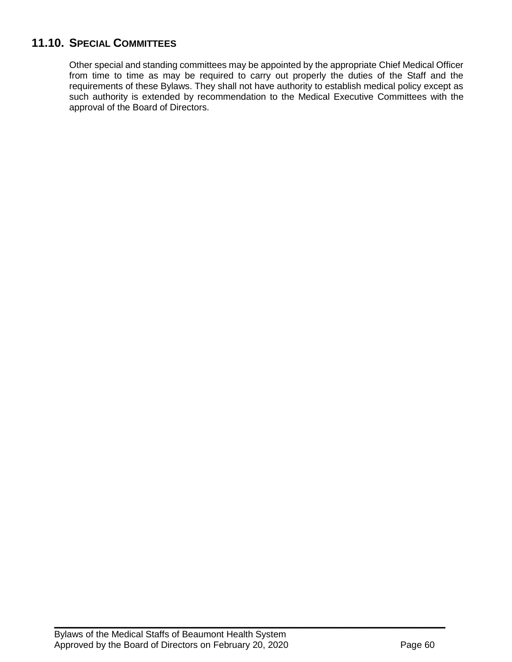# **11.10. SPECIAL COMMITTEES**

Other special and standing committees may be appointed by the appropriate Chief Medical Officer from time to time as may be required to carry out properly the duties of the Staff and the requirements of these Bylaws. They shall not have authority to establish medical policy except as such authority is extended by recommendation to the Medical Executive Committees with the approval of the Board of Directors.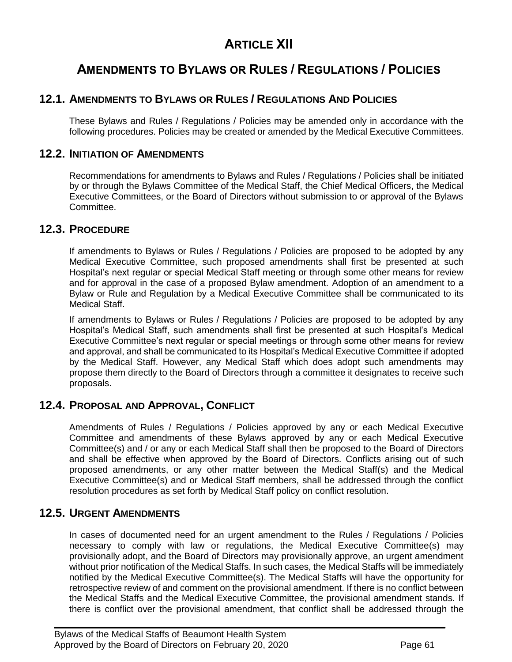# **ARTICLE XII**

# **AMENDMENTS TO BYLAWS OR RULES / REGULATIONS / POLICIES**

# **12.1. AMENDMENTS TO BYLAWS OR RULES / REGULATIONS AND POLICIES**

<span id="page-60-1"></span><span id="page-60-0"></span>These Bylaws and Rules / Regulations / Policies may be amended only in accordance with the following procedures. Policies may be created or amended by the Medical Executive Committees.

### **12.2. INITIATION OF AMENDMENTS**

Recommendations for amendments to Bylaws and Rules / Regulations / Policies shall be initiated by or through the Bylaws Committee of the Medical Staff, the Chief Medical Officers, the Medical Executive Committees, or the Board of Directors without submission to or approval of the Bylaws Committee.

### <span id="page-60-2"></span>**12.3. PROCEDURE**

If amendments to Bylaws or Rules / Regulations / Policies are proposed to be adopted by any Medical Executive Committee, such proposed amendments shall first be presented at such Hospital's next regular or special Medical Staff meeting or through some other means for review and for approval in the case of a proposed Bylaw amendment. Adoption of an amendment to a Bylaw or Rule and Regulation by a Medical Executive Committee shall be communicated to its Medical Staff.

If amendments to Bylaws or Rules / Regulations / Policies are proposed to be adopted by any Hospital's Medical Staff, such amendments shall first be presented at such Hospital's Medical Executive Committee's next regular or special meetings or through some other means for review and approval, and shall be communicated to its Hospital's Medical Executive Committee if adopted by the Medical Staff. However, any Medical Staff which does adopt such amendments may propose them directly to the Board of Directors through a committee it designates to receive such proposals.

### **12.4. PROPOSAL AND APPROVAL, CONFLICT**

<span id="page-60-3"></span>Amendments of Rules / Regulations / Policies approved by any or each Medical Executive Committee and amendments of these Bylaws approved by any or each Medical Executive Committee(s) and / or any or each Medical Staff shall then be proposed to the Board of Directors and shall be effective when approved by the Board of Directors. Conflicts arising out of such proposed amendments, or any other matter between the Medical Staff(s) and the Medical Executive Committee(s) and or Medical Staff members, shall be addressed through the conflict resolution procedures as set forth by Medical Staff policy on conflict resolution.

# <span id="page-60-4"></span>**12.5. URGENT AMENDMENTS**

In cases of documented need for an urgent amendment to the Rules / Regulations / Policies necessary to comply with law or regulations, the Medical Executive Committee(s) may provisionally adopt, and the Board of Directors may provisionally approve, an urgent amendment without prior notification of the Medical Staffs. In such cases, the Medical Staffs will be immediately notified by the Medical Executive Committee(s). The Medical Staffs will have the opportunity for retrospective review of and comment on the provisional amendment. If there is no conflict between the Medical Staffs and the Medical Executive Committee, the provisional amendment stands. If there is conflict over the provisional amendment, that conflict shall be addressed through the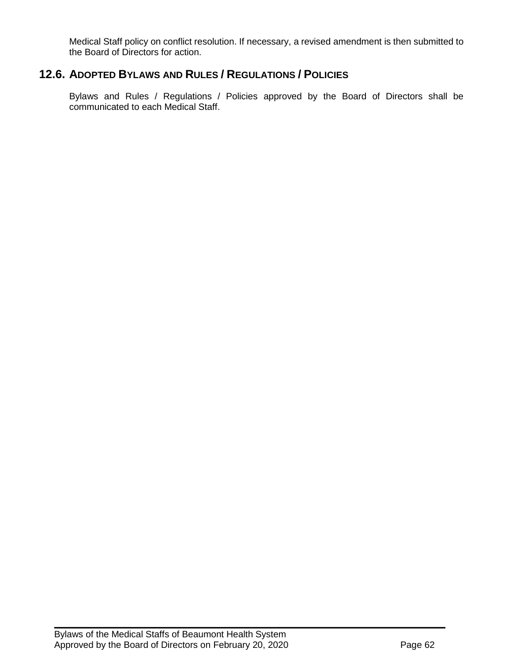<span id="page-61-0"></span>Medical Staff policy on conflict resolution. If necessary, a revised amendment is then submitted to the Board of Directors for action.

# **12.6. ADOPTED BYLAWS AND RULES / REGULATIONS / POLICIES**

Bylaws and Rules / Regulations / Policies approved by the Board of Directors shall be communicated to each Medical Staff.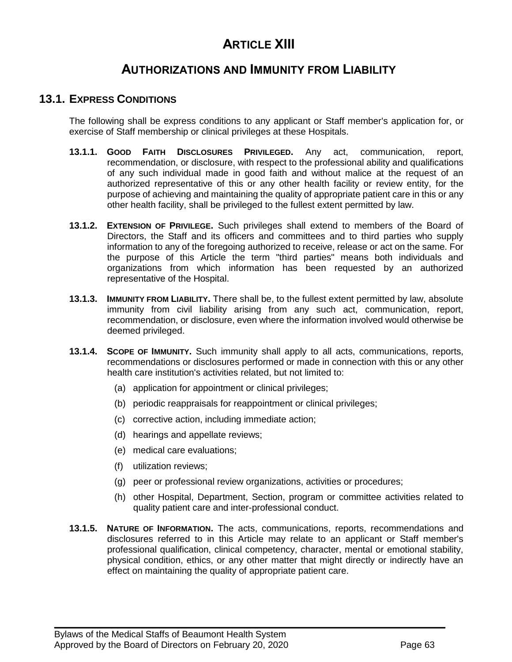# **ARTICLE XIII**

# **AUTHORIZATIONS AND IMMUNITY FROM LIABILITY**

### **13.1. EXPRESS CONDITIONS**

<span id="page-62-0"></span>The following shall be express conditions to any applicant or Staff member's application for, or exercise of Staff membership or clinical privileges at these Hospitals.

- **13.1.1. GOOD FAITH DISCLOSURES PRIVILEGED.** Any act, communication, report, recommendation, or disclosure, with respect to the professional ability and qualifications of any such individual made in good faith and without malice at the request of an authorized representative of this or any other health facility or review entity, for the purpose of achieving and maintaining the quality of appropriate patient care in this or any other health facility, shall be privileged to the fullest extent permitted by law.
- **13.1.2. EXTENSION OF PRIVILEGE.** Such privileges shall extend to members of the Board of Directors, the Staff and its officers and committees and to third parties who supply information to any of the foregoing authorized to receive, release or act on the same. For the purpose of this Article the term "third parties" means both individuals and organizations from which information has been requested by an authorized representative of the Hospital.
- **13.1.3. IMMUNITY FROM LIABILITY.** There shall be, to the fullest extent permitted by law, absolute immunity from civil liability arising from any such act, communication, report, recommendation, or disclosure, even where the information involved would otherwise be deemed privileged.
- **13.1.4. SCOPE OF IMMUNITY.** Such immunity shall apply to all acts, communications, reports, recommendations or disclosures performed or made in connection with this or any other health care institution's activities related, but not limited to:
	- (a) application for appointment or clinical privileges;
	- (b) periodic reappraisals for reappointment or clinical privileges;
	- (c) corrective action, including immediate action;
	- (d) hearings and appellate reviews;
	- (e) medical care evaluations;
	- (f) utilization reviews;
	- (g) peer or professional review organizations, activities or procedures;
	- (h) other Hospital, Department, Section, program or committee activities related to quality patient care and inter-professional conduct.
- **13.1.5. NATURE OF INFORMATION.** The acts, communications, reports, recommendations and disclosures referred to in this Article may relate to an applicant or Staff member's professional qualification, clinical competency, character, mental or emotional stability, physical condition, ethics, or any other matter that might directly or indirectly have an effect on maintaining the quality of appropriate patient care.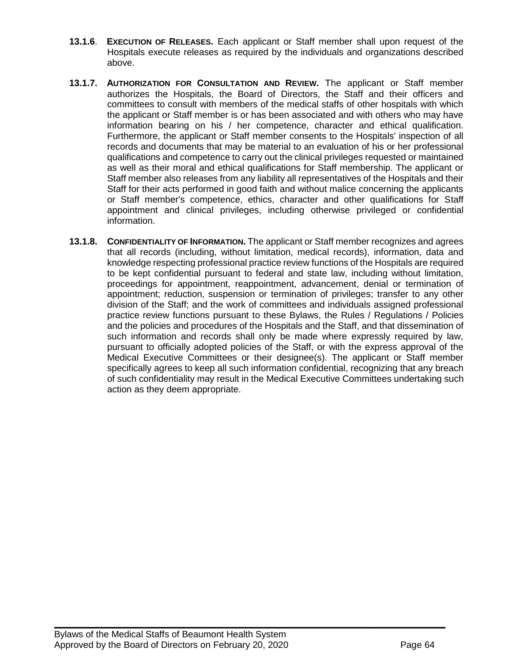- **13.1.6**. **EXECUTION OF RELEASES.** Each applicant or Staff member shall upon request of the Hospitals execute releases as required by the individuals and organizations described above.
- **13.1.7. AUTHORIZATION FOR CONSULTATION AND REVIEW.** The applicant or Staff member authorizes the Hospitals, the Board of Directors, the Staff and their officers and committees to consult with members of the medical staffs of other hospitals with which the applicant or Staff member is or has been associated and with others who may have information bearing on his / her competence, character and ethical qualification. Furthermore, the applicant or Staff member consents to the Hospitals' inspection of all records and documents that may be material to an evaluation of his or her professional qualifications and competence to carry out the clinical privileges requested or maintained as well as their moral and ethical qualifications for Staff membership. The applicant or Staff member also releases from any liability all representatives of the Hospitals and their Staff for their acts performed in good faith and without malice concerning the applicants or Staff member's competence, ethics, character and other qualifications for Staff appointment and clinical privileges, including otherwise privileged or confidential information.
- **13.1.8. CONFIDENTIALITY OF INFORMATION.** The applicant or Staff member recognizes and agrees that all records (including, without limitation, medical records), information, data and knowledge respecting professional practice review functions of the Hospitals are required to be kept confidential pursuant to federal and state law, including without limitation, proceedings for appointment, reappointment, advancement, denial or termination of appointment; reduction, suspension or termination of privileges; transfer to any other division of the Staff; and the work of committees and individuals assigned professional practice review functions pursuant to these Bylaws, the Rules / Regulations / Policies and the policies and procedures of the Hospitals and the Staff, and that dissemination of such information and records shall only be made where expressly required by law, pursuant to officially adopted policies of the Staff, or with the express approval of the Medical Executive Committees or their designee(s). The applicant or Staff member specifically agrees to keep all such information confidential, recognizing that any breach of such confidentiality may result in the Medical Executive Committees undertaking such action as they deem appropriate.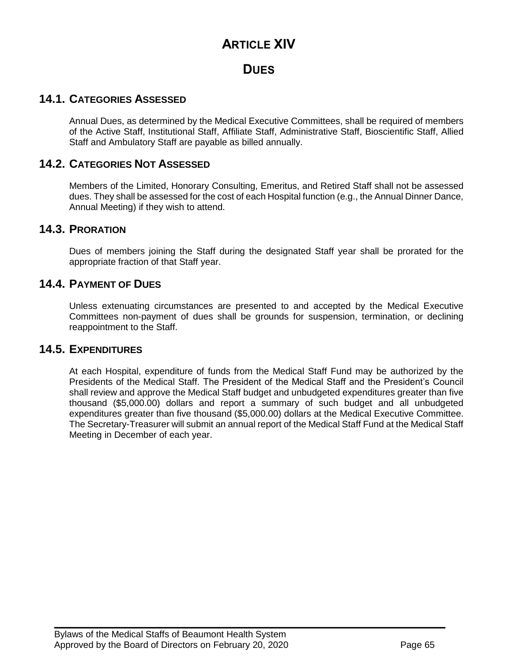# **ARTICLE XIV**

# **DUES**

# **14.1. CATEGORIES ASSESSED**

<span id="page-64-0"></span>Annual Dues, as determined by the Medical Executive Committees, shall be required of members of the Active Staff, Institutional Staff, Affiliate Staff, Administrative Staff, Bioscientific Staff, Allied Staff and Ambulatory Staff are payable as billed annually.

### <span id="page-64-1"></span>**14.2. CATEGORIES NOT ASSESSED**

Members of the Limited, Honorary Consulting, Emeritus, and Retired Staff shall not be assessed dues. They shall be assessed for the cost of each Hospital function (e.g., the Annual Dinner Dance, Annual Meeting) if they wish to attend.

#### <span id="page-64-2"></span>**14.3. PRORATION**

<span id="page-64-3"></span>Dues of members joining the Staff during the designated Staff year shall be prorated for the appropriate fraction of that Staff year.

### **14.4. PAYMENT OF DUES**

Unless extenuating circumstances are presented to and accepted by the Medical Executive Committees non-payment of dues shall be grounds for suspension, termination, or declining reappointment to the Staff.

### <span id="page-64-4"></span>**14.5. EXPENDITURES**

At each Hospital, expenditure of funds from the Medical Staff Fund may be authorized by the Presidents of the Medical Staff. The President of the Medical Staff and the President's Council shall review and approve the Medical Staff budget and unbudgeted expenditures greater than five thousand (\$5,000.00) dollars and report a summary of such budget and all unbudgeted expenditures greater than five thousand (\$5,000.00) dollars at the Medical Executive Committee. The Secretary-Treasurer will submit an annual report of the Medical Staff Fund at the Medical Staff Meeting in December of each year.